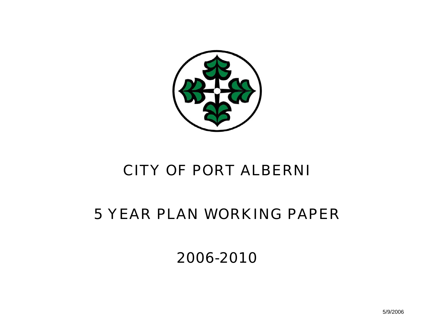

# CITY OF PORT ALBERNI

# 5 YEAR PLAN WORKING PAPER

2006-2010

5/9/2006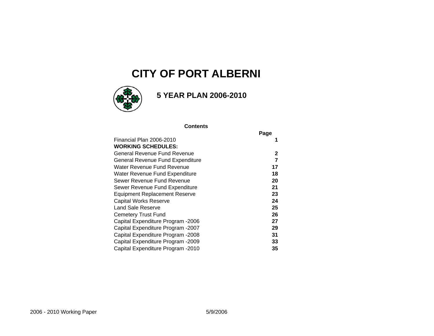### **CITY OF PORT ALBERNI**



### **5 YEAR PLAN 2006-2010**

#### **Contents**

| Page |
|------|
|      |
|      |
| 2    |
| 7    |
| 17   |
| 18   |
| 20   |
| 21   |
| 23   |
| 24   |
| 25   |
| 26   |
| 27   |
| 29   |
| 31   |
| 33   |
| 35   |
|      |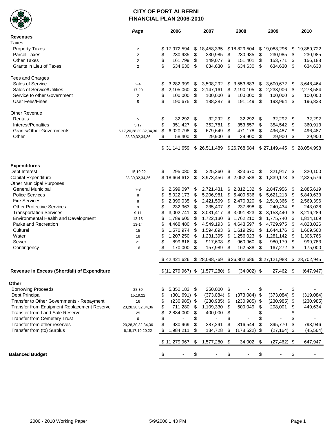

#### **CITY OF PORT ALBERNI FINANCIAL PLAN 2006-2010**

|                                              | Page                   | 2006                  | 2007                             |      | 2008            |               | 2009            |      | 2010          |
|----------------------------------------------|------------------------|-----------------------|----------------------------------|------|-----------------|---------------|-----------------|------|---------------|
| <b>Revenues</b>                              |                        |                       |                                  |      |                 |               |                 |      |               |
| Taxes                                        |                        |                       |                                  |      |                 |               |                 |      |               |
| <b>Property Taxes</b>                        | $\overline{2}$         | \$<br>17,972,594      | \$18,458,335                     |      | \$18,829,504    |               | \$19,088,296    | \$   | 19,889,722    |
| <b>Parcel Taxes</b>                          | $\overline{2}$         | \$<br>230,985         | \$<br>230,985                    | \$   | 230,985         | \$            | 230,985         | \$   | 230,985       |
| <b>Other Taxes</b>                           | $\sqrt{2}$             | \$<br>161,799         | \$<br>149,077                    | \$   | 151,401         | \$            | 153,771         | \$   | 156,188       |
|                                              |                        | \$                    |                                  |      |                 |               |                 |      |               |
| Grants in Lieu of Taxes                      | $\overline{2}$         | 634,630               | \$<br>634,630                    | \$   | 634,630         | \$            | 634,630         | \$   | 634,630       |
| Fees and Charges                             |                        |                       |                                  |      |                 |               |                 |      |               |
| Sales of Service                             | $2 - 4$                | \$<br>3,282,999       | \$<br>3,508,292                  | \$   | 3,553,883       | \$            | 3,600,672       | \$   | 3,648,464     |
| Sales of Service/Utilities                   | 17,20                  | \$<br>2,105,060       | \$<br>2,147,161                  | \$   | 2,190,105       | \$            | 2,233,906       | \$   | 2,278,584     |
| Service to other Government                  | $\overline{2}$         | \$<br>100,000         | \$<br>100,000                    | \$   | 100,000         | $\sqrt[6]{3}$ | 100,000         | \$   | 100,000       |
| <b>User Fees/Fines</b>                       | 5                      | \$<br>190,675         | \$<br>188,387                    | \$   | 191,149         | \$            | 193,964         | \$   | 196,833       |
| Other Revenue                                |                        |                       |                                  |      |                 |               |                 |      |               |
| Rentals                                      | $\,$ 5 $\,$            | \$<br>32,292          | \$<br>32,292                     | \$   | 32,292 \$       |               | 32,292          | - \$ | 32,292        |
| Interest/Penalties                           | 5,17                   | \$<br>351,427         | \$<br>352,781                    | \$   | 353,657         | \$            | 354,542         | \$   | 360,913       |
| <b>Grants/Other Governments</b>              | 5,17,20,28,30,32,34,36 | \$<br>6,020,798       | \$<br>679,649                    | \$   | 471,178         | \$            | 496,487         | \$   | 496,487       |
| Other                                        | 28,30,32,34,36         | \$<br>58,400          | \$<br>29,900                     | \$   | 29,900          | \$            | 29,900          | \$   | 29,900        |
|                                              |                        |                       |                                  |      |                 |               |                 |      |               |
|                                              |                        | \$31,141,659          | \$ 26,511,489                    |      | \$26,768,684    |               | \$27,149,445    |      | \$ 28,054,998 |
|                                              |                        |                       |                                  |      |                 |               |                 |      |               |
| <b>Expenditures</b>                          |                        |                       |                                  |      |                 |               |                 |      |               |
| Debt Interest                                | 15, 19, 22             | \$<br>295.080         | \$<br>325,360                    | \$   | 323.670         | \$            | 321,917         | \$   | 320,100       |
| Capital Expenditure                          | 28,30,32,34,36         | \$18,664,612          | \$<br>3,973,456                  | \$   | 2,052,588       | \$            | 1,839,173       | \$   | 2,825,576     |
| <b>Other Municipal Purposes</b>              |                        |                       |                                  |      |                 |               |                 |      |               |
| <b>General Municipal</b>                     | $7-8$                  | \$<br>2,699,097       | \$<br>2,721,431                  |      | \$2,812,132     | \$            | 2,847,956       | \$   | 2,885,619     |
| <b>Police Services</b>                       | 8                      | \$<br>5,022,173       | \$<br>5,206,981                  | \$   | 5,409,636       | \$            | 5,621,213       | \$   | 5,849,633     |
| <b>Fire Services</b>                         | 8                      | \$<br>2,399,035       | \$<br>2,421,509                  |      | \$2,470,320     | \$            | 2,519,366       | \$   | 2,569,396     |
| <b>Other Protective Services</b>             | 9                      | \$<br>232,963         | \$<br>235,407                    | \$   | 237,898         | \$            | 240,434         | \$   | 243,028       |
| <b>Transportation Services</b>               | $9 - 11$               | \$<br>3,002,741       | \$<br>3,031,417                  |      | 3,091,823       | \$            | 3,153,440       | \$   | 3,216,289     |
| Environmental Health and Development         | $12 - 13$              | \$<br>1,789,605       | \$<br>1,722,130                  | \$   | 1,762,210       | \$            | 1,775,740       | \$   | 1,814,169     |
| Parks and Recreation                         |                        | \$<br>4,468,480       | \$<br>4,549,193                  | \$   | 4,643,597       | \$            | 4,729,975       | \$   | 4,828,026     |
| Cultural                                     | $13 - 14$              | \$<br>1,570,974       | \$<br>1,594,893                  |      |                 | \$            | 1,644,176       |      | 1,669,560     |
| Water                                        | 15                     |                       |                                  |      | \$1,619,291     |               |                 | \$   |               |
|                                              | 18                     | \$<br>1,207,250       | \$<br>1,231,395                  | \$   | 1,256,023       | \$            | 1,281,142       | -\$  | 1,306,766     |
| Sewer                                        | 21                     | \$<br>899,616         | \$<br>917,608                    | \$   | 960,960         | \$            | 980,179         | \$   | 999,783       |
| Contingency                                  | 16                     | \$<br>170,000         | \$<br>157,989                    | \$   | 162,538         | \$            | 167,272         | \$   | 175,000       |
|                                              |                        | \$42,421,626          | \$28,088,769                     |      | \$26,802,686    |               | \$27,121,983    |      | \$ 28,702,945 |
| Revenue in Excess (Shortfall) of Expenditure |                        |                       | $$(11,279,967)$ \$ $(1,577,280)$ | - \$ | $(34,002)$ \$   |               | 27,462          | -\$  | (647, 947)    |
|                                              |                        |                       |                                  |      |                 |               |                 |      |               |
| Other                                        |                        |                       |                                  |      |                 |               |                 |      |               |
| <b>Borrowing Proceeds</b>                    | 28,30                  | \$<br>5,352,183       | \$<br>250,000 \$                 |      |                 | \$            |                 | \$   |               |
| Debt Principal                               | 15,19,22               | \$<br>$(301, 691)$ \$ | $(373,084)$ \$                   |      | $(373,084)$ \$  |               | $(373,084)$ \$  |      | (319,084)     |
| Transfer to Other Governments - Repayment    | 16                     | \$<br>$(230, 985)$ \$ | $(230, 985)$ \$                  |      | $(230, 985)$ \$ |               | $(230, 985)$ \$ |      | (230, 985)    |
| Transfer from Equipment Replacement Reserve  | 23,28,30,32,34,36      | \$<br>711,280         | \$<br>1,109,330                  | \$   | 500,049         | \$            | 208,001         | \$   | 449,634       |
| Transfer from Land Sale Reserve              | 25                     | \$<br>2,834,000       | \$<br>400,000                    | \$   |                 | \$            |                 | \$   |               |
| <b>Transfer from Cemetery Trust</b>          | 6                      | \$                    | \$                               | \$   |                 | \$            |                 | \$   |               |
| Transfer from other reserves                 | 20,28,30,32,34,36      | \$<br>930,969         | \$<br>287,291                    | \$   | 316,544         | \$            | 395,770         | \$   | 793,946       |
| Transfer from (to) Surplus                   | 6, 15, 17, 19, 20, 22  | \$<br>1,984,211       | \$<br>134,728                    | \$   | (178, 522)      | \$            | $(27, 164)$ \$  |      | (45, 564)     |
|                                              |                        | \$11,279,967          | \$<br>1,577,280                  | \$   | 34,002          | \$            | $(27, 462)$ \$  |      | 647,947       |
| <b>Balanced Budget</b>                       |                        |                       | \$                               | \$   |                 | \$            |                 | \$   |               |
|                                              |                        |                       |                                  |      |                 |               |                 |      |               |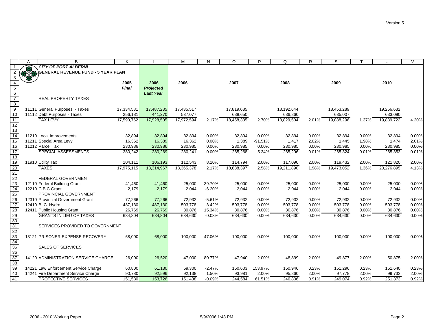|                                            | A     | B                                         | K          |                  | М          | N        | $\circ$    | P         | Q          | $\mathsf{R}$ | S          |       | U          | $\mathsf{V}$ |
|--------------------------------------------|-------|-------------------------------------------|------------|------------------|------------|----------|------------|-----------|------------|--------------|------------|-------|------------|--------------|
|                                            | 93    | <b>CITY OF PORT ALBERNI</b>               |            |                  |            |          |            |           |            |              |            |       |            |              |
|                                            | 33.58 | <b>SENERAL REVENUE FUND - 5 YEAR PLAN</b> |            |                  |            |          |            |           |            |              |            |       |            |              |
| 3                                          |       |                                           |            |                  |            |          |            |           |            |              |            |       |            |              |
| $\overline{4}$                             |       |                                           | 2005       | 2006             | 2006       |          | 2007       |           | 2008       |              | 2009       |       | 2010       |              |
| $\begin{array}{c} 5 \\ 6 \\ 7 \end{array}$ |       |                                           | Final      | <b>Projected</b> |            |          |            |           |            |              |            |       |            |              |
|                                            |       |                                           |            | <b>Last Year</b> |            |          |            |           |            |              |            |       |            |              |
|                                            |       | <b>REAL PROPERTY TAXES</b>                |            |                  |            |          |            |           |            |              |            |       |            |              |
| $\infty$                                   |       |                                           |            |                  |            |          |            |           |            |              |            |       |            |              |
| $\overline{9}$                             |       | 11111 General Purposes - Taxes            | 17,334,581 | 17,487,235       | 17,435,517 |          | 17,819,685 |           | 18,192,644 |              | 18,453,289 |       | 19,256,632 |              |
| 10                                         |       | 11112 Debt Purposes - Taxes               | 256,181    | 441,270          | 537,077    |          | 638,650    |           | 636,860    |              | 635,007    |       | 633,090    |              |
| 11                                         |       | <b>TAX LEVY</b>                           | 17,590,762 | 17,928,505       | 17,972,594 | 2.17%    | 18,458,335 | 2.70%     | 18,829,504 | 2.01%        | 19,088,296 | 1.37% | 19,889,722 | 4.20%        |
| 12                                         |       |                                           |            |                  |            |          |            |           |            |              |            |       |            |              |
| 13                                         |       |                                           |            |                  |            |          |            |           |            |              |            |       |            |              |
| 14                                         |       | 11210 Local Improvements                  | 32,894     | 32,894           | 32,894     | 0.00%    | 32,894     | 0.00%     | 32,894     | 0.00%        | 32,894     | 0.00% | 32,894     | 0.00%        |
| 15                                         |       | 11211 Special Area Levy                   | 16,362     | 16,389           | 16,362     | 0.00%    | 1,389      | $-91.51%$ | 1,417      | 2.02%        | 1.445      | 1.98% | 1,474      | 2.01%        |
| 16                                         |       | 11212 Parcel Tax                          | 230,986    | 230,986          | 230,985    | 0.00%    | 230,985    | 0.00%     | 230,985    | 0.00%        | 230,985    | 0.00% | 230,985    | 0.00%        |
| 17                                         |       | SPECIAL ASSESSMENTS                       | 280,242    | 280,269          | 280,241    | 0.00%    | 265,268    | $-5.34%$  | 265,296    | 0.01%        | 265,324    | 0.01% | 265,353    | 0.01%        |
| 18                                         |       |                                           |            |                  |            |          |            |           |            |              |            |       |            |              |
| 19                                         |       | 11910 Utility Tax                         | 104,111    | 106,193          | 112,543    | 8.10%    | 114,794    | 2.00%     | 117,090    | 2.00%        | 119,432    | 2.00% | 121,820    | 2.00%        |
| $\overline{20}$                            |       | <b>TAXES</b>                              | 17,975,115 | 18,314,967       | 18,365,378 | 2.17%    | 18,838,397 | 2.58%     | 19,211,890 | 1.98%        | 19,473,052 | 1.36% | 20,276,895 | 4.13%        |
| $\frac{21}{22}$                            |       |                                           |            |                  |            |          |            |           |            |              |            |       |            |              |
|                                            |       | FEDERAL GOVERNMENT                        |            |                  |            |          |            |           |            |              |            |       |            |              |
| 23<br>24                                   |       | 12110 Federal Building Grant              | 41,460     | 41,460           | 25,000     | -39.70%  | 25,000     | 0.00%     | 25,000     | 0.00%        | 25,000     | 0.00% | 25,000     | 0.00%        |
|                                            |       | 12210 C B C Grant                         | 2,179      | 2,179            | 2,044      | $-6.20%$ | 2,044      | 0.00%     | 2,044      | 0.00%        | 2,044      | 0.00% | 2,044      | 0.00%        |
| $\overline{25}$                            |       | PROVINCIAL GOVERNMENT                     |            |                  |            |          |            |           |            |              |            |       |            |              |
| 26                                         |       | 12310 Provincial Government Grant         | 77,266     | 77,266           | 72,932     | $-5.61%$ | 72,932     | 0.00%     | 72,932     | 0.00%        | 72,932     | 0.00% | 72,932     | 0.00%        |
| 27                                         |       | 12410 B. C. Hydro                         | 487,130    | 487,130          | 503,778    | 3.42%    | 503,778    | 0.00%     | 503,778    | 0.00%        | 503,778    | 0.00% | 503,778    | 0.00%        |
| 28                                         |       | 12411 Public Housing Grant                | 26,769     | 26,769           | 30,876     | 15.34%   | 30,876     | 0.00%     | 30,876     | 0.00%        | 30,876     | 0.00% | 30,876     | 0.00%        |
| 29                                         |       | <b>GRANTS IN LIEU OF TAXES</b>            | 634,804    | 634,804          | 634,630    | $-0.03%$ | 634,630    | 0.00%     | 634,630    | 0.00%        | 634,630    | 0.00% | 634,630    | 0.00%        |
| 30                                         |       |                                           |            |                  |            |          |            |           |            |              |            |       |            |              |
| 31                                         |       | SERVICES PROVIDED TO GOVERNMENT           |            |                  |            |          |            |           |            |              |            |       |            |              |
|                                            |       | 13121 PRISONER EXPENSE RECOVERY           |            |                  |            |          |            |           |            |              |            |       |            |              |
| $\frac{32}{33}$<br>$\frac{33}{34}$         |       |                                           | 68,000     | 68,000           | 100,000    | 47.06%   | 100,000    | 0.00%     | 100,000    | 0.00%        | 100,000    | 0.00% | 100,000    | 0.00%        |
| 35                                         |       | <b>SALES OF SERVICES</b>                  |            |                  |            |          |            |           |            |              |            |       |            |              |
|                                            |       |                                           |            |                  |            |          |            |           |            |              |            |       |            |              |
| $\frac{36}{37}$                            |       | 14120 ADMINISTRATION SERVICE CHARGE       | 26,000     | 26,520           | 47,000     | 80.77%   | 47,940     | 2.00%     | 48,899     | 2.00%        | 49,877     | 2.00% | 50,875     | 2.00%        |
| 38                                         |       |                                           |            |                  |            |          |            |           |            |              |            |       |            |              |
| 39                                         |       | 14221 Law Enforcement Service Charge      | 60,800     | 61,130           | 59,300     | $-2.47%$ | 150,603    | 153.97%   | 150,946    | 0.23%        | 151,296    | 0.23% | 151,640    | 0.23%        |
| 40                                         |       | 14241 Fire Department Service Charge      | 90,780     | 92,596           | 92,138     | 1.50%    | 93,981     | 2.00%     | 95,860     | 2.00%        | 97,778     | 2.00% | 99,733     | 2.00%        |
| 41                                         |       | PROTECTIVE SERVICES                       | 151,580    | 153,726          | 151,438    | $-0.09%$ | 244,584    | 61.51%    | 246,806    | 0.91%        | 249,074    | 0.92% | 251,373    | 0.92%        |
|                                            |       |                                           |            |                  |            |          |            |           |            |              |            |       |            |              |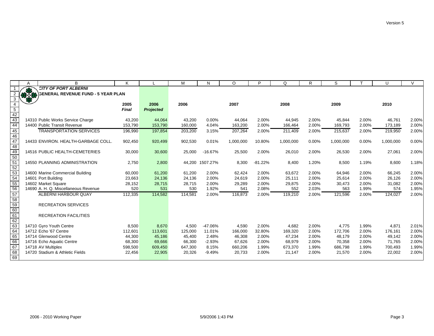|                                                                          | Α | B                                    | Κ       |                  | M       | N         | $\circ$   | P         | Q         | R     | S         |       | U         | $\mathcal{U}$ |
|--------------------------------------------------------------------------|---|--------------------------------------|---------|------------------|---------|-----------|-----------|-----------|-----------|-------|-----------|-------|-----------|---------------|
|                                                                          |   | <b>CITY OF PORT ALBERNI</b>          |         |                  |         |           |           |           |           |       |           |       |           |               |
|                                                                          |   | 3ENERAL REVENUE FUND - 5 YEAR PLAN   |         |                  |         |           |           |           |           |       |           |       |           |               |
| 3                                                                        |   |                                      |         |                  |         |           |           |           |           |       |           |       |           |               |
|                                                                          |   |                                      | 2005    | 2006             | 2006    |           | 2007      |           | 2008      |       | 2009      |       | 2010      |               |
| $\overline{5}$                                                           |   |                                      | Final   | <b>Projected</b> |         |           |           |           |           |       |           |       |           |               |
| 42                                                                       |   |                                      |         |                  |         |           |           |           |           |       |           |       |           |               |
|                                                                          |   | 14310 Public Works Service Charge    | 43,200  | 44,064           | 43,200  | 0.00%     | 44,064    | 2.00%     | 44,945    | 2.00% | 45,844    | 2.00% | 46,761    | 2.00%         |
| $\frac{43}{44}$                                                          |   | 14400 Public Transit Revenue         | 153,790 | 153,790          | 160,000 | 4.04%     | 163,200   | 2.00%     | 166,464   | 2.00% | 169,793   | 2.00% | 173,189   | 2.00%         |
| 45                                                                       |   | <b>TRANSPORTATION SERVICES</b>       | 196,990 | 197,854          | 203,200 | 3.15%     | 207,264   | 2.00%     | 211,409   | 2.00% | 215,637   | 2.00% | 219,950   | 2.00%         |
| 46                                                                       |   |                                      |         |                  |         |           |           |           |           |       |           |       |           |               |
| 47                                                                       |   | 14433 ENVIRON, HEALTH-GARBAGE COLL.  | 902,450 | 920,499          | 902,530 | 0.01%     | 1,000,000 | 10.80%    | 1,000,000 | 0.00% | 1,000,000 | 0.00% | 1,000,000 | 0.00%         |
| 48                                                                       |   |                                      |         |                  |         |           |           |           |           |       |           |       |           |               |
| $\frac{49}{49}$ $\frac{50}{51}$                                          |   | 14516 PUBLIC HEALTH-CEMETERIES       | 30,000  | 30,600           | 25,000  | $-16.67%$ | 25,500    | 2.00%     | 26,010    | 2.00% | 26,530    | 2.00% | 27,061    | 2.00%         |
|                                                                          |   |                                      |         |                  |         |           |           |           |           |       |           |       |           |               |
|                                                                          |   | 14550 PLANNING ADMINISTRATION        | 2,750   | 2,800            | 44,200  | 1507.27%  | 8,300     | $-81.22%$ | 8,400     | 1.20% | 8,500     | 1.19% | 8,600     | 1.18%         |
|                                                                          |   |                                      |         |                  |         |           |           |           |           |       |           |       |           |               |
|                                                                          |   | 14600 Marine Commercial Building     | 60,000  | 61,200           | 61,200  | 2.00%     | 62,424    | 2.00%     | 63,672    | 2.00% | 64,946    | 2.00% | 66,245    | 2.00%         |
|                                                                          |   | 14601 Port Building                  | 23,663  | 24,136           | 24,136  | 2.00%     | 24,619    | 2.00%     | 25,111    | 2.00% | 25,614    | 2.00% | 26,126    | 2.00%         |
|                                                                          |   | 14602 Market Square                  | 28,152  | 28,715           | 28,715  | 2.00%     | 29,289    | 2.00%     | 29,875    | 2.00% | 30,473    | 2.00% | 31,082    | 2.00%         |
| $\frac{52}{53}$<br>$\frac{53}{54}$<br>$\frac{55}{56}$<br>$\frac{56}{57}$ |   | 14690 A. H. Q. Miscellaneous Revenue | 520     | 531              | 530     | 1.92%     | 541       | 2.08%     | 552       | 2.03% | 563       | 1.99% | 574       | 1.95%         |
|                                                                          |   | ALBERNI HARBOUR QUAY                 | 112,335 | 114,582          | 114,581 | 2.00%     | 116,873   | 2.00%     | 119,210   | 2.00% | 121,596   | 2.00% | 124,027   | 2.00%         |
| 58                                                                       |   |                                      |         |                  |         |           |           |           |           |       |           |       |           |               |
| $\begin{array}{r} 59 \\ 60 \\ \hline 61 \end{array}$                     |   | <b>RECREATION SERVICES</b>           |         |                  |         |           |           |           |           |       |           |       |           |               |
|                                                                          |   |                                      |         |                  |         |           |           |           |           |       |           |       |           |               |
|                                                                          |   | <b>RECREATION FACILITIES</b>         |         |                  |         |           |           |           |           |       |           |       |           |               |
| 62                                                                       |   |                                      |         |                  |         |           |           |           |           |       |           |       |           |               |
| 63                                                                       |   | 14710 Gyro Youth Centre              | 8,500   | 8,670            | 4,500   | $-47.06%$ | 4,590     | 2.00%     | 4,682     | 2.00% | 4,775     | 1.99% | 4,871     | 2.01%         |
| 64                                                                       |   | 14712 Echo '67 Centre                | 112,601 | 113,601          | 125,000 | 11.01%    | 166,000   | 32.80%    | 169,320   | 2.00% | 172,706   | 2.00% | 176,161   | 2.00%         |
| $\begin{array}{r} 65 \\ 66 \\ \hline 67 \end{array}$                     |   | 14714 Glenwood Centre                | 44,300  | 45,186           | 45,400  | 2.48%     | 46,308    | 2.00%     | 47,234    | 2.00% | 48,179    | 2.00% | 49,142    | 2.00%         |
|                                                                          |   | 14716 Echo Aquatic Centre            | 68,300  | 69,666           | 66,300  | $-2.93%$  | 67,626    | 2.00%     | 68,979    | 2.00% | 70,358    | 2.00% | 71,765    | 2.00%         |
|                                                                          |   | 14718 AV Multiplex                   | 598,500 | 609,450          | 647,300 | 8.15%     | 660,206   | 1.99%     | 673,370   | 1.99% | 686,798   | 1.99% | 700,493   | 1.99%         |
| 68                                                                       |   | 14720 Stadium & Athletic Fields      | 22,456  | 22,905           | 20,326  | $-9.49%$  | 20,733    | 2.00%     | 21,147    | 2.00% | 21,570    | 2.00% | 22,002    | 2.00%         |
| 69                                                                       |   |                                      |         |                  |         |           |           |           |           |       |           |       |           |               |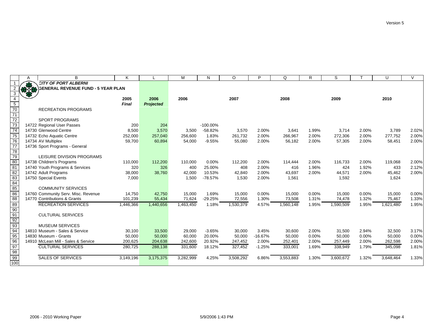|                                                                      | A    | B                                         | Κ            |                  | М         | N           | $\circ$   | P         | Q         | R     | S         |       | U         | $\vee$ |
|----------------------------------------------------------------------|------|-------------------------------------------|--------------|------------------|-----------|-------------|-----------|-----------|-----------|-------|-----------|-------|-----------|--------|
|                                                                      |      | <b>CITY OF PORT ALBERNI</b>               |              |                  |           |             |           |           |           |       |           |       |           |        |
|                                                                      | 1070 | <b>SENERAL REVENUE FUND - 5 YEAR PLAN</b> |              |                  |           |             |           |           |           |       |           |       |           |        |
| $\mathbf{3}$                                                         |      |                                           |              |                  |           |             |           |           |           |       |           |       |           |        |
| $\overline{4}$                                                       |      |                                           | 2005         | 2006             | 2006      |             | 2007      |           | 2008      |       | 2009      |       | 2010      |        |
| $\frac{5}{70}$                                                       |      |                                           | <b>Final</b> | <b>Projected</b> |           |             |           |           |           |       |           |       |           |        |
|                                                                      |      | <b>RECREATION PROGRAMS</b>                |              |                  |           |             |           |           |           |       |           |       |           |        |
| $\frac{1}{71}$                                                       |      |                                           |              |                  |           |             |           |           |           |       |           |       |           |        |
| 72                                                                   |      | <b>SPORT PROGRAMS</b>                     |              |                  |           |             |           |           |           |       |           |       |           |        |
| 73                                                                   |      | 14722 Regional User Passes                | 200          | 204              |           | $-100.00\%$ |           |           |           |       |           |       |           |        |
| 74                                                                   |      | 14730 Glenwood Centre                     | 8,500        | 3,570            | 3,500     | $-58.82%$   | 3,570     | 2.00%     | 3,641     | 1.99% | 3,714     | 2.00% | 3,789     | 2.02%  |
| 75                                                                   |      | 14732 Echo Aquatic Centre                 | 252,000      | 257,040          | 256,600   | 1.83%       | 261,732   | 2.00%     | 266,967   | 2.00% | 272,306   | 2.00% | 277,752   | 2.00%  |
| 76                                                                   |      | 14734 AV Multiplex                        | 59,700       | 60,894           | 54,000    | $-9.55%$    | 55,080    | 2.00%     | 56,182    | 2.00% | 57,305    | 2.00% | 58,451    | 2.00%  |
| $\overline{77}$                                                      |      | 14736 Sport Programs - General            |              |                  |           |             |           |           |           |       |           |       |           |        |
| $\frac{78}{79}$                                                      |      |                                           |              |                  |           |             |           |           |           |       |           |       |           |        |
|                                                                      |      | LEISURE DIVISION PROGRAMS                 |              |                  |           |             |           |           |           |       |           |       |           |        |
| 80                                                                   |      | 14738 Children's Programs                 | 110,000      | 112,200          | 110,000   | $0.00\%$    | 112,200   | 2.00%     | 114,444   | 2.00% | 116.733   | 2.00% | 119,068   | 2.00%  |
| 81                                                                   |      | 14740 Youth Programs & Services           | 320          | 326              | 400       | 25.00%      | 408       | 2.00%     | 416       | 1.96% | 424       | 1.92% | 433       | 2.12%  |
| 82                                                                   |      | 14742 Adult Programs                      | 38,000       | 38,760           | 42,000    | 10.53%      | 42,840    | 2.00%     | 43,697    | 2.00% | 44,571    | 2.00% | 45,462    | 2.00%  |
| 83                                                                   |      | 14750 Special Events                      | 7,000        |                  | 1,500     | $-78.57%$   | 1,530     | 2.00%     | 1,561     |       | 1,592     |       | 1,624     |        |
|                                                                      |      |                                           |              |                  |           |             |           |           |           |       |           |       |           |        |
|                                                                      |      | <b>COMMUNITY SERVICES</b>                 |              |                  |           |             |           |           |           |       |           |       |           |        |
|                                                                      |      | 14760 Community Serv. Misc. Revenue       | 14,750       | 42,750           | 15,000    | 1.69%       | 15,000    | 0.00%     | 15,000    | 0.00% | 15,000    | 0.00% | 15,000    | 0.00%  |
|                                                                      |      | 14770 Contributions & Grants              | 101,239      | 55,434           | 71,624    | $-29.25%$   | 72,556    | 1.30%     | 73,508    | 1.31% | 74,478    | 1.32% | 75,467    | 1.33%  |
|                                                                      |      | <b>RECREATION SERVICES</b>                | 1,446,366    | 1,440,656        | 1,463,450 | 1.18%       | 1,530,379 | 4.57%     | 1,560,148 | 1.95% | 1,590,509 | 1.95% | 1,621,480 | 1.95%  |
|                                                                      |      |                                           |              |                  |           |             |           |           |           |       |           |       |           |        |
|                                                                      |      | <b>CULTURAL SERVICES</b>                  |              |                  |           |             |           |           |           |       |           |       |           |        |
|                                                                      |      |                                           |              |                  |           |             |           |           |           |       |           |       |           |        |
|                                                                      |      | <b>MUSEUM SERVICES</b>                    |              |                  |           |             |           |           |           |       |           |       |           |        |
| 84<br>85<br>86<br>88<br>89<br>90<br>90<br>91<br>92<br>93<br>95<br>96 |      | 14810 Museum - Sales & Service            | 30,100       | 33,500           | 29,000    | $-3.65%$    | 30,000    | 3.45%     | 30,600    | 2.00% | 31,500    | 2.94% | 32,500    | 3.17%  |
|                                                                      |      | 14830 Museum - Grants                     | 50,000       | 50,000           | 60,000    | 20.00%      | 50,000    | $-16.67%$ | 50,000    | 0.00% | 50,000    | 0.00% | 50,000    | 0.00%  |
|                                                                      |      | 14910 McLean Mill - Sales & Service       | 200,625      | 204,638          | 242,600   | 20.92%      | 247,452   | 2.00%     | 252,401   | 2.00% | 257,449   | 2.00% | 262,598   | 2.00%  |
| 97                                                                   |      | <b>CULTURAL SERVICES</b>                  | 280,725      | 288,138          | 331,600   | 18.12%      | 327,452   | $-1.25%$  | 333,001   | 1.69% | 338,949   | 1.79% | 345,098   | 1.81%  |
| $\frac{98}{99}$                                                      |      |                                           |              |                  |           |             |           |           |           |       |           |       |           |        |
|                                                                      |      | <b>SALES OF SERVICES</b>                  | 3,149,196    | 3,175,375        | 3,282,999 | 4.25%       | 3,508,292 | 6.86%     | 3,553,883 | 1.30% | 3,600,672 | 1.32% | 3,648,464 | 1.33%  |
| 100                                                                  |      |                                           |              |                  |           |             |           |           |           |       |           |       |           |        |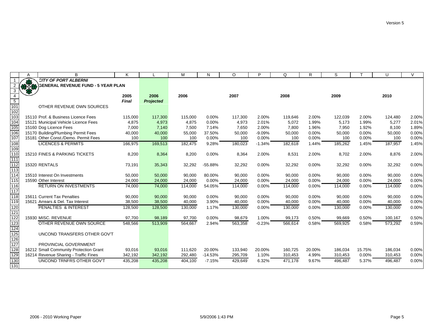|                                   | A          | B                                         | K            |                  | M       | N         | O       | P        | Q       | R      | S       |        | U       | $\vee$ |
|-----------------------------------|------------|-------------------------------------------|--------------|------------------|---------|-----------|---------|----------|---------|--------|---------|--------|---------|--------|
|                                   | <b>RAS</b> | <b>CITY OF PORT ALBERNI</b>               |              |                  |         |           |         |          |         |        |         |        |         |        |
|                                   |            | <b>GENERAL REVENUE FUND - 5 YEAR PLAN</b> |              |                  |         |           |         |          |         |        |         |        |         |        |
| $\mathbf{3}$                      |            |                                           |              |                  |         |           |         |          |         |        |         |        |         |        |
| $\overline{4}$<br>$5\overline{)}$ |            |                                           | 2005         | 2006             | 2006    |           | 2007    |          | 2008    |        | 2009    |        | 2010    |        |
| $\frac{1}{101}$                   |            | OTHER REVENUE OWN SOURCES                 | <b>Final</b> | <b>Projected</b> |         |           |         |          |         |        |         |        |         |        |
| 102                               |            |                                           |              |                  |         |           |         |          |         |        |         |        |         |        |
| 103                               |            | 15110 Prof. & Business Licence Fees       | 115,000      | 117,300          | 115,000 | 0.00%     | 117,300 | 2.00%    | 119,646 | 2.00%  | 122,039 | 2.00%  | 124,480 | 2.00%  |
| 104                               |            | 15121 Municipal Vehicle Licence Fees      | 4,875        | 4,973            | 4,875   | 0.00%     | 4,973   | 2.01%    | 5,072   | 1.99%  | 5,173   | 1.99%  | 5,277   | 2.01%  |
| 105                               |            | 15160 Dog Licence Fees                    | 7,000        | 7,140            | 7,500   | 7.14%     | 7.650   | 2.00%    | 7,800   | 1.96%  | 7,950   | 1.92%  | 8,100   | 1.89%  |
| 106                               |            | 15170 Building/Plumbing Permit Fees       | 40,000       | 40,000           | 55,000  | 37.50%    | 50,000  | $-9.09%$ | 50,000  | 0.00%  | 50,000  | 0.00%  | 50,000  | 0.00%  |
| $\overline{107}$                  |            | 15181 Other Const./Demo. Permit Fees      | 100          | 100              | 100     | 0.00%     | 100     | 0.00%    | 100     | 0.00%  | 100     | 0.00%  | 100     | 0.00%  |
| 108                               |            | <b>LICENCES &amp; PERMITS</b>             | 166,975      | 169,513          | 182,475 | 9.28%     | 180,023 | $-1.34%$ | 182,618 | 1.44%  | 185,262 | 1.45%  | 187,957 | 1.45%  |
| 109                               |            |                                           |              |                  |         |           |         |          |         |        |         |        |         |        |
| 110                               |            | 15210 FINES & PARKING TICKETS             | 8,200        | 8,364            | 8,200   | 0.00%     | 8,364   | 2.00%    | 8,531   | 2.00%  | 8,702   | 2.00%  | 8,876   | 2.00%  |
| 111                               |            |                                           |              |                  |         |           |         |          |         |        |         |        |         |        |
| 112                               |            | 15320 RENTALS                             | 73,191       | 35,343           | 32,292  | $-55.88%$ | 32,292  | 0.00%    | 32,292  | 0.00%  | 32,292  | 0.00%  | 32,292  | 0.00%  |
| 113                               |            |                                           |              |                  |         |           |         |          |         |        |         |        |         |        |
| 114                               |            | 15510 Interest On Investments             | 50,000       | 50,000           | 90,000  | 80.00%    | 90,000  | 0.00%    | 90,000  | 0.00%  | 90,000  | 0.00%  | 90,000  | 0.00%  |
| 115                               |            | 15590 Other Interest                      | 24,000       | 24,000           | 24,000  | $0.00\%$  | 24,000  | 0.00%    | 24,000  | 0.00%  | 24,000  | 0.00%  | 24,000  | 0.00%  |
| 116                               |            | <b>RETURN ON INVESTMENTS</b>              | 74,000       | 74,000           | 114,000 | 54.05%    | 114,000 | 0.00%    | 114,000 | 0.00%  | 114,000 | 0.00%  | 114,000 | 0.00%  |
| 117                               |            |                                           |              |                  |         |           |         |          |         |        |         |        |         |        |
| 118                               |            | 15611 Current Tax Penalties               | 90,000       | 90,000           | 90,000  | 0.00%     | 90,000  | 0.00%    | 90,000  | 0.00%  | 90,000  | 0.00%  | 90,000  | 0.00%  |
| 119                               |            | 15621 Arrears & Del. Tax Interest         | 38,500       | 38,500           | 40,000  | 3.90%     | 40,000  | 0.00%    | 40,000  | 0.00%  | 40,000  | 0.00%  | 40,000  | 0.00%  |
| 120<br>$\overline{121}$           |            | <b>PENALTIES &amp; INTEREST</b>           | 128,500      | 128,500          | 130,000 | 1.17%     | 130,000 | 0.00%    | 130,000 | 0.00%  | 130,000 | 0.00%  | 130,000 | 0.00%  |
| 122                               |            | 15930 MISC. REVENUE                       | 97,700       | 98,189           | 97,700  | 0.00%     | 98,679  | 1.00%    | 99,173  | 0.50%  | 99,669  | 0.50%  | 100,167 | 0.50%  |
| 123                               |            | OTHER REVENUE OWN SOURCE                  | 548,566      | 513,909          | 564,667 | 2.94%     | 563,358 | $-0.23%$ | 566,614 | 0.58%  | 569,925 | 0.58%  | 573,292 | 0.59%  |
| 124                               |            |                                           |              |                  |         |           |         |          |         |        |         |        |         |        |
| 125                               |            | UNCOND TRANSFERS OTHER GOV'T              |              |                  |         |           |         |          |         |        |         |        |         |        |
| 126                               |            |                                           |              |                  |         |           |         |          |         |        |         |        |         |        |
| 127                               |            | PROVINCIAL GOVERNMENT                     |              |                  |         |           |         |          |         |        |         |        |         |        |
| $\overline{128}$                  |            | 16212 Small Community Protection Grant    | 93,016       | 93,016           | 111.620 | 20.00%    | 133,940 | 20.00%   | 160,725 | 20.00% | 186,034 | 15.75% | 186,034 | 0.00%  |
| 129                               |            | 16214 Revenue Sharing - Traffic Fines     | 342,192      | 342,192          | 292,480 | $-14.53%$ | 295,709 | 1.10%    | 310,453 | 4.99%  | 310,453 | 0.00%  | 310,453 | 0.00%  |
| 130                               |            | UNCOND TRNFRS OTHER GOV'T                 | 435,208      | 435,208          | 404,100 | $-7.15%$  | 429,649 | 6.32%    | 471,178 | 9.67%  | 496,487 | 5.37%  | 496,487 | 0.00%  |
| 131                               |            |                                           |              |                  |         |           |         |          |         |        |         |        |         |        |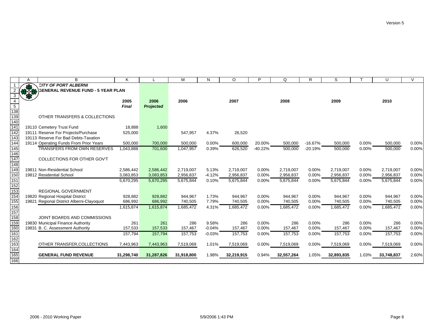|                  |     | B                                         |            |                  | М          |          | $\circ$    | P         | $\Omega$   | R         | S          |       | U          | $\sqrt{}$ |
|------------------|-----|-------------------------------------------|------------|------------------|------------|----------|------------|-----------|------------|-----------|------------|-------|------------|-----------|
|                  |     | <b>CITY OF PORT ALBERNI</b>               |            |                  |            |          |            |           |            |           |            |       |            |           |
|                  | 378 | <b>GENERAL REVENUE FUND - 5 YEAR PLAN</b> |            |                  |            |          |            |           |            |           |            |       |            |           |
| 3                |     |                                           |            |                  |            |          |            |           |            |           |            |       |            |           |
| 4                |     |                                           | 2005       | 2006             | 2006       |          | 2007       |           | 2008       |           | 2009       |       | 2010       |           |
| $5\phantom{.0}$  |     |                                           | Final      | <b>Projected</b> |            |          |            |           |            |           |            |       |            |           |
| 138<br>139       |     |                                           |            |                  |            |          |            |           |            |           |            |       |            |           |
|                  |     | OTHER TRANSFERS & COLLECTIONS             |            |                  |            |          |            |           |            |           |            |       |            |           |
| 140              |     |                                           |            |                  |            |          |            |           |            |           |            |       |            |           |
| $\overline{141}$ |     | 19110 Cemetery Trust Fund                 | 18,888     | 1,600            |            |          |            |           |            |           |            |       |            |           |
| 142              |     | 19111 Reserve For Projects/Purchase       | 525,000    |                  | 547,957    | 4.37%    | 26,520     |           |            |           |            |       |            |           |
| 143              |     | 19113 Reserve For Bad Debts-Taxation      |            |                  |            |          |            |           |            |           |            |       |            |           |
| 144              |     | 19114 Operating Funds From Prior Years    | 500,000    | 700,000          | 500,000    | 0.00%    | 600,000    | 20.00%    | 500,000    | $-16.67%$ | 500,000    | 0.00% | 500,000    | 0.00%     |
| 145              |     | <b>TRANSFERS FROM OWN RESERVES</b>        | 1,043,888  | 701,600          | 1,047,957  | 0.39%    | 626,520    | $-40.22%$ | 500,000    | $-20.19%$ | 500,000    | 0.00% | 500,000    | 0.00%     |
| 146              |     |                                           |            |                  |            |          |            |           |            |           |            |       |            |           |
| 147              |     | COLLECTIONS FOR OTHER GOV'T               |            |                  |            |          |            |           |            |           |            |       |            |           |
| 148              |     |                                           |            |                  |            |          |            |           |            |           |            |       |            |           |
| 149              |     | 19811 Non-Residential School              | 2,586,442  | 2,586,442        | 2.719.007  | 5.13%    | 2,719,007  | 0.00%     | 2,719,007  | 0.00%     | 2.719.007  | 0.00% | 2,719,007  | 0.00%     |
| 150              |     | 19812 Residential School                  | 3,083,853  | 3,083,853        | 2,956,837  | $-4.12%$ | 2,956,837  | 0.00%     | 2,956,837  | 0.00%     | 2,956,837  | 0.00% | 2,956,837  | 0.00%     |
| 151              |     |                                           | 5,670,295  | 5,670,295        | 5,675,844  | 0.10%    | 5,675,844  | 0.00%     | 5,675,844  | 0.00%     | 5,675,844  | 0.00% | 5,675,844  | 0.00%     |
| 152              |     |                                           |            |                  |            |          |            |           |            |           |            |       |            |           |
| 153              |     | <b>REGIONAL GOVERNMENT</b>                |            |                  |            |          |            |           |            |           |            |       |            |           |
| 154              |     | 19820 Regional Hospital District          | 928,882    | 928,882          | 944,967    | 1.73%    | 944,967    | 0.00%     | 944,967    | 0.00%     | 944,967    | 0.00% | 944,967    | 0.00%     |
| 155              |     | 19821 Regional District Alberni-Clayoquot | 686,992    | 686,992          | 740,505    | 7.79%    | 740,505    | 0.00%     | 740,505    | 0.00%     | 740,505    | 0.00% | 740,505    | 0.00%     |
| 156              |     |                                           | 1,615,874  | 1,615,874        | 1,685,472  | 4.31%    | 1,685,472  | 0.00%     | 1,685,472  | 0.00%     | 1,685,472  | 0.00% | 1,685,472  | 0.00%     |
| 157              |     |                                           |            |                  |            |          |            |           |            |           |            |       |            |           |
| 158              |     | JOINT BOARDS AND COMMISSIONS              |            |                  |            |          |            |           |            |           |            |       |            |           |
| 159              |     | 19830 Municipal Finance Authority         | 261        | 261              | 286        | 9.58%    | 286        | 0.00%     | 286        | 0.00%     | 286        | 0.00% | 286        | 0.00%     |
| 160              |     | 19831 B. C. Assessment Authority          | 157,533    | 157,533          | 157,467    | $-0.04%$ | 157,467    | 0.00%     | 157,467    | 0.00%     | 157,467    | 0.00% | 157,467    | 0.00%     |
| $\overline{161}$ |     |                                           | 157,794    | 157,794          | 157,753    | $-0.03%$ | 157,753    | 0.00%     | 157,753    | 0.00%     | 157,753    | 0.00% | 157,753    | 0.00%     |
|                  |     |                                           |            |                  |            |          |            |           |            |           |            |       |            |           |
| 162<br>163       |     | OTHER TRANSFER, COLLECTIONS               | 7,443,963  | 7,443,963        | 7,519,069  | 1.01%    | 7,519,069  | 0.00%     | 7,519,069  | $0.00\%$  | 7,519,069  | 0.00% | 7,519,069  | 0.00%     |
| 164              |     |                                           |            |                  |            |          |            |           |            |           |            |       |            |           |
| $\frac{1}{165}$  |     | <b>GENERAL FUND REVENUE</b>               | 31,298,740 | 31,287,826       | 31,918,800 | 1.98%    | 32,219,915 | 0.94%     | 32,557,264 | 1.05%     | 32,893,835 | 1.03% | 33,748,837 | 2.60%     |
| 166              |     |                                           |            |                  |            |          |            |           |            |           |            |       |            |           |
|                  |     |                                           |            |                  |            |          |            |           |            |           |            |       |            |           |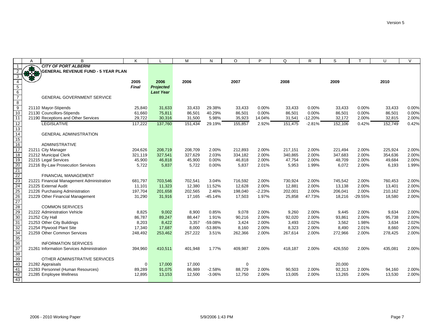|                                            | A | B                                         | Κ       |                  | M       | N         | $\circ$ | P        | Q       | $\mathsf{R}$ | S       |           | U       | $\vee$ |
|--------------------------------------------|---|-------------------------------------------|---------|------------------|---------|-----------|---------|----------|---------|--------------|---------|-----------|---------|--------|
|                                            |   | <b>CITY OF PORT ALBERNI</b>               |         |                  |         |           |         |          |         |              |         |           |         |        |
|                                            |   | <b>GENERAL REVENUE FUND - 5 YEAR PLAN</b> |         |                  |         |           |         |          |         |              |         |           |         |        |
| 3                                          |   |                                           |         |                  |         |           |         |          |         |              |         |           |         |        |
|                                            |   |                                           | 2005    | 2006             | 2006    |           | 2007    |          | 2008    |              | 2009    |           | 2010    |        |
| $\begin{array}{c} 5 \\ 6 \\ 7 \end{array}$ |   |                                           | Final   | <b>Projected</b> |         |           |         |          |         |              |         |           |         |        |
|                                            |   |                                           |         | <b>Last Year</b> |         |           |         |          |         |              |         |           |         |        |
|                                            |   | <b>GENERAL GOVERNMENT SERVICE</b>         |         |                  |         |           |         |          |         |              |         |           |         |        |
| $\bf 8$                                    |   |                                           |         |                  |         |           |         |          |         |              |         |           |         |        |
| $\overline{9}$                             |   | 21110 Mayor-Stipends                      | 25,840  | 31,633           | 33,433  | 29.38%    | 33,433  | 0.00%    | 33,433  | 0.00%        | 33,433  | 0.00%     | 33,433  | 0.00%  |
| $\overline{10}$                            |   | 21130 Councillors-Stipends                | 61,660  | 75,811           | 86,501  | 40.29%    | 86,501  | 0.00%    | 86,501  | 0.00%        | 86,501  | 0.00%     | 86,501  | 0.00%  |
| $\overline{11}$                            |   | 21190 Receptions and Other Services       | 29,722  | 30,316           | 31,500  | 5.98%     | 35,923  | 14.04%   | 31,541  | $-12.20%$    | 32,172  | 2.00%     | 32,815  | 2.00%  |
| $\overline{12}$                            |   | <b>LEGISLATIVE</b>                        | 117,222 | 137,760          | 151,434 | 29.19%    | 155,857 | 2.92%    | 151,475 | $-2.81%$     | 152,106 | 0.42%     | 152,749 | 0.42%  |
| 13                                         |   |                                           |         |                  |         |           |         |          |         |              |         |           |         |        |
| 14<br>$\overline{15}$                      |   | <b>GENERAL ADMINISTRATION</b>             |         |                  |         |           |         |          |         |              |         |           |         |        |
| 16                                         |   | <b>ADMINISTRATIVE</b>                     |         |                  |         |           |         |          |         |              |         |           |         |        |
| $\overline{17}$                            |   | 21211 City Manager                        | 204,626 | 208,719          | 208,709 | 2.00%     | 212,893 | 2.00%    | 217,151 | 2.00%        | 221,494 | 2.00%     | 225,924 | 2.00%  |
| $\overline{18}$                            |   | 21212 Municipal Clerk                     | 321,119 | 327,541          | 327,629 | 2.03%     | 334,182 | 2.00%    | 340,865 | 2.00%        | 347,683 | 2.00%     | 354,636 | 2.00%  |
| 19                                         |   | 21215 Legal Services                      | 45,900  | 46,818           | 45,900  | 0.00%     | 46,818  | 2.00%    | 47,754  | 2.00%        | 48,709  | 2.00%     | 49,684  | 2.00%  |
|                                            |   | 21216 By-Law Prosecution Services         | 5,722   | 5,837            | 5,722   | 0.00%     | 5,837   | 2.01%    | 5,953   | 1.99%        | 6,072   | 2.00%     | 6,193   | 1.99%  |
| $\frac{20}{21}$                            |   |                                           |         |                  |         |           |         |          |         |              |         |           |         |        |
|                                            |   | <b>FINANCIAL MANAGEMENT</b>               |         |                  |         |           |         |          |         |              |         |           |         |        |
| 22<br>23<br>24                             |   | 21221 Financial Management Administration | 681,797 | 703,546          | 702,541 | 3.04%     | 716,592 | 2.00%    | 730,924 | 2.00%        | 745,542 | 2.00%     | 760,453 | 2.00%  |
|                                            |   | 21225 External Audit                      | 11,101  | 11,323           | 12,380  | 11.52%    | 12,628  | 2.00%    | 12,881  | 2.00%        | 13,138  | 2.00%     | 13,401  | 2.00%  |
|                                            |   | 21226 Purchasing Administration           | 197,704 | 201,658          | 202,565 | 2.46%     | 198,040 | $-2.23%$ | 202,001 | 2.00%        | 206,041 | 2.00%     | 210,162 | 2.00%  |
| 25<br>26<br>27                             |   | 21229 Other Financial Management          | 31,290  | 31,916           | 17,165  | $-45.14%$ | 17,503  | 1.97%    | 25,858  | 47.73%       | 18,216  | $-29.55%$ | 18,580  | 2.00%  |
|                                            |   |                                           |         |                  |         |           |         |          |         |              |         |           |         |        |
| 28<br>29                                   |   | <b>COMMON SERVICES</b>                    |         |                  |         |           |         |          |         |              |         |           |         |        |
|                                            |   | 21222 Administration Vehicle              | 8,825   | 9,002            | 8,900   | 0.85%     | 9,078   | 2.00%    | 9,260   | 2.00%        | 9,445   | 2.00%     | 9,634   | 2.00%  |
| $\overline{30}$                            |   | 21252 City Hall                           | 86,787  | 89,247           | 88.447  | 1.91%     | 90,216  | 2.00%    | 92,020  | 2.00%        | 93,861  | 2.00%     | 95,738  | 2.00%  |
| 31                                         |   | 21253 Other City Buildings                | 8,203   | 8,422            | 3,357   | $-59.08%$ | 3.424   | 2.00%    | 3,493   | 2.02%        | 3,562   | 1.98%     | 3,634   | 2.02%  |
| 32                                         |   | 21254 Plywood Plant Site                  | 17,340  | 17,687           | 8,000   | -53.86%   | 8,160   | 2.00%    | 8,323   | 2.00%        | 8,490   | 2.01%     | 8,660   | 2.00%  |
| 34                                         |   | 21259 Other Common Services               | 248,492 | 253,462          | 257,222 | 3.51%     | 262,366 | 2.00%    | 267,614 | 2.00%        | 272,966 | 2.00%     | 278,425 | 2.00%  |
| 35<br>36                                   |   |                                           |         |                  |         |           |         |          |         |              |         |           |         |        |
|                                            |   | <b>INFORMATION SERVICES</b>               |         |                  |         |           |         |          |         |              |         |           |         |        |
| $\frac{1}{37}$                             |   | 21261 Information Services Administration | 394,960 | 410,511          | 401,948 | 1.77%     | 409,987 | 2.00%    | 418,187 | 2.00%        | 426,550 | 2.00%     | 435,081 | 2.00%  |
| 38                                         |   |                                           |         |                  |         |           |         |          |         |              |         |           |         |        |
| 39                                         |   | OTHER ADMINISTRATIVE SERVICES             |         |                  |         |           |         |          |         |              |         |           |         |        |
| 40                                         |   | 21282 Appraisals                          | 0       | 17,000           | 17.000  |           | 0       |          |         |              | 20,000  |           |         |        |
| 41                                         |   | 21283 Personnel (Human Resources)         | 89,289  | 91,075           | 86,989  | $-2.58%$  | 88,729  | 2.00%    | 90,503  | 2.00%        | 92,313  | 2.00%     | 94,160  | 2.00%  |
| 42                                         |   | 21285 Employee Wellness                   | 12,895  | 13,153           | 12,500  | $-3.06%$  | 12,750  | 2.00%    | 13,005  | 2.00%        | 13,265  | 2.00%     | 13,530  | 2.00%  |
| 43                                         |   |                                           |         |                  |         |           |         |          |         |              |         |           |         |        |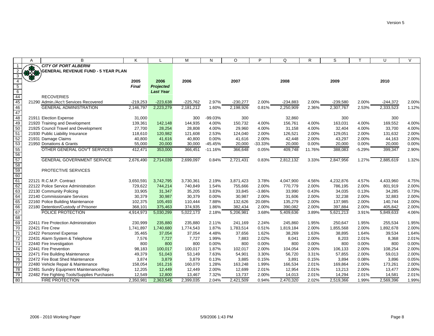|                 | A   | B                                            | K                    |                  | M          | N         | $\circ$    | P         | Q          | R      | S          |          | U          | $\vee$ |
|-----------------|-----|----------------------------------------------|----------------------|------------------|------------|-----------|------------|-----------|------------|--------|------------|----------|------------|--------|
|                 |     | <b>CITY OF PORT ALBERNI</b>                  |                      |                  |            |           |            |           |            |        |            |          |            |        |
|                 | 370 | <b>GENERAL REVENUE FUND - 5 YEAR PLAN</b>    |                      |                  |            |           |            |           |            |        |            |          |            |        |
| 3               |     |                                              |                      |                  |            |           |            |           |            |        |            |          |            |        |
| $\overline{4}$  |     |                                              | 2005                 | 2006             | 2006       |           | 2007       |           | 2008       |        | 2009       |          | 2010       |        |
| 5               |     |                                              | Final                | <b>Projected</b> |            |           |            |           |            |        |            |          |            |        |
| $\overline{6}$  |     |                                              |                      | <b>Last Year</b> |            |           |            |           |            |        |            |          |            |        |
| $\frac{44}{45}$ |     | <b>RECOVERIES</b>                            |                      |                  |            |           |            |           |            |        |            |          |            |        |
|                 |     | 21290 Admin./Acc't Services Recovered        | $-219,253$           | $-223,638$       | $-225,762$ | 2.97%     | $-230,277$ | 2.00%     | $-234,883$ | 2.00%  | $-239,580$ | 2.00%    | $-244,372$ | 2.00%  |
| 46              |     | <b>GENERAL ADMINISTRATION</b>                | 2,146,797            | 2,223,279        | 2.181.212  | 1.60%     | 2.198.926  | 0.81%     | 2.250.909  | 2.36%  | 2,307,767  | 2.53%    | 2,333,523  | 1.12%  |
| 47              |     |                                              |                      |                  |            |           |            |           |            |        |            |          |            |        |
| 48              |     | 21911 Election Expense                       | 31,000               |                  | 300        | $-99.03%$ | 300        |           | 32,860     |        | 300        |          | 300        |        |
| 49              |     | 21920 Training and Development               | 139,361              | 142,148          | 144.935    | 4.00%     | 150.732    | 4.00%     | 156,761    | 4.00%  | 163,031    | 4.00%    | 169,552    | 4.00%  |
| 50              |     | 21925 Council Travel and Development         | 27,700               | 28,254           | 28,808     | 4.00%     | 29,960     | 4.00%     | 31,158     | 4.00%  | 32,404     | 4.00%    | 33,700     | 4.00%  |
| 51              |     | 21930 Public Liability Insurance             | 118,610              | 120,982          | 121,608    | 2.53%     | 124,040    | 2.00%     | 126,521    | 2.00%  | 129,051    | 2.00%    | 131,632    | 2.00%  |
| 52<br>53        |     | 21931 Damage Claims                          | 40,800               | 41,616           | 40,800     | 0.00%     | 41,616     | 2.00%     | 42,448     | 2.00%  | 43,297     | 2.00%    | 44,163     | 2.00%  |
|                 |     | 21950 Donations & Grants                     | 55,000               | 20,000           | 30,000     | $-45.45%$ | 20,000     | $-33.33%$ | 20,000     | 0.00%  | 20,000     | 0.00%    | 20,000     | 0.00%  |
| $\frac{1}{55}$  |     | OTHER GENERAL GOV'T SERVICES                 | $4\overline{12,471}$ | 353,000          | 366,451    | $-11.16%$ | 366,648    | 0.05%     | 409,748    | 11.76% | 388,083    | $-5.29%$ | 399,347    | 2.90%  |
| 56              |     |                                              |                      |                  |            |           |            |           |            |        |            |          |            |        |
| 57              |     | <b>GENERAL GOVERNMENT SERVICE</b>            | 2,676,490            | 2,714,039        | 2,699,097  | 0.84%     | 2,721,431  | 0.83%     | 2,812,132  | 3.33%  | 2,847,956  | 1.27%    | 2,885,619  | 1.32%  |
| 58<br>59        |     |                                              |                      |                  |            |           |            |           |            |        |            |          |            |        |
|                 |     | PROTECTIVE SERVICES                          |                      |                  |            |           |            |           |            |        |            |          |            |        |
| 60              |     |                                              |                      |                  |            |           |            |           |            |        |            |          |            |        |
| 61              |     | 22121 R.C.M.P. Contract                      | 3,650,591            | 3,742,795        | 3,730,361  | 2.19%     | 3,871,423  | 3.78%     | 4,047,900  | 4.56%  | 4,232,876  | 4.57%    | 4,433,960  | 4.75%  |
| 62              |     | 22122 Police Service Administration          | 729,622              | 744,214          | 740.849    | 1.54%     | 755,666    | 2.00%     | 770,779    | 2.00%  | 786.195    | 2.00%    | 801,919    | 2.00%  |
| 63              |     | 22130 Community Policing                     | 33,905               | 31,347           | 35,205     | 3.83%     | 33,845     | $-3.86%$  | 33,990     | 0.43%  | 34,035     | 0.13%    | 34,285     | 0.73%  |
| 64              |     | 22140 Commissionaire Services                | 30,379               | 30,987           | 30,379     | 0.00%     | 30.987     | 2.00%     | 31.606     | 2.00%  | 32,238     | 2.00%    | 32,883     | 2.00%  |
| 65              |     | 22160 Police Building Maintenance            | 102,375              | 105,493          | 110.444    | 7.88%     | 132,626    | 20.08%    | 135,279    | 2.00%  | 137,985    | 2.00%    | 140,744    | 2.00%  |
| 66              |     | 22180 Detention/Custody of Prisoner          | 368,101              | 375,463          | 374,935    | 1.86%     | 382,434    | 2.00%     | 390,082    | 2.00%  | 397,884    | 2.00%    | 405,842    | 2.00%  |
| 67              |     | POLICE PROTECTION                            | 4,914,973            | 5,030,299        | 5,022,173  | 2.18%     | 5,206,981  | 3.68%     | 5,409,636  | 3.89%  | 5,621,213  | 3.91%    | 5,849,633  | 4.06%  |
| 68              |     |                                              |                      |                  |            |           |            |           |            |        |            |          |            |        |
| 69              |     | 22411 Fire Protection Administration         | 230,999              | 235,880          | 235,880    | 2.11%     | 241,169    | 2.24%     | 245,860    | 1.95%  | 250,647    | 1.95%    | 255,534    | 1.95%  |
| $\overline{70}$ |     | 22421 Fire Crew                              | 1,741,897            | 1,740,680        | 1,774,543  | 1.87%     | 1,783,514  | 0.51%     | 1,819,184  | 2.00%  | 1,855,568  | 2.00%    | 1,892,678  | 2.00%  |
| $\overline{71}$ |     | 22422 Personnel Expense                      | 35,465               | 37,054           | 37,054     | 4.48%     | 37,656     | 1.62%     | 38,269     | 1.63%  | 38,895     | 1.64%    | 39,534     | 1.64%  |
| $\overline{72}$ |     | 22431 Alarm System & Telephone               | 7,576                | 7,727            | 7,727      | 1.99%     | 7,883      | 2.02%     | 8,041      | 2.00%  | 8,203      | 2.01%    | 8,368      | 2.01%  |
| 73              |     | 22440 Fire Investigation                     | 800                  | 800              | 800        | $0.00\%$  | 800        | 0.00%     | 800        | 0.00%  | 800        | 0.00%    | 800        | 0.00%  |
| 74              |     | 22441 Fire Prevention                        | 98,183               | 100,017          | 100,017    | 1.87%     | 102,017    | 2.00%     | 104,054    | 2.00%  | 106,133    | 2.00%    | 108,254    | 2.00%  |
| 75              |     | 22471 Fire Building Maintenance              | 49,379               | 51,043           | 53,149     | 7.63%     | 54,901     | 3.30%     | 56,720     | 3.31%  | 57,855     | 2.00%    | 59,013     | 2.00%  |
| 76              |     | 22472 Fire Boat Shed Maintenance             | 3,874                | 3,879            | 3,879      | 0.13%     | 3,885      | 0.15%     | 3,891      | 0.15%  | 3,894      | 0.08%    | 3,896      | 0.05%  |
| 77              |     | 22480 Vehicle Repair & Maintenance           | 158,054              | 161,216          | 160,070    | 1.28%     | 163,248    | 1.99%     | 166,534    | 2.01%  | 169,864    | 2.00%    | 173,261    | 2.00%  |
| 78              |     | 22481 Sundry Equipment Maintenance/Rep       | 12,205               | 12,449           | 12,449     | 2.00%     | 12,699     | 2.01%     | 12,954     | 2.01%  | 13,213     | 2.00%    | 13,477     | 2.00%  |
| 79              |     | 22482 Fire Fighting Tools/Supplies Purchases | 12,549               | 12,800           | 13,467     | 7.32%     | 13,737     | 2.00%     | 14,013     | 2.01%  | 14,294     | 2.01%    | 14,581     | 2.01%  |
| $\overline{80}$ |     | <b>FIRE PROTECTION</b>                       | 2,350,981            | 2,363,545        | 2,399,035  | 2.04%     | 2,421,509  | 0.94%     | 2,470,320  | 2.02%  | 2,519,366  | 1.99%    | 2,569,396  | 1.99%  |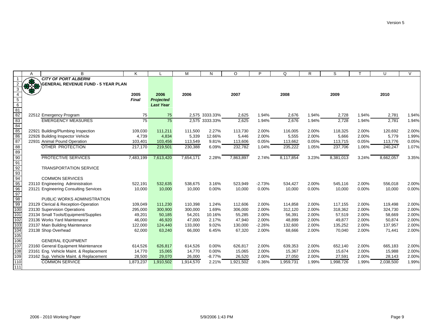|                                    | Α        | B                                         | K                |                  | М         | N              | $\circ$   | P        | Q                | R     | S         |       | U                | $\vee$ |
|------------------------------------|----------|-------------------------------------------|------------------|------------------|-----------|----------------|-----------|----------|------------------|-------|-----------|-------|------------------|--------|
|                                    |          | <b>CITY OF PORT ALBERNI</b>               |                  |                  |           |                |           |          |                  |       |           |       |                  |        |
|                                    | $8 - 12$ | <b>GENERAL REVENUE FUND - 5 YEAR PLAN</b> |                  |                  |           |                |           |          |                  |       |           |       |                  |        |
| 3                                  |          |                                           |                  |                  |           |                |           |          |                  |       |           |       |                  |        |
|                                    |          |                                           | 2005             | 2006             | 2006      |                | 2007      |          | 2008             |       | 2009      |       | 2010             |        |
| $\overline{5}$                     |          |                                           | Final            | <b>Projected</b> |           |                |           |          |                  |       |           |       |                  |        |
| $6\overline{6}$                    |          |                                           |                  | <b>Last Year</b> |           |                |           |          |                  |       |           |       |                  |        |
| $\frac{81}{82}$                    |          |                                           |                  |                  |           |                |           |          |                  |       |           |       |                  |        |
| 83                                 |          | 22512 Emergency Program                   | 75               | 75               |           | 2,575 3333.33% | 2,625     | 1.94%    | 2,676            | 1.94% | 2,728     | 1.94% | 2,781            | 1.94%  |
|                                    |          | <b>EMERGENCY MEASURES</b>                 | 75               | 75               |           | 2,575 3333.33% | 2,625     | 1.94%    | 2,676            | 1.94% | 2,728     | 1.94% | 2,781            | 1.94%  |
| 84<br>85                           |          | 22921 Building/Plumbing Inspection        |                  | 111,211          | 111,500   | 2.27%          | 113,730   | 2.00%    |                  | 2.00% | 118,325   | 2.00% |                  | 2.00%  |
| 86                                 |          | 22926 Building Inspector Vehicle          | 109,030<br>4,739 | 4,834            | 5,339     | 12.66%         | 5,446     | 2.00%    | 116,005<br>5,555 | 2.00% | 5,666     | 2.00% | 120,692<br>5,779 | 1.99%  |
| 87                                 |          | 22931 Animal Pound Operation              | 103,401          | 103,456          | 113,549   | 9.81%          | 113,606   | 0.05%    | 113,662          | 0.05% | 113,715   | 0.05% | 113,776          | 0.05%  |
| 88                                 |          | OTHER PROTECTION                          | 217,170          | 219,501          | 230,388   | 6.09%          | 232,782   | 1.04%    | 235,222          | 1.05% | 237,706   | 1.06% | 240,247          | 1.07%  |
| 89                                 |          |                                           |                  |                  |           |                |           |          |                  |       |           |       |                  |        |
|                                    |          | <b>PROTECTIVE SERVICES</b>                | 7,483,199        | 7,613,420        | 7,654,171 | 2.28%          | 7,863,897 | 2.74%    | 8,117,854        | 3.23% | 8,381,013 | 3.24% | 8,662,057        | 3.35%  |
| $\frac{90}{91}$                    |          |                                           |                  |                  |           |                |           |          |                  |       |           |       |                  |        |
|                                    |          | <b>TRANSPORTATION SERVICE</b>             |                  |                  |           |                |           |          |                  |       |           |       |                  |        |
| $\frac{92}{93}$<br>$\frac{94}{95}$ |          |                                           |                  |                  |           |                |           |          |                  |       |           |       |                  |        |
|                                    |          | <b>COMMON SERVICES</b>                    |                  |                  |           |                |           |          |                  |       |           |       |                  |        |
|                                    |          | 23110 Engineering Administration          | 522,191          | 532,635          | 538,675   | 3.16%          | 523,949   | $-2.73%$ | 534,427          | 2.00% | 545,116   | 2.00% | 556,018          | 2.00%  |
| $\frac{96}{97}$                    |          | 23121 Engineering Consulting Services     | 10,000           | 10,000           | 10,000    | 0.00%          | 10,000    | 0.00%    | 10,000           | 0.00% | 10,000    | 0.00% | 10,000           | 0.00%  |
|                                    |          |                                           |                  |                  |           |                |           |          |                  |       |           |       |                  |        |
| 98                                 |          | PUBLIC WORKS ADMINISTRATION               |                  |                  |           |                |           |          |                  |       |           |       |                  |        |
| 99                                 |          | 23129 Clerical & Reception-Operation      | 109,049          | 111,230          | 110,398   | 1.24%          | 112,606   | 2.00%    | 114,858          | 2.00% | 117,155   | 2.00% | 119,498          | 2.00%  |
| 100                                |          | 23130 Supervision Operations              | 295,000          | 300,900          | 300,000   | 1.69%          | 306,000   | 2.00%    | 312,120          | 2.00% | 318,362   | 2.00% | 324,730          | 2.00%  |
| $\overline{101}$                   |          | 23134 Small Tools/Equipment/Supplies      | 49,201           | 50,185           | 54,201    | 10.16%         | 55,285    | 2.00%    | 56,391           | 2.00% | 57,519    | 2.00% | 58,669           | 2.00%  |
| $\overline{102}$                   |          | 23136 Works Yard Maintenance              | 46,000           | 46,920           | 47,000    | 2.17%          | 47,940    | 2.00%    | 48,899           | 2.00% | 49,877    | 2.00% | 50,874           | 2.00%  |
| 103                                |          | 23137 Main Building Maintenance           | 122,000          | 124,440          | 133,000   | 9.02%          | 130,000   | $-2.26%$ | 132,600          | 2.00% | 135,252   | 2.00% | 137,957          | 2.00%  |
| 104<br>105                         |          | 23138 Shop Overhead                       | 62,000           | 63,240           | 66,000    | 6.45%          | 67,320    | 2.00%    | 68,666           | 2.00% | 70,040    | 2.00% | 71,441           | 2.00%  |
| 106                                |          | <b>GENERAL EQUIPMENT</b>                  |                  |                  |           |                |           |          |                  |       |           |       |                  |        |
| 107                                |          | 23160 General Equipment Maintenance       | 614,526          | 626,817          | 614,526   | 0.00%          | 626,817   | 2.00%    | 639,353          | 2.00% | 652,140   | 2.00% | 665,183          | 2.00%  |
| $\overline{108}$                   |          | 23161 Eng. Vehicle Maint. & Replacement   | 14,770           | 15,065           | 14,770    | 0.00%          | 15,065    | 2.00%    | 15,367           | 2.00% | 15,674    | 2.00% | 15,988           | 2.00%  |
| 109                                |          | 23162 Sup. Vehicle Maint. & Replacement   | 28,500           | 29,070           | 26,000    | $-8.77%$       | 26,520    | 2.00%    | 27,050           | 2.00% | 27,591    | 2.00% | 28,143           | 2.00%  |
| 110                                |          | <b>COMMON SERVICE</b>                     | 1,873,237        | 1,910,502        | 1,914,570 | 2.21%          | 1,921,502 | 0.36%    | 1,959,731        | 1.99% | 1,998,726 | 1.99% | 2,038,500        | 1.99%  |
| 111                                |          |                                           |                  |                  |           |                |           |          |                  |       |           |       |                  |        |
|                                    |          |                                           |                  |                  |           |                |           |          |                  |       |           |       |                  |        |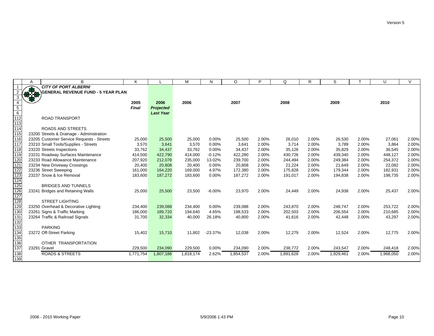|                  | A            | B                                         | Κ         |                  | M         | N         | $\circ$   | Þ     | Q         | R     | S         |       | $\cup$    | $\vee$ |
|------------------|--------------|-------------------------------------------|-----------|------------------|-----------|-----------|-----------|-------|-----------|-------|-----------|-------|-----------|--------|
|                  |              | <b>CITY OF PORT ALBERNI</b>               |           |                  |           |           |           |       |           |       |           |       |           |        |
|                  | $+3$         | <b>GENERAL REVENUE FUND - 5 YEAR PLAN</b> |           |                  |           |           |           |       |           |       |           |       |           |        |
| 3                |              |                                           |           |                  |           |           |           |       |           |       |           |       |           |        |
|                  |              |                                           | 2005      | 2006             | 2006      |           | 2007      |       | 2008      |       | 2009      |       | 2010      |        |
| $\overline{5}$   |              |                                           | Final     | <b>Projected</b> |           |           |           |       |           |       |           |       |           |        |
| $\overline{6}$   |              |                                           |           | <b>Last Year</b> |           |           |           |       |           |       |           |       |           |        |
| $\overline{112}$ |              | <b>ROAD TRANSPORT</b>                     |           |                  |           |           |           |       |           |       |           |       |           |        |
| 113              |              |                                           |           |                  |           |           |           |       |           |       |           |       |           |        |
| 114              |              | <b>ROADS AND STREETS</b>                  |           |                  |           |           |           |       |           |       |           |       |           |        |
| 115              |              | 23200 Streets & Drainage - Administration |           |                  |           |           |           |       |           |       |           |       |           |        |
| $\overline{116}$ |              | 23205 Customer Service Requests - Streets | 25,000    | 25,500           | 25,000    | 0.00%     | 25,500    | 2.00% | 26,010    | 2.00% | 26,530    | 2.00% | 27,061    | 2.00%  |
| $\overline{117}$ |              | 23210 Small Tools/Supplies - Streets      | 3,570     | 3,641            | 3,570     | 0.00%     | 3,641     | 2.00% | 3,714     | 2.00% | 3,789     | 2.00% | 3,864     | 2.00%  |
| 118              |              | 23220 Streets Inspections                 | 33,762    | 34,437           | 33,762    | 0.00%     | 34,437    | 2.00% | 35,126    | 2.00% | 35,829    | 2.00% | 36,545    | 2.00%  |
| 119              |              | 23231 Roadway Surfaces Maintenance        | 414,500   | 422,790          | 414,000   | $-0.12%$  | 422,280   | 2.00% | 430,726   | 2.00% | 439,340   | 2.00% | 448,127   | 2.00%  |
| 120              |              | 23233 Road Allowance Maintenance          | 207,920   | 212,078          | 235,000   | 13.02%    | 239,700   | 2.00% | 244,494   | 2.00% | 249,384   | 2.00% | 254,372   | 2.00%  |
| $\overline{121}$ |              | 23234 New Driveway Crossings              | 20,400    | 20,808           | 20,400    | 0.00%     | 20,808    | 2.00% | 21,224    | 2.00% | 21,649    | 2.00% | 22,082    | 2.00%  |
| 122              |              | 23236 Street Sweeping                     | 161,000   | 164,220          | 169,000   | 4.97%     | 172,380   | 2.00% | 175,828   | 2.00% | 179,344   | 2.00% | 182,931   | 2.00%  |
| 123              |              | 23237 Snow & Ice Removal                  | 183,600   | 187,272          | 183,600   | 0.00%     | 187,272   | 2.00% | 191,017   | 2.00% | 194,838   | 2.00% | 198,735   | 2.00%  |
| 124              |              |                                           |           |                  |           |           |           |       |           |       |           |       |           |        |
| 125              |              | <b>BRIDGES AND TUNNELS</b>                |           |                  |           |           |           |       |           |       |           |       |           |        |
| 126              |              | 23241 Bridges and Retaining Walls         | 25,000    | 25,500           | 23,500    | $-6.00%$  | 23,970    | 2.00% | 24,449    | 2.00% | 24,938    | 2.00% | 25,437    | 2.00%  |
| 127              |              |                                           |           |                  |           |           |           |       |           |       |           |       |           |        |
| 128              |              | <b>STREET LIGHTING</b>                    |           |                  |           |           |           |       |           |       |           |       |           |        |
| 129              |              | 23250 Overhead & Decorative Lighting      | 234,400   | 239,088          | 234,400   | 0.00%     | 239,088   | 2.00% | 243,870   | 2.00% | 248,747   | 2.00% | 253,722   | 2.00%  |
| 130              |              | 23261 Signs & Traffic Marking             | 186,000   | 189,720          | 194,640   | 4.65%     | 198,533   | 2.00% | 202,503   | 2.00% | 206,554   | 2.00% | 210,685   | 2.00%  |
| 131              |              | 23264 Traffic & Railroad Signals          | 31,700    | 32,334           | 40,000    | 26.18%    | 40,800    | 2.00% | 41,616    | 2.00% | 42,448    | 2.00% | 43,297    | 2.00%  |
| 132              |              |                                           |           |                  |           |           |           |       |           |       |           |       |           |        |
| 133              |              | <b>PARKING</b>                            |           |                  |           |           |           |       |           |       |           |       |           |        |
| 134              |              | 23272 Off-Street Parking                  | 15,402    | 15,710           | 11,802    | $-23.37%$ | 12,038    | 2.00% | 12,279    | 2.00% | 12,524    | 2.00% | 12,775    | 2.00%  |
| 135              |              |                                           |           |                  |           |           |           |       |           |       |           |       |           |        |
| 136              |              | OTHER TRANSPORTATION                      |           |                  |           |           |           |       |           |       |           |       |           |        |
| 137              | 23291 Gravel |                                           | 229,500   | 234,090          | 229,500   | 0.00%     | 234,090   | 2.00% | 238,772   | 2.00% | 243,547   | 2.00% | 248,418   | 2.00%  |
| 138              |              | <b>ROADS &amp; STREETS</b>                | 1,771,754 | 1,807,188        | 1,818,174 | 2.62%     | 1,854,537 | 2.00% | 1,891,628 | 2.00% | 1,929,461 | 2.00% | 1,968,050 | 2.00%  |
| 139              |              |                                           |           |                  |           |           |           |       |           |       |           |       |           |        |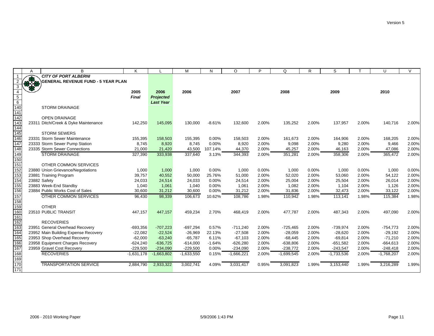|                                     | A | B                                         | K            |                  | M            | N        | $\circ$      | P     | Q            | R     | S            |       | U            | $\vee$ |
|-------------------------------------|---|-------------------------------------------|--------------|------------------|--------------|----------|--------------|-------|--------------|-------|--------------|-------|--------------|--------|
| $\mathbf{1}$                        |   | <b>CITY OF PORT ALBERNI</b>               |              |                  |              |          |              |       |              |       |              |       |              |        |
| $\overline{2}$                      |   | <b>GENERAL REVENUE FUND - 5 YEAR PLAN</b> |              |                  |              |          |              |       |              |       |              |       |              |        |
| 3                                   |   |                                           |              |                  |              |          |              |       |              |       |              |       |              |        |
| $\overline{4}$                      |   |                                           | 2005         | 2006             | 2006         |          | 2007         |       | 2008         |       | 2009         |       | 2010         |        |
|                                     |   |                                           | <b>Final</b> | <b>Projected</b> |              |          |              |       |              |       |              |       |              |        |
|                                     |   |                                           |              | <b>Last Year</b> |              |          |              |       |              |       |              |       |              |        |
| $\frac{\frac{1}{5}}{\frac{6}{140}}$ |   | <b>STORM DRAINAGE</b>                     |              |                  |              |          |              |       |              |       |              |       |              |        |
|                                     |   |                                           |              |                  |              |          |              |       |              |       |              |       |              |        |
| 142                                 |   | <b>OPEN DRAINAGE</b>                      |              |                  |              |          |              |       |              |       |              |       |              |        |
| 143                                 |   | 23311 Ditch/Creek & Dyke Maintenance      | 142,250      | 145,095          | 130,000      | $-8.61%$ | 132,600      | 2.00% | 135,252      | 2.00% | 137,957      | 2.00% | 140,716      | 2.00%  |
| 144                                 |   |                                           |              |                  |              |          |              |       |              |       |              |       |              |        |
| 145                                 |   | <b>STORM SEWERS</b>                       |              |                  |              |          |              |       |              |       |              |       |              |        |
| 146                                 |   | 23331 Storm Sewer Maintenance             | 155,395      | 158,503          | 155,395      | 0.00%    | 158,503      | 2.00% | 161,673      | 2.00% | 164,906      | 2.00% | 168,205      | 2.00%  |
| 147                                 |   | 23333 Storm Sewer Pump Station            | 8.745        | 8.920            | 8.745        | 0.00%    | 8.920        | 2.00% | 9,098        | 2.00% | 9.280        | 2.00% | 9.466        | 2.00%  |
| 148                                 |   | 23335 Storm Sewer Connections             | 21,000       | 21,420           | 43,500       | 107.14%  | 44,370       | 2.00% | 45,257       | 2.00% | 46,163       | 2.00% | 47,086       | 2.00%  |
| 149                                 |   | <b>STORM DRAINAGE</b>                     | 327,390      | 333,938          | 337,640      | 3.13%    | 344,393      | 2.00% | 351,281      | 2.00% | 358,306      | 2.00% | 365,472      | 2.00%  |
| $\frac{150}{151}$                   |   |                                           |              |                  |              |          |              |       |              |       |              |       |              |        |
|                                     |   | OTHER COMMON SERVICES                     |              |                  |              |          |              |       |              |       |              |       |              |        |
| 152                                 |   | 23880 Union Grievance/Negotiations        | 1,000        | 1,000            | 1,000        | 0.00%    | 1,000        | 0.00% | 1,000        | 0.00% | 1,000        | 0.00% | 1,000        | 0.00%  |
| 153                                 |   | 23881 Training Program                    | 39,757       | 40,552           | 50,000       | 25.76%   | 51,000       | 2.00% | 52,020       | 2.00% | 53,060       | 2.00% | 54,122       | 2.00%  |
| 154                                 |   | 23882 Safety                              | 24,033       | 24,514           | 24,033       | 0.00%    | 24,514       | 2.00% | 25,004       | 2.00% | 25,504       | 2.00% | 26,014       | 2.00%  |
| 155                                 |   | 23883 Week-End Standby                    | 1,040        | 1,061            | 1,040        | 0.00%    | 1,061        | 2.00% | 1,082        | 2.00% | 1,104        | 2.00% | 1,126        | 2.00%  |
| 156<br>157                          |   | 23884 Public Works Cost of Sales          | 30,600       | 31,212           | 30,600       | 0.00%    | 31,212       | 2.00% | 31,836       | 2.00% | 32,473       | 2.00% | 33,122       | 2.00%  |
|                                     |   | OTHER COMMON SERVICES                     | 96,430       | 98,339           | 106,673      | 10.62%   | 108,786      | 1.98% | 110,942      | 1.98% | 113,141      | 1.98% | 115,384      | 1.98%  |
| 158<br>159                          |   |                                           |              |                  |              |          |              |       |              |       |              |       |              |        |
|                                     |   | <b>OTHER</b>                              |              |                  |              |          |              |       |              |       |              |       |              |        |
| 160                                 |   | 23510 PUBLIC TRANSIT                      | 447.157      | 447,157          | 459,234      | 2.70%    | 468.419      | 2.00% | 477,787      | 2.00% | 487,343      | 2.00% | 497,090      | 2.00%  |
| 161                                 |   |                                           |              |                  |              |          |              |       |              |       |              |       |              |        |
| 162                                 |   | <b>RECOVERIES</b>                         |              |                  |              |          |              |       |              |       |              |       |              |        |
| 163                                 |   | 23951 General Overhead Recovery           | $-693,356$   | $-707,223$       | $-697,294$   | 0.57%    | $-711,240$   | 2.00% | $-725,465$   | 2.00% | $-739,974$   | 2.00% | $-754,773$   | 2.00%  |
| 164                                 |   | 23952 Main Building Expense Recovery      | $-22,082$    | $-22.524$        | $-26,969$    | 22.13%   | $-27,508$    | 2.00% | $-28,059$    | 2.00% | $-28.620$    | 2.00% | $-29,192$    | 2.00%  |
| 165                                 |   | 23953 Shop Overhead Recovery              | $-62,000$    | $-63,240$        | $-65,787$    | 6.11%    | $-67,103$    | 2.00% | $-68,445$    | 2.00% | $-69,814$    | 2.00% | $-71,210$    | 2.00%  |
| 166                                 |   | 23958 Equipment Charges Recovery          | $-624,240$   | $-636,725$       | $-614,000$   | $-1.64%$ | $-626,280$   | 2.00% | $-638,806$   | 2.00% | $-651,582$   | 2.00% | $-664,613$   | 2.00%  |
| 167                                 |   | 23959 Gravel Cost Recovery                | $-229,500$   | $-234,090$       | $-229,500$   | 0.00%    | $-234,090$   | 2.00% | $-238,772$   | 2.00% | $-243,547$   | 2.00% | $-248,418$   | 2.00%  |
|                                     |   | <b>RECOVERIES</b>                         | $-1,631,178$ | $-1,663,802$     | $-1,633,550$ | 0.15%    | $-1,666,221$ | 2.00% | $-1,699,545$ | 2.00% | $-1,733,536$ | 2.00% | $-1,768,207$ | 2.00%  |
| $\frac{168}{169}$                   |   |                                           |              |                  |              |          |              |       |              |       |              |       |              |        |
|                                     |   | <b>TRANSPORTATION SERVICE</b>             | 2.884.790    | 2,933,322        | 3,002,741    | 4.09%    | 3,031,417    | 0.95% | 3,091,823    | 1.99% | 3.153.440    | 1.99% | 3,216,289    | 1.99%  |
| 171                                 |   |                                           |              |                  |              |          |              |       |              |       |              |       |              |        |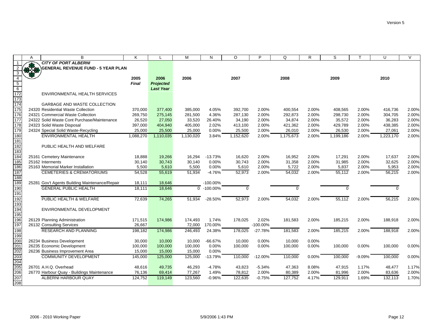|                  | A | В                                              | Κ                |                  | M                | N                       | $\circ$   | P           | Q                | R     | S                | т        | U                | $\vee$ |
|------------------|---|------------------------------------------------|------------------|------------------|------------------|-------------------------|-----------|-------------|------------------|-------|------------------|----------|------------------|--------|
|                  |   | <b>CITY OF PORT ALBERNI</b>                    |                  |                  |                  |                         |           |             |                  |       |                  |          |                  |        |
| 2                |   | <b>GENERAL REVENUE FUND - 5 YEAR PLAN</b>      |                  |                  |                  |                         |           |             |                  |       |                  |          |                  |        |
| $\overline{3}$   |   |                                                |                  |                  |                  |                         |           |             |                  |       |                  |          |                  |        |
| $\overline{4}$   |   |                                                | 2005             | 2006             | 2006             |                         | 2007      |             | 2008             |       | 2009             |          | 2010             |        |
| $\overline{5}$   |   |                                                | Final            | <b>Projected</b> |                  |                         |           |             |                  |       |                  |          |                  |        |
| $\frac{6}{172}$  |   |                                                |                  | <b>Last Year</b> |                  |                         |           |             |                  |       |                  |          |                  |        |
|                  |   | ENVIRONMENTAL HEALTH SERVICES                  |                  |                  |                  |                         |           |             |                  |       |                  |          |                  |        |
| 173              |   |                                                |                  |                  |                  |                         |           |             |                  |       |                  |          |                  |        |
| 174              |   | <b>GARBAGE AND WASTE COLLECTION</b>            |                  |                  |                  |                         |           |             |                  |       |                  |          |                  |        |
| 175              |   | 24320 Residential Waste Collection             | 370,000          | 377,400          | 385,000          | 4.05%                   | 392,700   | 2.00%       | 400,554          | 2.00% | 408,565          | 2.00%    | 416,736          | 2.00%  |
| 176              |   | 24321 Commercial Waste Collection              | 269,750          | 275,145          | 281,500          | 4.36%                   | 287,130   | 2.00%       | 292,873          | 2.00% | 298,730          | 2.00%    | 304,705          | 2.00%  |
| $\overline{177}$ |   | 24322 Solid Waste Cont Purchase/Maintenance    | 26,520           | 27,050           | 33,520           | 26.40%                  | 34,190    | 2.00%       | 34,874           | 2.00% | 35,572           | 2.00%    | 36,283           | 2.00%  |
| 178              |   | 24323 Solid Waste Disposal                     | 397,000          | 404,940          | 405,000          | 2.02%                   | 413,100   | 2.00%       | 421,362          | 2.00% | 429,789          | 2.00%    | 438,385          | 2.00%  |
| 179              |   | 24324 Special Solid Waste-Recycling            | 25,000           | 25,500           | 25,000           | 0.00%                   | 25,500    | 2.00%       | 26,010           | 2.00% | 26,530           | 2.00%    | 27,061           | 2.00%  |
| 180              |   | <b>ENVIRONMENTAL HEALTH</b>                    | 1,088,270        | 1,110,035        | 1,130,020        | 3.84%                   | 1,152,620 | 2.00%       | 1,175,673        | 2.00% | 1,199,186        | 2.00%    | 1,223,170        | 2.00%  |
| 181              |   |                                                |                  |                  |                  |                         |           |             |                  |       |                  |          |                  |        |
| 182              |   | PUBLIC HEALTH AND WELFARE                      |                  |                  |                  |                         |           |             |                  |       |                  |          |                  |        |
| 183<br>184       |   |                                                |                  | 19,266           |                  | $-13.73%$               | 16,620    | 2.00%       |                  | 2.00% |                  | 2.00%    |                  | 2.00%  |
| 185              |   | 25161 Cemetery Maintenance<br>25162 Interments | 18,888<br>30,140 | 30,743           | 16,294<br>30,140 | 0.00%                   | 30,743    | 2.00%       | 16,952<br>31,358 | 2.00% | 17,291<br>31,985 | 2.00%    | 17,637<br>32,625 | 2.00%  |
| 186              |   | 25163 Memorial Marker Installation             | 5,500            | 5,610            | 5,500            | 0.00%                   | 5,610     | 2.00%       | 5,722            | 2.00% | 5,837            | 2.00%    | 5,953            | 2.00%  |
| 187              |   | <b>CEMETERIES &amp; CREMATORIUMS</b>           | 54,528           | 55,619           | 51,934           | $-4.76%$                | 52,973    | 2.00%       | 54,032           | 2.00% | 55,112           | 2.00%    | 56,215           | 2.00%  |
| 188              |   |                                                |                  |                  |                  |                         |           |             |                  |       |                  |          |                  |        |
| 189              |   | 25281 Gov't Agents Building Maintenance/Repair | 18,111           | 18,646           |                  | $-100.00\%$             |           |             |                  |       |                  |          |                  |        |
| 190              |   | <b>GENERAL PUBLIC HEALTH</b>                   | 18,111           | 18,646           |                  | $\overline{0}$ -100.00% | $\Omega$  |             | $\Omega$         |       | 0                |          | $\Omega$         |        |
| 191              |   |                                                |                  |                  |                  |                         |           |             |                  |       |                  |          |                  |        |
| 192              |   | PUBLIC HEALTH & WELFARE                        | 72,639           | 74,265           | 51,934           | $-28.50%$               | 52,973    | 2.00%       | 54,032           | 2.00% | 55,112           | 2.00%    | 56,215           | 2.00%  |
| 193              |   |                                                |                  |                  |                  |                         |           |             |                  |       |                  |          |                  |        |
| 194              |   | ENVIRONMENTAL DEVELOPMENT                      |                  |                  |                  |                         |           |             |                  |       |                  |          |                  |        |
| 195              |   |                                                |                  |                  |                  |                         |           |             |                  |       |                  |          |                  |        |
| 196              |   | 26129 Planning Administration                  | 171,515          | 174,986          | 174,493          | 1.74%                   | 178,025   | 2.02%       | 181,583          | 2.00% | 185,215          | 2.00%    | 188,918          | 2.00%  |
| 197              |   | 26132 Consulting Services                      | 26,667           |                  | 72,000           | 170.00%                 |           | $-100.00\%$ |                  |       |                  |          |                  |        |
| 198              |   | <b>RESEARCH AND PLANNING</b>                   | 198,182          | 174,986          | 246,493          | 24.38%                  | 178,025   | $-27.78%$   | 181,583          | 2.00% | 185,215          | 2.00%    | 188,918          | 2.00%  |
| 199              |   |                                                |                  |                  |                  |                         |           |             |                  |       |                  |          |                  |        |
| 200              |   | 26234 Business Development                     | 30,000           | 10,000           | 10,000           | $-66.67%$               | 10,000    | 0.00%       | 10,000           | 0.00% |                  |          |                  |        |
| 201              |   | 26235 Economic Development                     | 100,000          | 100,000          | 100,000          | 0.00%                   | 100,000   | 0.00%       | 100,000          | 0.00% | 100,000          | 0.00%    | 100,000          | 0.00%  |
| 202              |   | 26236 Business Improvement Area                | 15,000           | 15,000           | 15,000           | 0.00%                   |           |             |                  |       |                  |          |                  |        |
| 203              |   | <b>COMMUNITY DEVELOPMENT</b>                   | 145,000          | 125,000          | 125,000          | $-13.79%$               | 110,000   | $-12.00%$   | 110,000          | 0.00% | 100,000          | $-9.09%$ | 100,000          | 0.00%  |
| 204<br>205       |   |                                                |                  |                  |                  |                         |           |             |                  |       |                  |          |                  |        |
|                  |   | 26701 A.H.Q. Overhead                          | 48,616           | 49,735           | 46,293           | -4.78%                  | 43,823    | $-5.34%$    | 47,363           | 8.08% | 47,915           | 1.17%    | 48,477           | 1.17%  |
| 206              |   | 26770 Harbour Quay - Buildings Maintenance     | 76,136           | 69,414           | 77,267           | 1.49%                   | 78,812    | 2.00%       | 80,389           | 2.00% | 81,996           | 2.00%    | 83,636           | 2.00%  |
| 207              |   | ALBERNI HARBOUR QUAY                           | 124,752          | 119,149          | 123,560          | $-0.96%$                | 122,635   | $-0.75%$    | 127,752          | 4.17% | 129.911          | 1.69%    | 132,113          | 1.70%  |
| 208              |   |                                                |                  |                  |                  |                         |           |             |                  |       |                  |          |                  |        |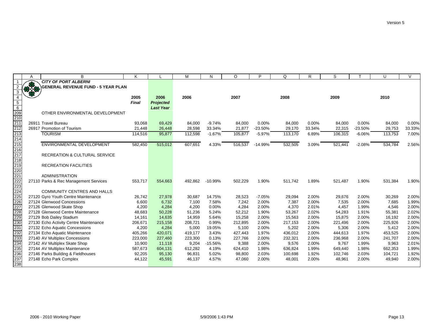|                                                                    | A      | B                                                                | K                  |                  | M                | N               | $\circ$            | P              | O                  | R              | S                  |                | U                | $\vee$         |
|--------------------------------------------------------------------|--------|------------------------------------------------------------------|--------------------|------------------|------------------|-----------------|--------------------|----------------|--------------------|----------------|--------------------|----------------|------------------|----------------|
|                                                                    |        | <b>CITY OF PORT ALBERNI</b>                                      |                    |                  |                  |                 |                    |                |                    |                |                    |                |                  |                |
| 2                                                                  | \$3.50 | GENERAL REVENUE FUND - 5 YEAR PLAN                               |                    |                  |                  |                 |                    |                |                    |                |                    |                |                  |                |
| 3                                                                  |        |                                                                  |                    |                  |                  |                 |                    |                |                    |                |                    |                |                  |                |
| $\overline{4}$                                                     |        |                                                                  | 2005               | 2006             | 2006             |                 | 2007               |                | 2008               |                | 2009               |                | 2010             |                |
| $\overline{5}$                                                     |        |                                                                  | Final              | <b>Projected</b> |                  |                 |                    |                |                    |                |                    |                |                  |                |
| 6                                                                  |        |                                                                  |                    | <b>Last Year</b> |                  |                 |                    |                |                    |                |                    |                |                  |                |
| $\frac{209}{210}$<br>210<br>211                                    |        | OTHER ENVIRONMENTAL DEVELOPMENT                                  |                    |                  |                  |                 |                    |                |                    |                |                    |                |                  |                |
|                                                                    |        |                                                                  |                    |                  |                  |                 |                    |                |                    |                |                    |                |                  |                |
|                                                                    |        | 26911 Travel Bureau                                              | 93,068             | 69,429           | 84,000           | $-9.74%$        | 84,000             | 0.00%          | 84,000             | 0.00%          | 84,000             | $0.00\%$       | 84,000           | $0.00\%$       |
|                                                                    |        | 26917 Promotion of Tourism                                       | 21,448             | 26,448           | 28,598           | 33.34%          | 21,877             | $-23.50%$      | 29,170             | 33.34%         | 22,315             | $-23.50%$      | 29,753           | 33.33%         |
| 213<br>214                                                         |        | <b>TOURISM</b>                                                   | 114,516            | 95,877           | 112,598          | $-1.67%$        | 105,877            | $-5.97%$       | 113,170            | 6.89%          | 106,315            | $-6.06%$       | 113,753          | 7.00%          |
|                                                                    |        |                                                                  |                    |                  |                  |                 |                    |                |                    |                |                    |                |                  |                |
|                                                                    |        | <b>ENVIRONMENTAL DEVELOPMENT</b>                                 | 582,450            | 515,012          | 607,651          | 4.33%           | 516,537            | $-14.99%$      | 532,505            | 3.09%          | 521,441            | $-2.08%$       | 534,784          | 2.56%          |
|                                                                    |        |                                                                  |                    |                  |                  |                 |                    |                |                    |                |                    |                |                  |                |
|                                                                    |        | <b>RECREATION &amp; CULTURAL SERVICE</b>                         |                    |                  |                  |                 |                    |                |                    |                |                    |                |                  |                |
|                                                                    |        |                                                                  |                    |                  |                  |                 |                    |                |                    |                |                    |                |                  |                |
|                                                                    |        | <b>RECREATION FACILITIES</b>                                     |                    |                  |                  |                 |                    |                |                    |                |                    |                |                  |                |
|                                                                    |        |                                                                  |                    |                  |                  |                 |                    |                |                    |                |                    |                |                  |                |
| 215<br>216<br>217<br>218<br>219<br>222<br>222<br>222<br>222        |        | <b>ADMINISTRATION</b>                                            |                    |                  |                  |                 |                    |                |                    |                |                    |                |                  |                |
|                                                                    |        | 27110 Parks & Rec Management Services                            | 553,717            | 554,663          | 492,862          | $-10.99%$       | 502,229            | 1.90%          | 511,742            | 1.89%          | 521,487            | 1.90%          | 531,384          | 1.90%          |
|                                                                    |        |                                                                  |                    |                  |                  |                 |                    |                |                    |                |                    |                |                  |                |
| 224<br>225                                                         |        | <b>COMMUNITY CENTRES AND HALLS</b>                               |                    |                  |                  |                 |                    |                |                    |                |                    |                |                  |                |
|                                                                    |        | 27120 Gyro Youth Centre Maintenance                              | 26,742             | 27,978           | 30,687           | 14.75%          | 28,523             | $-7.05%$       | 29,094             | 2.00%          | 29,676             | 2.00%          | 30,269           | 2.00%          |
| 226                                                                |        | 27124 Glenwood Concessions                                       | 6,600              | 6,732            | 7,100            | 7.58%           | 7,242              | 2.00%          | 7,387              | 2.00%          | 7,535              | 2.00%          | 7,685            | 1.99%          |
| 227<br>228<br>229<br>230<br>231<br>233<br>233<br>235<br>235<br>235 |        | 27126 Glenwood Skate Shop                                        | 4,200              | 4,284            | 4,200            | 0.00%           | 4,284              | 2.00%          | 4,370              | 2.01%          | 4,457              | 1.99%          | 4,546            | 2.00%          |
|                                                                    |        | 27128 Glenwood Centre Maintenance                                | 48,683             | 50,228           | 51,236           | 5.24%           | 52,212             | 1.90%          | 53,267             | 2.02%          | 54,283             | 1.91%          | 55,381           | 2.02%          |
|                                                                    |        | 27129 Bob Dailey Stadium                                         | 14,161             | 14,635           | 14,959           | 5.64%           | 15,258             | 2.00%          | 15,563             | 2.00%          | 15,875             | 2.00%          | 16,192           | 2.00%          |
|                                                                    |        | 27130 Echo Activity Centre Maintenance                           | 206,671            | 215,158          | 208,721          | 0.99%           | 212,895            | 2.00%          | 217,153            | 2.00%          | 221,496            | 2.00%          | 225,926          | 2.00%          |
|                                                                    |        | 27132 Echo Aquatic Concessions                                   | 4,200              | 4,284<br>420,071 | 5,000<br>419,177 | 19.05%<br>3.43% | 5,100              | 2.00%<br>1.97% | 5,202              | 2.00%<br>2.00% | 5,306              | 2.00%          | 5,412<br>453,525 | 2.00%<br>2.00% |
|                                                                    |        | 27134 Echo Aquatic Maintenance<br>27140 AV Multiplex Concessions | 405,266<br>223,000 | 227,460          | 223,300          | 0.13%           | 427,443<br>227,766 | 2.00%          | 436,012<br>232,321 | 2.00%          | 444,613<br>236,968 | 1.97%<br>2.00% | 241,707          | 2.00%          |
|                                                                    |        | 27142 AV Multiplex Skate Shop                                    | 10,900             | 11,118           |                  | $-15.56%$       |                    | 2.00%          |                    | 2.00%          | 9,767              | 1.99%          | 9,963            | 2.01%          |
|                                                                    |        | 27144 AV Multiplex Maintenance                                   | 587,673            | 604,131          | 9,204<br>612,282 | 4.19%           | 9,388<br>624,410   | 1.98%          | 9,576<br>636,824   | 1.99%          | 649,440            | 1.98%          | 662,353          | 1.99%          |
|                                                                    |        | 27146 Parks Building & Fieldhouses                               | 92,205             | 95,130           | 96,831           | 5.02%           | 98,800             | 2.03%          | 100,698            | 1.92%          | 102,746            | 2.03%          | 104,721          | 1.92%          |
|                                                                    |        | 27148 Echo Park Complex                                          | 44,122             | 45,591           | 46,137           | 4.57%           | 47,060             | 2.00%          | 48,001             | 2.00%          | 48,961             | 2.00%          | 49,940           | 2.00%          |
| 238                                                                |        |                                                                  |                    |                  |                  |                 |                    |                |                    |                |                    |                |                  |                |
|                                                                    |        |                                                                  |                    |                  |                  |                 |                    |                |                    |                |                    |                |                  |                |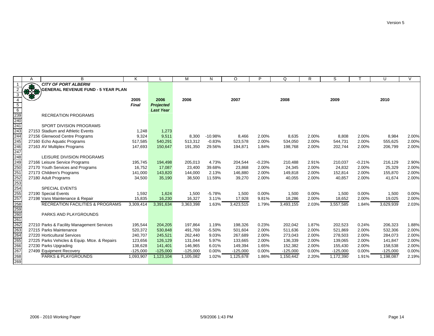|                                                                                  | Α | B                                                               | K          |                  | M          | N         | $\circ$    | P        | O          | R     | S          |          | U          | $\sqrt{}$ |
|----------------------------------------------------------------------------------|---|-----------------------------------------------------------------|------------|------------------|------------|-----------|------------|----------|------------|-------|------------|----------|------------|-----------|
|                                                                                  |   | <b>CITY OF PORT ALBERNI</b>                                     |            |                  |            |           |            |          |            |       |            |          |            |           |
|                                                                                  |   | CITY OF PORT ALBERNI<br>STAR GENERAL REVENUE FUND - 5 YEAR PLAN |            |                  |            |           |            |          |            |       |            |          |            |           |
| 3                                                                                |   |                                                                 |            |                  |            |           |            |          |            |       |            |          |            |           |
| $\overline{4}$                                                                   |   |                                                                 | 2005       | 2006             | 2006       |           | 2007       |          | 2008       |       | 2009       |          | 2010       |           |
| $\overline{5}$                                                                   |   |                                                                 | Final      | <b>Projected</b> |            |           |            |          |            |       |            |          |            |           |
| $6\overline{6}$                                                                  |   |                                                                 |            | <b>Last Year</b> |            |           |            |          |            |       |            |          |            |           |
| 239<br>240<br>241<br>243<br>244                                                  |   | <b>RECREATION PROGRAMS</b>                                      |            |                  |            |           |            |          |            |       |            |          |            |           |
|                                                                                  |   |                                                                 |            |                  |            |           |            |          |            |       |            |          |            |           |
|                                                                                  |   | SPORT DIVISION PROGRAMS                                         |            |                  |            |           |            |          |            |       |            |          |            |           |
|                                                                                  |   | 27153 Stadium and Athletic Events                               | 1,248      | 1,273            |            |           |            |          |            |       |            |          |            |           |
|                                                                                  |   | 27156 Glenwood Centre Programs                                  | 9,324      | 9,511            | 8,300      | $-10.98%$ | 8,466      | 2.00%    | 8,635      | 2.00% | 8,808      | 2.00%    | 8,984      | 2.00%     |
|                                                                                  |   | 27160 Echo Aquatic Programs                                     | 517,585    | 540,291          | 513,312    | $-0.83%$  | 523,578    | 2.00%    | 534,050    | 2.00% | 544.731    | 2.00%    | 555,625    | 2.00%     |
| 245<br>246<br>247                                                                |   | 27163 AV Multiplex Programs                                     | 147,693    | 150,647          | 191,350    | 29.56%    | 194,871    | 1.84%    | 198,768    | 2.00% | 202,744    | 2.00%    | 206,799    | 2.00%     |
|                                                                                  |   |                                                                 |            |                  |            |           |            |          |            |       |            |          |            |           |
| 248<br>249<br>250                                                                |   | LEISURE DIVISION PROGRAMS                                       |            |                  |            |           |            |          |            |       |            |          |            |           |
|                                                                                  |   | 27166 Leisure Service Programs                                  | 195,745    | 194,498          | 205,013    | 4.73%     | 204,544    | $-0.23%$ | 210,488    | 2.91% | 210,037    | $-0.21%$ | 216,129    | 2.90%     |
|                                                                                  |   | 27170 Youth Services and Programs                               | 16,752     | 17,087           | 23,400     | 39.68%    | 23,868     | 2.00%    | 24,345     | 2.00% | 24,832     | 2.00%    | 25,329     | 2.00%     |
|                                                                                  |   | 27173 Children's Programs                                       | 141,000    | 143,820          | 144,000    | 2.13%     | 146,880    | 2.00%    | 149,818    | 2.00% | 152,814    | 2.00%    | 155,870    | 2.00%     |
|                                                                                  |   | 27180 Adult Programs                                            | 34,500     | 35,190           | 38,500     | 11.59%    | 39,270     | 2.00%    | 40,055     | 2.00% | 40,857     | 2.00%    | 41,674     | 2.00%     |
|                                                                                  |   |                                                                 |            |                  |            |           |            |          |            |       |            |          |            |           |
|                                                                                  |   | <b>SPECIAL EVENTS</b>                                           |            |                  |            |           |            |          |            |       |            |          |            |           |
|                                                                                  |   | 27190 Special Events                                            | 1,592      | 1,624            | 1,500      | $-5.78%$  | 1,500      | 0.00%    | 1,500      | 0.00% | 1,500      | 0.00%    | 1,500      | 0.00%     |
|                                                                                  |   | 27198 Vans Maintenance & Repair                                 | 15,835     | 16.230           | 16,327     | 3.11%     | 17,928     | 9.81%    | 18,286     | 2.00% | 18,652     | 2.00%    | 19,025     | 2.00%     |
| 251<br>252<br>253<br>253<br>255<br>257<br>258<br>262<br>263<br>262<br>263<br>263 |   | <b>RECREATION FACILITIES &amp; PROGRAMS</b>                     | 3,309,414  | 3,391,634        | 3,363,398  | 1.63%     | 3,423,515  | 1.79%    | 3,493,155  | 2.03% | 3,557,585  | 1.84%    | 3,629,939  | 2.03%     |
|                                                                                  |   |                                                                 |            |                  |            |           |            |          |            |       |            |          |            |           |
|                                                                                  |   | <b>PARKS AND PLAYGROUNDS</b>                                    |            |                  |            |           |            |          |            |       |            |          |            |           |
|                                                                                  |   |                                                                 |            |                  |            |           |            |          |            |       |            |          |            |           |
|                                                                                  |   | 27210 Parks & Facility Management Services                      | 195,544    | 204,205          | 197,864    | 1.19%     | 198,326    | 0.23%    | 202,042    | 1.87% | 202,523    | 0.24%    | 206,323    | 1.88%     |
|                                                                                  |   | 27215 Parks Maintenance                                         | 520,372    | 530,848          | 491,769    | $-5.50%$  | 501,604    | 2.00%    | 511,636    | 2.00% | 521,869    | 2.00%    | 532,306    | 2.00%     |
|                                                                                  |   | 27220 Horticultural Services                                    | 240,707    | 245,521          | 262,440    | 9.03%     | 267,689    | 2.00%    | 273,043    | 2.00% | 278,503    | 2.00%    | 284,073    | 2.00%     |
| 265                                                                              |   | 27225 Parks Vehicles & Equip. Mtce. & Repairs                   | 123,656    | 126,129          | 131,044    | 5.97%     | 133,665    | 2.00%    | 136,339    | 2.00% | 139,065    | 2.00%    | 141,847    | 2.00%     |
| 266                                                                              |   | 27230 Parks Upgrading                                           | 138,628    | 141,401          | 146,965    | 6.01%     | 149,394    | 1.65%    | 152,382    | 2.00% | 155,430    | 2.00%    | 158,538    | 2.00%     |
| 267                                                                              |   | 27499 Equipment Recovery                                        | $-125,000$ | $-125,000$       | $-125,000$ | 0.00%     | $-125,000$ | 0.00%    | $-125,000$ | 0.00% | $-125,000$ | 0.00%    | $-125,000$ | 0.00%     |
| 268<br>269                                                                       |   | <b>PARKS &amp; PLAYGROUNDS</b>                                  | 1,093,907  | 1,123,104        | 1,105,082  | 1.02%     | 1,125,678  | 1.86%    | 1,150,442  | 2.20% | 1,172,390  | 1.91%    | 1,198,087  | 2.19%     |
|                                                                                  |   |                                                                 |            |                  |            |           |            |          |            |       |            |          |            |           |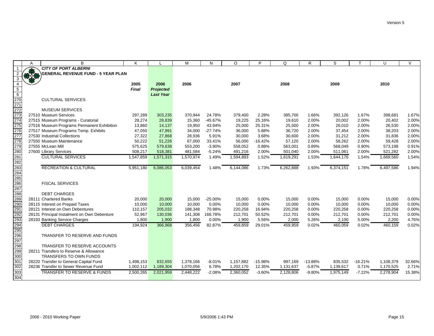|                                 | A             | B                                           | K            |                  | M         | N         | O         | P         | Q         | R         | S         |           | U         | $\vee$ |
|---------------------------------|---------------|---------------------------------------------|--------------|------------------|-----------|-----------|-----------|-----------|-----------|-----------|-----------|-----------|-----------|--------|
|                                 |               | <b>CITY OF PORT ALBERNI</b>                 |              |                  |           |           |           |           |           |           |           |           |           |        |
|                                 | $\frac{1}{2}$ | <b>GENERAL REVENUE FUND - 5 YEAR PLAN</b>   |              |                  |           |           |           |           |           |           |           |           |           |        |
| $\mathbf{3}$                    |               |                                             |              |                  |           |           |           |           |           |           |           |           |           |        |
| $\overline{4}$                  |               |                                             | 2005         | 2006             | 2006      |           | 2007      |           | 2008      |           | 2009      |           | 2010      |        |
| $\overline{5}$                  |               |                                             | <b>Final</b> | <b>Projected</b> |           |           |           |           |           |           |           |           |           |        |
| $6\overline{6}$                 |               |                                             |              | <b>Last Year</b> |           |           |           |           |           |           |           |           |           |        |
|                                 |               | <b>CULTURAL SERVICES</b>                    |              |                  |           |           |           |           |           |           |           |           |           |        |
| 270<br>271<br>272<br>273        |               |                                             |              |                  |           |           |           |           |           |           |           |           |           |        |
|                                 |               | <b>MUSEUM SERVICES</b>                      |              |                  |           |           |           |           |           |           |           |           |           |        |
|                                 |               | 27510 Museum Services                       | 297,289      | 303,235          | 370,944   | 24.78%    | 379,400   | 2.28%     | 385,700   | 1.66%     | 392,126   | 1.67%     | 398,681   | 1.67%  |
| 274                             |               | 27515 Museum Programs - Curatorial          | 28,274       | 28,839           | 15,360    | $-45.67%$ | 19,225    | 25.16%    | 19,610    | 2.00%     | 20,002    | 2.00%     | 20,402    | 2.00%  |
| 275                             |               | 27516 Museum Programs Permanent Exhibition  | 13,860       | 14,137           | 19,950    | 43.94%    | 25,000    | 25.31%    | 25,500    | 2.00%     | 26,010    | 2.00%     | 26,530    | 2.00%  |
| 276<br>277                      |               | 27517 Museum Programs Temp. Exhibits        | 47,050       | 47,991           | 34,000    | $-27.74%$ | 36,000    | 5.88%     | 36,720    | 2.00%     | 37,454    | 2.00%     | 38,203    | 2.00%  |
|                                 |               | 27530 Industrial Collections                | 27,322       | 27,868           | 28,936    | 5.91%     | 30,000    | 3.68%     | 30,600    | 2.00%     | 31,212    | 2.00%     | 31,836    | 2.00%  |
| 278                             |               | 27550 Museum Maintenance                    | 50,222       | 51,226           | 67,000    | 33.41%    | 56,000    | $-16.42%$ | 57,120    | 2.00%     | 58,262    | 2.00%     | 59,428    | 2.00%  |
| 279                             |               | 27555 McLean Mill                           | 575,625      | 579,638          | 553,200   | $-3.90%$  | 558,052   | 0.88%     | 563,001   | 0.89%     | 568,049   | 0.90%     | 573,198   | 0.91%  |
|                                 |               | 27600 Library Services                      | 508,217      | 518,381          | 481,584   | $-5.24%$  | 491,216   | 2.00%     | 501,040   | 2.00%     | 511,061   | 2.00%     | 521,282   | 2.00%  |
|                                 |               | <b>CULTURAL SERVICES</b>                    | 1,547,859    | 1,571,315        | 1,570,974 | 1.49%     | 1,594,893 | 1.52%     | 1,619,291 | 1.53%     | 1,644,176 | 1.54%     | 1,669,560 | 1.54%  |
| 280<br>281<br>282               |               |                                             |              |                  |           |           |           |           |           |           |           |           |           |        |
| 283<br>284                      |               | <b>RECREATION &amp; CULTURAL</b>            | 5,951,180    | 6,086,053        | 6,039,454 | 1.48%     | 6,144,086 | 1.73%     | 6,262,888 | 1.93%     | 6,374,151 | 1.78%     | 6,497,586 | 1.94%  |
|                                 |               |                                             |              |                  |           |           |           |           |           |           |           |           |           |        |
| 285<br>286                      |               |                                             |              |                  |           |           |           |           |           |           |           |           |           |        |
|                                 |               | <b>FISCAL SERVICES</b>                      |              |                  |           |           |           |           |           |           |           |           |           |        |
| 287<br>288<br>289<br>290        |               |                                             |              |                  |           |           |           |           |           |           |           |           |           |        |
|                                 |               | <b>DEBT CHARGES</b>                         |              |                  |           |           |           |           |           |           |           |           |           |        |
|                                 |               | 28111 Chartered Banks                       | 20,000       | 20,000           | 15,000    | $-25.00%$ | 15,000    | 0.00%     | 15,000    | 0.00%     | 15,000    | 0.00%     | 15,000    | 0.00%  |
|                                 |               | 28115 Interest on Prepaid Taxes             | 10,000       | 10,000           | 10,000    | 0.00%     | 10,000    | 0.00%     | 10,000    | 0.00%     | 10,000    | 0.00%     | 10,000    | 0.00%  |
|                                 |               | 28121 Interest on Own Debentures            | 110,157      | 205,032          | 188,348   | 70.98%    | 220,258   | 16.94%    | 220,258   | 0.00%     | 220,258   | 0.00%     | 220,258   | 0.00%  |
|                                 |               | 28131 Principal Instalment on Own Debenture | 52,967       | 130,036          | 141,308   | 166.78%   | 212,701   | 50.52%    | 212,701   | 0.00%     | 212,701   | 0.00%     | 212,701   | 0.00%  |
| 291<br>292<br>293<br>294<br>295 |               | 28193 Banking Service Charges               | 1,800        | 1,900            | 1,800     | 0.00%     | 1,900     | 5.56%     | 2,000     | 5.26%     | 2,100     | 5.00%     | 2,200     | 4.76%  |
|                                 |               | <b>DEBT CHARGES</b>                         | 194,924      | 366,968          | 356,456   | 82.87%    | 459,859   | 29.01%    | 459,959   | 0.02%     | 460,059   | 0.02%     | 460,159   | 0.02%  |
|                                 |               | TRANSFER TO RESERVE AND FUNDS               |              |                  |           |           |           |           |           |           |           |           |           |        |
| 296                             |               |                                             |              |                  |           |           |           |           |           |           |           |           |           |        |
|                                 |               | TRANSFER TO RESERVE ACCOUNTS                |              |                  |           |           |           |           |           |           |           |           |           |        |
| 297<br>298<br>299               |               | 28211 Transfers to Reserve & Allowance      |              |                  |           |           |           |           |           |           |           |           |           |        |
| $\overline{300}$                |               | <b>TRANSFERS TO OWN FUNDS</b>               |              |                  |           |           |           |           |           |           |           |           |           |        |
| 301                             |               | 28220 Transfer to General Capital Fund      | 1,498,153    | 832,655          | 1,378,166 | $-8.01%$  | 1,157,882 | $-15.98%$ | 997.169   | $-13.88%$ | 835,532   | $-16.21%$ | 1,108,379 | 32.66% |
| 302                             |               | 28236 Transfer to Sewer Revenue Fund        | 1,002,112    | 1,189,304        | 1,070,056 | 6.78%     | 1,202,170 | 12.35%    | 1,131,637 | $-5.87%$  | 1,139,617 | 0.71%     | 1,170,525 | 2.71%  |
| 303                             |               | <b>TRANSFER TO RESERVE &amp; FUNDS</b>      | 2,500,265    | 2,021,959        | 2,448,222 | $-2.08%$  | 2,360,052 | $-3.60%$  | 2,128,806 | $-9.80%$  | 1,975,149 | $-7.22%$  | 2,278,904 | 15.38% |
| 304                             |               |                                             |              |                  |           |           |           |           |           |           |           |           |           |        |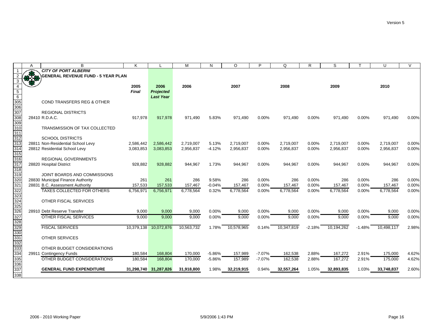| <b>GENERAL REVENUE FUND - 5 YEAR PLAN</b><br>3<br>2005<br>2006<br>2006<br>2007<br>2008<br>2009<br>2010<br>$\overline{5}$<br>Final<br><b>Projected</b><br><b>Last Year</b><br><b>COND TRANSFERS REG &amp; OTHER</b><br><b>REGIONAL DISTRICTS</b><br>28410 R.D.A.C.<br>917,978<br>917,978<br>971,490<br>0.00%<br>971,490<br>0.00%<br>5.83%<br>971,490<br>971,490<br>0.00%<br>971,490<br>TRANSMISSION OF TAX COLLECTED<br><b>SCHOOL DISTRICTS</b><br>28811 Non-Residential School Levy<br>2,586,442<br>2,586,442<br>2,719,007<br>5.13%<br>2,719,007<br>0.00%<br>2,719,007<br>0.00%<br>2,719,007<br>0.00%<br>2,719,007<br>28812 Residential School Levy<br>3,083,853<br>2,956,837<br>$-4.12%$<br>2,956,837<br>0.00%<br>2,956,837<br>0.00%<br>2,956,837<br>0.00%<br>2,956,837<br>3,083,853<br><b>REGIONAL GOVERNMENTS</b><br>28820 Hospital District<br>928,882<br>928,882<br>944,967<br>1.73%<br>944,967<br>0.00%<br>0.00%<br>944,967<br>0.00%<br>944,967<br>944,967<br>JOINT BOARDS AND COMMISSIONS<br>28830 Municipal Finance Authority<br>261<br>261<br>286<br>9.58%<br>286<br>0.00%<br>286<br>0.00%<br>286<br>0.00%<br>286<br>28831 B.C. Assessment Authority<br>157,533<br>$-0.04%$<br>0.00%<br>0.00%<br>0.00%<br>157,533<br>157,467<br>157,467<br>157,467<br>157,467<br>157,467<br><b>TAXES COLLECTED FOR OTHERS</b><br>6,756,971<br>6,778,564<br>0.32%<br>6,778,564<br>0.00%<br>6,778,564<br>0.00%<br>6,778,564<br>0.00%<br>6,778,564<br>6,756,971<br>OTHER FISCAL SERVICES<br>28910 Debt Reserve Transfer<br>9,000<br>9,000<br>9,000<br>0.00%<br>9,000<br>0.00%<br>9,000<br>0.00%<br>9,000<br>0.00%<br>9,000<br>OTHER FISCAL SERVICES<br>9,000<br>9,000<br>0.00%<br>9.000<br>0.00%<br>9,000<br>9,000<br>0.00%<br>9,000<br>0.00%<br>9,000<br><b>FISCAL SERVICES</b><br>10,379,138 10,072,876<br>10,563,732<br>10,578,965<br>10,347,819<br>10,194,262<br>10,498,117<br>1.78%<br>0.14%<br>$-2.18%$<br>$-1.48%$<br><b>OTHER SERVICES</b><br>OTHER BUDGET CONSIDERATIONS | A | B                           | K | M | N | $\circ$ | P | Q | $\mathsf{R}$ | S | U | $\mathsf{V}$ |
|-------------------------------------------------------------------------------------------------------------------------------------------------------------------------------------------------------------------------------------------------------------------------------------------------------------------------------------------------------------------------------------------------------------------------------------------------------------------------------------------------------------------------------------------------------------------------------------------------------------------------------------------------------------------------------------------------------------------------------------------------------------------------------------------------------------------------------------------------------------------------------------------------------------------------------------------------------------------------------------------------------------------------------------------------------------------------------------------------------------------------------------------------------------------------------------------------------------------------------------------------------------------------------------------------------------------------------------------------------------------------------------------------------------------------------------------------------------------------------------------------------------------------------------------------------------------------------------------------------------------------------------------------------------------------------------------------------------------------------------------------------------------------------------------------------------------------------------------------------------------------------------------------------------------------------------------------------------------------|---|-----------------------------|---|---|---|---------|---|---|--------------|---|---|--------------|
|                                                                                                                                                                                                                                                                                                                                                                                                                                                                                                                                                                                                                                                                                                                                                                                                                                                                                                                                                                                                                                                                                                                                                                                                                                                                                                                                                                                                                                                                                                                                                                                                                                                                                                                                                                                                                                                                                                                                                                         |   | <b>CITY OF PORT ALBERNI</b> |   |   |   |         |   |   |              |   |   |              |
| $6\overline{6}$<br>305<br>306<br>$\overline{307}$<br>308<br>309<br>$\overline{310}$<br>311<br>312<br>313<br>314<br>$\overline{315}$<br>$\overline{316}$<br>317<br>318<br>319<br>320<br>321<br>322<br>323<br>324<br>$\frac{1}{325}$<br>326<br>327<br>328<br>329<br>330<br>331<br><u>---</u><br>332<br>333<br>334                                                                                                                                                                                                                                                                                                                                                                                                                                                                                                                                                                                                                                                                                                                                                                                                                                                                                                                                                                                                                                                                                                                                                                                                                                                                                                                                                                                                                                                                                                                                                                                                                                                         |   |                             |   |   |   |         |   |   |              |   |   |              |
|                                                                                                                                                                                                                                                                                                                                                                                                                                                                                                                                                                                                                                                                                                                                                                                                                                                                                                                                                                                                                                                                                                                                                                                                                                                                                                                                                                                                                                                                                                                                                                                                                                                                                                                                                                                                                                                                                                                                                                         |   |                             |   |   |   |         |   |   |              |   |   |              |
|                                                                                                                                                                                                                                                                                                                                                                                                                                                                                                                                                                                                                                                                                                                                                                                                                                                                                                                                                                                                                                                                                                                                                                                                                                                                                                                                                                                                                                                                                                                                                                                                                                                                                                                                                                                                                                                                                                                                                                         |   |                             |   |   |   |         |   |   |              |   |   |              |
|                                                                                                                                                                                                                                                                                                                                                                                                                                                                                                                                                                                                                                                                                                                                                                                                                                                                                                                                                                                                                                                                                                                                                                                                                                                                                                                                                                                                                                                                                                                                                                                                                                                                                                                                                                                                                                                                                                                                                                         |   |                             |   |   |   |         |   |   |              |   |   |              |
|                                                                                                                                                                                                                                                                                                                                                                                                                                                                                                                                                                                                                                                                                                                                                                                                                                                                                                                                                                                                                                                                                                                                                                                                                                                                                                                                                                                                                                                                                                                                                                                                                                                                                                                                                                                                                                                                                                                                                                         |   |                             |   |   |   |         |   |   |              |   |   |              |
|                                                                                                                                                                                                                                                                                                                                                                                                                                                                                                                                                                                                                                                                                                                                                                                                                                                                                                                                                                                                                                                                                                                                                                                                                                                                                                                                                                                                                                                                                                                                                                                                                                                                                                                                                                                                                                                                                                                                                                         |   |                             |   |   |   |         |   |   |              |   |   |              |
|                                                                                                                                                                                                                                                                                                                                                                                                                                                                                                                                                                                                                                                                                                                                                                                                                                                                                                                                                                                                                                                                                                                                                                                                                                                                                                                                                                                                                                                                                                                                                                                                                                                                                                                                                                                                                                                                                                                                                                         |   |                             |   |   |   |         |   |   |              |   |   |              |
|                                                                                                                                                                                                                                                                                                                                                                                                                                                                                                                                                                                                                                                                                                                                                                                                                                                                                                                                                                                                                                                                                                                                                                                                                                                                                                                                                                                                                                                                                                                                                                                                                                                                                                                                                                                                                                                                                                                                                                         |   |                             |   |   |   |         |   |   |              |   |   |              |
|                                                                                                                                                                                                                                                                                                                                                                                                                                                                                                                                                                                                                                                                                                                                                                                                                                                                                                                                                                                                                                                                                                                                                                                                                                                                                                                                                                                                                                                                                                                                                                                                                                                                                                                                                                                                                                                                                                                                                                         |   |                             |   |   |   |         |   |   |              |   |   | 0.00%        |
|                                                                                                                                                                                                                                                                                                                                                                                                                                                                                                                                                                                                                                                                                                                                                                                                                                                                                                                                                                                                                                                                                                                                                                                                                                                                                                                                                                                                                                                                                                                                                                                                                                                                                                                                                                                                                                                                                                                                                                         |   |                             |   |   |   |         |   |   |              |   |   |              |
|                                                                                                                                                                                                                                                                                                                                                                                                                                                                                                                                                                                                                                                                                                                                                                                                                                                                                                                                                                                                                                                                                                                                                                                                                                                                                                                                                                                                                                                                                                                                                                                                                                                                                                                                                                                                                                                                                                                                                                         |   |                             |   |   |   |         |   |   |              |   |   |              |
|                                                                                                                                                                                                                                                                                                                                                                                                                                                                                                                                                                                                                                                                                                                                                                                                                                                                                                                                                                                                                                                                                                                                                                                                                                                                                                                                                                                                                                                                                                                                                                                                                                                                                                                                                                                                                                                                                                                                                                         |   |                             |   |   |   |         |   |   |              |   |   |              |
|                                                                                                                                                                                                                                                                                                                                                                                                                                                                                                                                                                                                                                                                                                                                                                                                                                                                                                                                                                                                                                                                                                                                                                                                                                                                                                                                                                                                                                                                                                                                                                                                                                                                                                                                                                                                                                                                                                                                                                         |   |                             |   |   |   |         |   |   |              |   |   | 0.00%        |
|                                                                                                                                                                                                                                                                                                                                                                                                                                                                                                                                                                                                                                                                                                                                                                                                                                                                                                                                                                                                                                                                                                                                                                                                                                                                                                                                                                                                                                                                                                                                                                                                                                                                                                                                                                                                                                                                                                                                                                         |   |                             |   |   |   |         |   |   |              |   |   | 0.00%        |
|                                                                                                                                                                                                                                                                                                                                                                                                                                                                                                                                                                                                                                                                                                                                                                                                                                                                                                                                                                                                                                                                                                                                                                                                                                                                                                                                                                                                                                                                                                                                                                                                                                                                                                                                                                                                                                                                                                                                                                         |   |                             |   |   |   |         |   |   |              |   |   |              |
|                                                                                                                                                                                                                                                                                                                                                                                                                                                                                                                                                                                                                                                                                                                                                                                                                                                                                                                                                                                                                                                                                                                                                                                                                                                                                                                                                                                                                                                                                                                                                                                                                                                                                                                                                                                                                                                                                                                                                                         |   |                             |   |   |   |         |   |   |              |   |   |              |
|                                                                                                                                                                                                                                                                                                                                                                                                                                                                                                                                                                                                                                                                                                                                                                                                                                                                                                                                                                                                                                                                                                                                                                                                                                                                                                                                                                                                                                                                                                                                                                                                                                                                                                                                                                                                                                                                                                                                                                         |   |                             |   |   |   |         |   |   |              |   |   | 0.00%        |
|                                                                                                                                                                                                                                                                                                                                                                                                                                                                                                                                                                                                                                                                                                                                                                                                                                                                                                                                                                                                                                                                                                                                                                                                                                                                                                                                                                                                                                                                                                                                                                                                                                                                                                                                                                                                                                                                                                                                                                         |   |                             |   |   |   |         |   |   |              |   |   |              |
|                                                                                                                                                                                                                                                                                                                                                                                                                                                                                                                                                                                                                                                                                                                                                                                                                                                                                                                                                                                                                                                                                                                                                                                                                                                                                                                                                                                                                                                                                                                                                                                                                                                                                                                                                                                                                                                                                                                                                                         |   |                             |   |   |   |         |   |   |              |   |   |              |
|                                                                                                                                                                                                                                                                                                                                                                                                                                                                                                                                                                                                                                                                                                                                                                                                                                                                                                                                                                                                                                                                                                                                                                                                                                                                                                                                                                                                                                                                                                                                                                                                                                                                                                                                                                                                                                                                                                                                                                         |   |                             |   |   |   |         |   |   |              |   |   | 0.00%        |
|                                                                                                                                                                                                                                                                                                                                                                                                                                                                                                                                                                                                                                                                                                                                                                                                                                                                                                                                                                                                                                                                                                                                                                                                                                                                                                                                                                                                                                                                                                                                                                                                                                                                                                                                                                                                                                                                                                                                                                         |   |                             |   |   |   |         |   |   |              |   |   | 0.00%        |
|                                                                                                                                                                                                                                                                                                                                                                                                                                                                                                                                                                                                                                                                                                                                                                                                                                                                                                                                                                                                                                                                                                                                                                                                                                                                                                                                                                                                                                                                                                                                                                                                                                                                                                                                                                                                                                                                                                                                                                         |   |                             |   |   |   |         |   |   |              |   |   | 0.00%        |
|                                                                                                                                                                                                                                                                                                                                                                                                                                                                                                                                                                                                                                                                                                                                                                                                                                                                                                                                                                                                                                                                                                                                                                                                                                                                                                                                                                                                                                                                                                                                                                                                                                                                                                                                                                                                                                                                                                                                                                         |   |                             |   |   |   |         |   |   |              |   |   |              |
|                                                                                                                                                                                                                                                                                                                                                                                                                                                                                                                                                                                                                                                                                                                                                                                                                                                                                                                                                                                                                                                                                                                                                                                                                                                                                                                                                                                                                                                                                                                                                                                                                                                                                                                                                                                                                                                                                                                                                                         |   |                             |   |   |   |         |   |   |              |   |   |              |
|                                                                                                                                                                                                                                                                                                                                                                                                                                                                                                                                                                                                                                                                                                                                                                                                                                                                                                                                                                                                                                                                                                                                                                                                                                                                                                                                                                                                                                                                                                                                                                                                                                                                                                                                                                                                                                                                                                                                                                         |   |                             |   |   |   |         |   |   |              |   |   |              |
|                                                                                                                                                                                                                                                                                                                                                                                                                                                                                                                                                                                                                                                                                                                                                                                                                                                                                                                                                                                                                                                                                                                                                                                                                                                                                                                                                                                                                                                                                                                                                                                                                                                                                                                                                                                                                                                                                                                                                                         |   |                             |   |   |   |         |   |   |              |   |   | 0.00%        |
|                                                                                                                                                                                                                                                                                                                                                                                                                                                                                                                                                                                                                                                                                                                                                                                                                                                                                                                                                                                                                                                                                                                                                                                                                                                                                                                                                                                                                                                                                                                                                                                                                                                                                                                                                                                                                                                                                                                                                                         |   |                             |   |   |   |         |   |   |              |   |   | 0.00%        |
|                                                                                                                                                                                                                                                                                                                                                                                                                                                                                                                                                                                                                                                                                                                                                                                                                                                                                                                                                                                                                                                                                                                                                                                                                                                                                                                                                                                                                                                                                                                                                                                                                                                                                                                                                                                                                                                                                                                                                                         |   |                             |   |   |   |         |   |   |              |   |   |              |
|                                                                                                                                                                                                                                                                                                                                                                                                                                                                                                                                                                                                                                                                                                                                                                                                                                                                                                                                                                                                                                                                                                                                                                                                                                                                                                                                                                                                                                                                                                                                                                                                                                                                                                                                                                                                                                                                                                                                                                         |   |                             |   |   |   |         |   |   |              |   |   | 2.98%        |
|                                                                                                                                                                                                                                                                                                                                                                                                                                                                                                                                                                                                                                                                                                                                                                                                                                                                                                                                                                                                                                                                                                                                                                                                                                                                                                                                                                                                                                                                                                                                                                                                                                                                                                                                                                                                                                                                                                                                                                         |   |                             |   |   |   |         |   |   |              |   |   |              |
|                                                                                                                                                                                                                                                                                                                                                                                                                                                                                                                                                                                                                                                                                                                                                                                                                                                                                                                                                                                                                                                                                                                                                                                                                                                                                                                                                                                                                                                                                                                                                                                                                                                                                                                                                                                                                                                                                                                                                                         |   |                             |   |   |   |         |   |   |              |   |   |              |
|                                                                                                                                                                                                                                                                                                                                                                                                                                                                                                                                                                                                                                                                                                                                                                                                                                                                                                                                                                                                                                                                                                                                                                                                                                                                                                                                                                                                                                                                                                                                                                                                                                                                                                                                                                                                                                                                                                                                                                         |   |                             |   |   |   |         |   |   |              |   |   |              |
| 180,584<br>168,804<br>157,989<br>$-7.07%$<br>2.88%<br>167,272<br>2.91%<br>29911 Contingency Funds<br>170,000<br>$-5.86%$<br>162,538<br>175,000                                                                                                                                                                                                                                                                                                                                                                                                                                                                                                                                                                                                                                                                                                                                                                                                                                                                                                                                                                                                                                                                                                                                                                                                                                                                                                                                                                                                                                                                                                                                                                                                                                                                                                                                                                                                                          |   |                             |   |   |   |         |   |   |              |   |   | 4.62%        |
| 335<br>OTHER BUDGET CONSIDERATIONS<br>157,989<br>162,538<br>167,272<br>180,584<br>168,804<br>170,000<br>$-5.86%$<br>$-7.07%$<br>2.88%<br>2.91%<br>175,000                                                                                                                                                                                                                                                                                                                                                                                                                                                                                                                                                                                                                                                                                                                                                                                                                                                                                                                                                                                                                                                                                                                                                                                                                                                                                                                                                                                                                                                                                                                                                                                                                                                                                                                                                                                                               |   |                             |   |   |   |         |   |   |              |   |   | 4.62%        |
| 336                                                                                                                                                                                                                                                                                                                                                                                                                                                                                                                                                                                                                                                                                                                                                                                                                                                                                                                                                                                                                                                                                                                                                                                                                                                                                                                                                                                                                                                                                                                                                                                                                                                                                                                                                                                                                                                                                                                                                                     |   |                             |   |   |   |         |   |   |              |   |   |              |
| 337<br><b>GENERAL FUND EXPENDITURE</b><br>31,298,740 31,287,826<br>31,918,800<br>0.94%<br>32,557,264<br>1.98%<br>32,219,915<br>1.05%<br>32,893,835<br>1.03%<br>33,748,837                                                                                                                                                                                                                                                                                                                                                                                                                                                                                                                                                                                                                                                                                                                                                                                                                                                                                                                                                                                                                                                                                                                                                                                                                                                                                                                                                                                                                                                                                                                                                                                                                                                                                                                                                                                               |   |                             |   |   |   |         |   |   |              |   |   | 2.60%        |
| 338                                                                                                                                                                                                                                                                                                                                                                                                                                                                                                                                                                                                                                                                                                                                                                                                                                                                                                                                                                                                                                                                                                                                                                                                                                                                                                                                                                                                                                                                                                                                                                                                                                                                                                                                                                                                                                                                                                                                                                     |   |                             |   |   |   |         |   |   |              |   |   |              |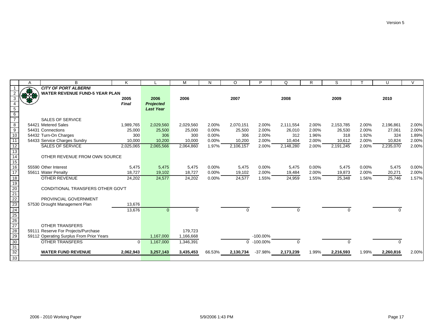|                                                                            | A | B                                        | K            |                  | M         | N      | O         | P           | Q         | $\mathsf{R}$ | S         |       | U         | $\sqrt{}$ |
|----------------------------------------------------------------------------|---|------------------------------------------|--------------|------------------|-----------|--------|-----------|-------------|-----------|--------------|-----------|-------|-----------|-----------|
|                                                                            |   | <b>CITY OF PORT ALBERNI</b>              |              |                  |           |        |           |             |           |              |           |       |           |           |
|                                                                            |   | <b>WATER REVENUE FUND-5 YEAR PLAN</b>    |              |                  |           |        |           |             |           |              |           |       |           |           |
|                                                                            |   |                                          | 2005         | 2006             | 2006      |        | 2007      |             | 2008      |              | 2009      |       | 2010      |           |
|                                                                            |   |                                          | <b>Final</b> | <b>Projected</b> |           |        |           |             |           |              |           |       |           |           |
| $\begin{array}{c} 5 \\ 6 \\ 7 \end{array}$                                 |   |                                          |              | <b>Last Year</b> |           |        |           |             |           |              |           |       |           |           |
|                                                                            |   |                                          |              |                  |           |        |           |             |           |              |           |       |           |           |
|                                                                            |   | <b>SALES OF SERVICE</b>                  |              |                  |           |        |           |             |           |              |           |       |           |           |
| $\frac{8}{9}$                                                              |   | 54421 Metered Sales                      | 1,989,765    | 2,029,560        | 2,029,560 | 2.00%  | 2,070,151 | 2.00%       | 2,111,554 | 2.00%        | 2,153,785 | 2.00% | 2,196,861 | 2.00%     |
|                                                                            |   | 54431 Connections                        | 25,000       | 25,500           | 25,000    | 0.00%  | 25,500    | 2.00%       | 26,010    | 2.00%        | 26,530    | 2.00% | 27,061    | 2.00%     |
| $\overline{10}$                                                            |   | 54432 Turn-On Charges                    | 300          | 306              | 300       | 0.00%  | 306       | 2.00%       | 312       | 1.96%        | 318       | 1.92% | 324       | 1.89%     |
| 11                                                                         |   | 54433 Service Charges Sundry             | 10,000       | 10,200           | 10,000    | 0.00%  | 10,200    | 2.00%       | 10,404    | 2.00%        | 10,612    | 2.00% | 10,824    | 2.00%     |
|                                                                            |   | <b>SALES OF SERVICE</b>                  | 2,025,065    | 2,065,566        | 2,064,860 | 1.97%  | 2,106,157 | 2.00%       | 2,148,280 | 2.00%        | 2,191,245 | 2.00% | 2,235,070 | 2.00%     |
|                                                                            |   |                                          |              |                  |           |        |           |             |           |              |           |       |           |           |
| $\frac{12}{13}$<br>$\frac{13}{14}$<br>$\frac{15}{16}$                      |   | OTHER REVENUE FROM OWN SOURCE            |              |                  |           |        |           |             |           |              |           |       |           |           |
|                                                                            |   |                                          |              |                  |           |        |           |             |           |              |           |       |           |           |
|                                                                            |   | 55590 Other Interest                     | 5,475        | 5,475            | 5,475     | 0.00%  | 5,475     | 0.00%       | 5,475     | 0.00%        | 5,475     | 0.00% | 5,475     | 0.00%     |
| $\overline{17}$                                                            |   | 55611 Water Penalty                      | 18,727       | 19,102           | 18,727    | 0.00%  | 19,102    | 2.00%       | 19,484    | 2.00%        | 19,873    | 2.00% | 20,271    | 2.00%     |
|                                                                            |   | <b>OTHER REVENUE</b>                     | 24,202       | 24,577           | 24,202    | 0.00%  | 24,577    | 1.55%       | 24,959    | 1.55%        | 25,348    | 1.56% | 25,746    | 1.57%     |
|                                                                            |   |                                          |              |                  |           |        |           |             |           |              |           |       |           |           |
|                                                                            |   | CONDITIONAL TRANSFERS OTHER GOV'T        |              |                  |           |        |           |             |           |              |           |       |           |           |
|                                                                            |   |                                          |              |                  |           |        |           |             |           |              |           |       |           |           |
|                                                                            |   | PROVINCIAL GOVERNMENT                    |              |                  |           |        |           |             |           |              |           |       |           |           |
|                                                                            |   | 57530 Drought Management Plan            | 13,676       |                  |           |        |           |             |           |              |           |       |           |           |
|                                                                            |   |                                          | 13,676       | $\Omega$         | $\Omega$  |        |           |             |           |              | 0         |       |           |           |
|                                                                            |   |                                          |              |                  |           |        |           |             |           |              |           |       |           |           |
|                                                                            |   |                                          |              |                  |           |        |           |             |           |              |           |       |           |           |
|                                                                            |   | <b>OTHER TRANSFERS</b>                   |              |                  |           |        |           |             |           |              |           |       |           |           |
|                                                                            |   | 59111 Reserve For Projects/Purchase      |              |                  | 179,723   |        |           |             |           |              |           |       |           |           |
|                                                                            |   | 59112 Operating Surplus From Prior Years |              | 1,167,000        | 1,166,668 |        |           | $-100.00\%$ |           |              |           |       |           |           |
|                                                                            |   | <b>OTHER TRANSFERS</b>                   | $\Omega$     | 1,167,000        | 1,346,391 |        | $\Omega$  | $-100.00\%$ |           |              |           |       | ∩         |           |
|                                                                            |   |                                          |              |                  |           |        |           |             |           |              |           |       |           |           |
| 18<br>19<br>20<br>21<br>22<br>23<br>22<br>28<br>29<br>30<br>33<br>33<br>33 |   | <b>WATER FUND REVENUE</b>                | 2,062,943    | 3,257,143        | 3,435,453 | 66.53% | 2,130,734 | $-37.98%$   | 2,173,239 | 1.99%        | 2,216,593 | 1.99% | 2,260,816 | 2.00%     |
|                                                                            |   |                                          |              |                  |           |        |           |             |           |              |           |       |           |           |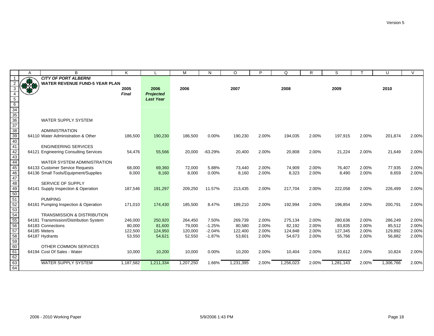|                                                                                                              | A   | B                                      | K            |                  | M         | N         | O         | P     | Q         | R     | S         |       | U         | $\vee$ |
|--------------------------------------------------------------------------------------------------------------|-----|----------------------------------------|--------------|------------------|-----------|-----------|-----------|-------|-----------|-------|-----------|-------|-----------|--------|
| $\mathbf{1}$                                                                                                 |     | <b>CITY OF PORT ALBERNI</b>            |              |                  |           |           |           |       |           |       |           |       |           |        |
|                                                                                                              | 370 | <b>WATER REVENUE FUND-5 YEAR PLAN</b>  |              |                  |           |           |           |       |           |       |           |       |           |        |
| 3                                                                                                            |     |                                        | 2005         | 2006             | 2006      |           | 2007      |       | 2008      |       | 2009      |       | 2010      |        |
|                                                                                                              |     |                                        | <b>Final</b> | <b>Projected</b> |           |           |           |       |           |       |           |       |           |        |
|                                                                                                              |     |                                        |              | <b>Last Year</b> |           |           |           |       |           |       |           |       |           |        |
|                                                                                                              |     |                                        |              |                  |           |           |           |       |           |       |           |       |           |        |
|                                                                                                              |     |                                        |              |                  |           |           |           |       |           |       |           |       |           |        |
|                                                                                                              |     |                                        |              |                  |           |           |           |       |           |       |           |       |           |        |
|                                                                                                              |     | <b>WATER SUPPLY SYSTEM</b>             |              |                  |           |           |           |       |           |       |           |       |           |        |
|                                                                                                              |     |                                        |              |                  |           |           |           |       |           |       |           |       |           |        |
| $\frac{5}{6}$ $\frac{6}{34}$ $\frac{34}{35}$ $\frac{36}{37}$ $\frac{37}{38}$ $\frac{39}{39}$ $\frac{39}{40}$ |     | <b>ADMINISTRATION</b>                  |              |                  |           |           |           |       |           |       |           |       |           |        |
|                                                                                                              |     | 64110 Water Administration & Other     | 186,500      | 190,230          | 186,500   | 0.00%     | 190,230   | 2.00% | 194,035   | 2.00% | 197,915   | 2.00% | 201,874   | 2.00%  |
|                                                                                                              |     |                                        |              |                  |           |           |           |       |           |       |           |       |           |        |
| 41                                                                                                           |     | <b>ENGINEERING SERVICES</b>            |              |                  |           |           |           |       |           |       |           |       |           |        |
| 42                                                                                                           |     | 64121 Engineering Consulting Services  | 54,476       | 55,566           | 20,000    | $-63.29%$ | 20,400    | 2.00% | 20,808    | 2.00% | 21,224    | 2.00% | 21,649    | 2.00%  |
| 43                                                                                                           |     |                                        |              |                  |           |           |           |       |           |       |           |       |           |        |
| 44                                                                                                           |     | WATER SYSTEM ADMINISTRATION            |              |                  |           |           |           |       |           |       |           |       |           |        |
| 45                                                                                                           |     | 64133 Customer Service Requests        | 68,000       | 69,360           | 72,000    | 5.88%     | 73,440    | 2.00% | 74,909    | 2.00% | 76,407    | 2.00% | 77,935    | 2.00%  |
| 46                                                                                                           |     | 64136 Small Tools/Equipment/Supplies   | 8,000        | 8,160            | 8,000     | 0.00%     | 8,160     | 2.00% | 8,323     | 2.00% | 8,490     | 2.00% | 8,659     | 2.00%  |
| 47                                                                                                           |     |                                        |              |                  |           |           |           |       |           |       |           |       |           |        |
| 48                                                                                                           |     | <b>SERVICE OF SUPPLY</b>               |              |                  |           |           |           |       |           |       |           |       |           |        |
| 49                                                                                                           |     | 64141 Supply Inspection & Operation    | 187,546      | 191,297          | 209,250   | 11.57%    | 213,435   | 2.00% | 217,704   | 2.00% | 222,058   | 2.00% | 226,499   | 2.00%  |
| 50                                                                                                           |     |                                        |              |                  |           |           |           |       |           |       |           |       |           |        |
| $\frac{55}{51}$                                                                                              |     | <b>PUMPING</b>                         |              |                  |           |           |           |       |           |       |           |       |           |        |
|                                                                                                              |     | 64161 Pumping Inspection & Operation   | 171,010      | 174,430          | 185,500   | 8.47%     | 189,210   | 2.00% | 192,994   | 2.00% | 196,854   | 2.00% | 200,791   | 2.00%  |
| $\frac{2}{53}$                                                                                               |     |                                        |              |                  |           |           |           |       |           |       |           |       |           |        |
| 54                                                                                                           |     | <b>TRANSMISSION &amp; DISTRIBUTION</b> |              |                  |           |           |           |       |           |       |           |       |           |        |
| 55                                                                                                           |     | 64181 Transmission/Distribution System | 246,000      | 250,920          | 264,450   | 7.50%     | 269,739   | 2.00% | 275,134   | 2.00% | 280,636   | 2.00% | 286,249   | 2.00%  |
| 56                                                                                                           |     | 64183 Connections                      | 80,000       | 81,600           | 79,000    | $-1.25%$  | 80,580    | 2.00% | 82,192    | 2.00% | 83,835    | 2.00% | 85,512    | 2.00%  |
| 57                                                                                                           |     | 64185 Meters                           | 122,500      | 124,950          | 120,000   | $-2.04%$  | 122,400   | 2.00% | 124,848   | 2.00% | 127,345   | 2.00% | 129,892   | 2.00%  |
| 58                                                                                                           |     | 64187 Hydrants                         | 53,550       | 54,621           | 52,550    | $-1.87%$  | 53,601    | 2.00% | 54,673    | 2.00% | 55,766    | 2.00% | 56,882    | 2.00%  |
| 59                                                                                                           |     |                                        |              |                  |           |           |           |       |           |       |           |       |           |        |
| 60                                                                                                           |     | OTHER COMMON SERVICES                  |              |                  |           |           |           |       |           |       |           |       |           |        |
| 61                                                                                                           |     | 64194 Cost Of Sales - Water            | 10,000       | 10,200           | 10,000    | 0.00%     | 10,200    | 2.00% | 10,404    | 2.00% | 10,612    | 2.00% | 10,824    | 2.00%  |
| 62                                                                                                           |     |                                        |              |                  |           |           |           |       |           |       |           |       |           |        |
| 63<br>64                                                                                                     |     | <b>WATER SUPPLY SYSTEM</b>             | 1,187,582    | 1,211,334        | 1,207,250 | 1.66%     | 1,231,395 | 2.00% | 1,256,023 | 2.00% | 1,281,143 | 2.00% | 1,306,766 | 2.00%  |
|                                                                                                              |     |                                        |              |                  |           |           |           |       |           |       |           |       |           |        |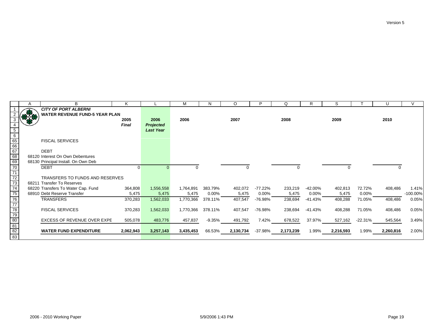|                                                       | $\mathsf{A}$ | B                                     | Κ         |                  | М         | N        | O         | P        | Q         | R        | S         |           | U         |            |
|-------------------------------------------------------|--------------|---------------------------------------|-----------|------------------|-----------|----------|-----------|----------|-----------|----------|-----------|-----------|-----------|------------|
|                                                       |              | <b>CITY OF PORT ALBERNI</b>           |           |                  |           |          |           |          |           |          |           |           |           |            |
|                                                       |              | <b>WATER REVENUE FUND-5 YEAR PLAN</b> |           |                  |           |          |           |          |           |          |           |           |           |            |
| 3                                                     |              |                                       | 2005      | 2006             | 2006      |          | 2007      |          | 2008      |          | 2009      |           | 2010      |            |
| 4                                                     |              |                                       | Final     | <b>Projected</b> |           |          |           |          |           |          |           |           |           |            |
| $\overline{5}$                                        |              |                                       |           | <b>Last Year</b> |           |          |           |          |           |          |           |           |           |            |
| $\overline{6}$                                        |              |                                       |           |                  |           |          |           |          |           |          |           |           |           |            |
|                                                       |              | <b>FISCAL SERVICES</b>                |           |                  |           |          |           |          |           |          |           |           |           |            |
|                                                       |              |                                       |           |                  |           |          |           |          |           |          |           |           |           |            |
| $\frac{65}{66}$                                       |              | <b>DEBT</b>                           |           |                  |           |          |           |          |           |          |           |           |           |            |
| 68                                                    |              | 68120 Interest On Own Debentures      |           |                  |           |          |           |          |           |          |           |           |           |            |
| 69                                                    |              | 68130 Principal Install. On Own Deb   |           |                  |           |          |           |          |           |          |           |           |           |            |
|                                                       |              | <b>DEBT</b>                           | 0         |                  |           |          | O         |          |           |          | 0         |           |           |            |
| $\frac{70}{71}$<br>$\frac{71}{72}$<br>$\frac{72}{73}$ |              |                                       |           |                  |           |          |           |          |           |          |           |           |           |            |
|                                                       |              | TRANSFERS TO FUNDS AND RESERVES       |           |                  |           |          |           |          |           |          |           |           |           |            |
|                                                       |              | 68211 Transfer To Reserves            |           |                  |           |          |           |          |           |          |           |           |           |            |
| 74                                                    |              |                                       |           |                  |           |          |           |          |           |          |           |           |           |            |
|                                                       |              | 68220 Transfers To Water Cap. Fund    | 364,808   | 1,556,558        | 1,764,891 | 383.79%  | 402,072   | -77.22%  | 233,219   | -42.00%  | 402,813   | 72.72%    | 408,486   | 1.41%      |
| 75                                                    |              | 68910 Debt Reserve Transfer           | 5,475     | 5,475            | 5,475     | $0.00\%$ | 5,475     | $0.00\%$ | 5,475     | $0.00\%$ | 5,475     | $0.00\%$  |           | $-100.00%$ |
| $\frac{76}{77}$                                       |              | TRANSFERS                             | 370,283   | 1,562,033        | 1,770,366 | 378.11%  | 407,547   | -76.98%  | 238,694   | -41.43%  | 408,288   | 71.05%    | 408,486   | 0.05%      |
|                                                       |              |                                       |           |                  |           |          |           |          |           |          |           |           |           |            |
|                                                       |              | <b>FISCAL SERVICES</b>                | 370,283   | 1,562,033        | 1,770,366 | 378.11%  | 407,547   | -76.98%  | 238,694   | -41.43%  | 408,288   | 71.05%    | 408,486   | 0.05%      |
| $\frac{79}{80}$                                       |              |                                       |           |                  |           |          |           |          |           |          |           |           |           |            |
|                                                       |              | EXCESS OF REVENUE OVER EXPE           | 505,078   | 483,776          | 457,837   | -9.35%   | 491,792   | 7.42%    | 678,522   | 37.97%   | 527,162   | $-22.31%$ | 545,564   | 3.49%      |
| 81                                                    |              |                                       |           |                  |           |          |           |          |           |          |           |           |           |            |
| 82                                                    |              | <b>WATER FUND EXPENDITURE</b>         | 2,062,943 | 3,257,143        | 3,435,453 | 66.53%   | 2,130,734 | -37.98%  | 2,173,239 | 1.99%    | 2,216,593 | 1.99%     | 2,260,816 | 2.00%      |
| 83                                                    |              |                                       |           |                  |           |          |           |          |           |          |           |           |           |            |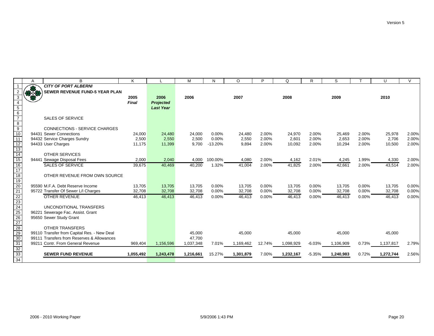|                                                                     | A    | B                                           | K            |                  | M         | N         | O         | P      | Q         | R        | S         |          | U         | $\sqrt{}$ |
|---------------------------------------------------------------------|------|---------------------------------------------|--------------|------------------|-----------|-----------|-----------|--------|-----------|----------|-----------|----------|-----------|-----------|
|                                                                     | æ    | <b>CITY OF PORT ALBERNI</b>                 |              |                  |           |           |           |        |           |          |           |          |           |           |
|                                                                     | 37.8 | <b>SEWER REVENUE FUND-5 YEAR PLAN</b>       |              |                  |           |           |           |        |           |          |           |          |           |           |
| 3                                                                   |      |                                             | 2005         | 2006             | 2006      |           | 2007      |        | 2008      |          | 2009      |          | 2010      |           |
| $\overline{4}$                                                      |      |                                             | <b>Final</b> | <b>Projected</b> |           |           |           |        |           |          |           |          |           |           |
|                                                                     |      |                                             |              | <b>Last Year</b> |           |           |           |        |           |          |           |          |           |           |
| $\begin{array}{c}\n5 \\ 6 \\ 7\n\end{array}$                        |      |                                             |              |                  |           |           |           |        |           |          |           |          |           |           |
|                                                                     |      | <b>SALES OF SERVICE</b>                     |              |                  |           |           |           |        |           |          |           |          |           |           |
|                                                                     |      |                                             |              |                  |           |           |           |        |           |          |           |          |           |           |
| $\begin{array}{c}\n 8 \\  \hline\n 9 \\  \hline\n 10\n \end{array}$ |      | <b>CONNECTIONS - SERVICE CHARGES</b>        |              |                  |           |           |           |        |           |          |           |          |           |           |
|                                                                     |      | 94431 Sewer Connections                     | 24,000       | 24,480           | 24,000    | 0.00%     | 24,480    | 2.00%  | 24,970    | 2.00%    | 25,469    | 2.00%    | 25,978    | 2.00%     |
| 11                                                                  |      | 94432 Service Charges Sundry                | 2,500        | 2,550            | 2,500     | 0.00%     | 2,550     | 2.00%  | 2,601     | 2.00%    | 2,653     | 2.00%    | 2,706     | 2.00%     |
|                                                                     |      | 94433 User Charges                          | 11,175       | 11,399           | 9,700     | $-13.20%$ | 9,894     | 2.00%  | 10,092    | 2.00%    | 10,294    | 2.00%    | 10,500    | 2.00%     |
| $\frac{12}{13}$<br>$\frac{14}{15}$                                  |      |                                             |              |                  |           |           |           |        |           |          |           |          |           |           |
|                                                                     |      | <b>OTHER SERVICES</b>                       |              |                  |           |           |           |        |           |          |           |          |           |           |
|                                                                     |      | 94441 Sewage Disposal Fees                  | 2,000        | 2,040            | 4,000     | 100.00%   | 4,080     | 2.00%  | 4,162     | 2.01%    | 4,245     | 1.99%    | 4,330     | 2.00%     |
| $\overline{16}$                                                     |      | <b>SALES OF SERVICE</b>                     | 39,675       | 40,469           | 40,200    | 1.32%     | 41,004    | 2.00%  | 41,825    | 2.00%    | 42,661    | 2.00%    | 43,514    | 2.00%     |
| $\overline{17}$                                                     |      |                                             |              |                  |           |           |           |        |           |          |           |          |           |           |
| 18                                                                  |      | OTHER REVENUE FROM OWN SOURCE               |              |                  |           |           |           |        |           |          |           |          |           |           |
| 19                                                                  |      |                                             |              |                  |           |           |           |        |           |          |           |          |           |           |
| $\frac{20}{21}$                                                     |      | 95590 M.F.A. Debt Reserve Income            | 13,705       | 13,705           | 13,705    | 0.00%     | 13,705    | 0.00%  | 13,705    | $0.00\%$ | 13,705    | $0.00\%$ | 13,705    | 0.00%     |
|                                                                     |      | 95722 Transfer Of Sewer L/I Charges         | 32,708       | 32,708           | 32,708    | 0.00%     | 32,708    | 0.00%  | 32,708    | 0.00%    | 32,708    | 0.00%    | 32,708    | 0.00%     |
|                                                                     |      | <b>OTHER REVENUE</b>                        | 46,413       | 46.413           | 46,413    | 0.00%     | 46,413    | 0.00%  | 46,413    | 0.00%    | 46,413    | 0.00%    | 46,413    | 0.00%     |
|                                                                     |      |                                             |              |                  |           |           |           |        |           |          |           |          |           |           |
|                                                                     |      | UNCONDITIONAL TRANSFERS                     |              |                  |           |           |           |        |           |          |           |          |           |           |
|                                                                     |      | 96221 Sewerage Fac. Assist. Grant           |              |                  |           |           |           |        |           |          |           |          |           |           |
|                                                                     |      | 95650 Sewer Study Grant                     |              |                  |           |           |           |        |           |          |           |          |           |           |
|                                                                     |      |                                             |              |                  |           |           |           |        |           |          |           |          |           |           |
|                                                                     |      | <b>OTHER TRANSFERS</b>                      |              |                  |           |           |           |        |           |          |           |          |           |           |
| 22<br>23<br>24<br>25<br>26<br>27<br>28<br>29<br>29                  |      | 99110 Transfer from Capital Res. - New Deal |              |                  | 45,000    |           | 45,000    |        | 45,000    |          | 45,000    |          | 45,000    |           |
|                                                                     |      | 99111 Transfers from Reserves & Allowances  |              |                  | 47,700    |           |           |        |           |          |           |          |           |           |
| 31                                                                  |      | 99211 Contr. From General Revenue           | 969,404      | 1,156,596        | 1,037,348 | 7.01%     | 1,169,462 | 12.74% | 1,098,929 | $-6.03%$ | 1,106,909 | 0.73%    | 1,137,817 | 2.79%     |
| 32<br>33                                                            |      |                                             |              |                  |           |           |           |        |           |          |           |          |           |           |
|                                                                     |      | <b>SEWER FUND REVENUE</b>                   | 1,055,492    | 1,243,478        | 1,216,661 | 15.27%    | 1,301,879 | 7.00%  | 1,232,167 | $-5.35%$ | 1,240,983 | 0.72%    | 1,272,744 | 2.56%     |
| 34                                                                  |      |                                             |              |                  |           |           |           |        |           |          |           |          |           |           |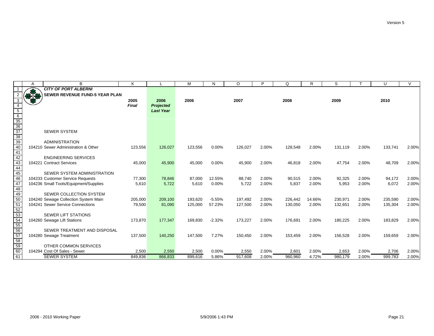|                                                                               | A             | B                                     | K            |                  | M       | N        | O       | P     | Q       | R      | S       |       | U       | $\vee$ |
|-------------------------------------------------------------------------------|---------------|---------------------------------------|--------------|------------------|---------|----------|---------|-------|---------|--------|---------|-------|---------|--------|
|                                                                               |               | <b>CITY OF PORT ALBERNI</b>           |              |                  |         |          |         |       |         |        |         |       |         |        |
|                                                                               | $\frac{1}{2}$ | <b>SEWER REVENUE FUND-5 YEAR PLAN</b> |              |                  |         |          |         |       |         |        |         |       |         |        |
| 3                                                                             | 83            |                                       | 2005         | 2006             | 2006    |          | 2007    |       | 2008    |        | 2009    |       | 2010    |        |
| $\overline{4}$                                                                |               |                                       | <b>Final</b> | <b>Projected</b> |         |          |         |       |         |        |         |       |         |        |
|                                                                               |               |                                       |              | <b>Last Year</b> |         |          |         |       |         |        |         |       |         |        |
| $\frac{5}{6}$ $\frac{35}{36}$ $\frac{37}{38}$ $\frac{39}{40}$ $\frac{41}{41}$ |               |                                       |              |                  |         |          |         |       |         |        |         |       |         |        |
|                                                                               |               |                                       |              |                  |         |          |         |       |         |        |         |       |         |        |
|                                                                               |               |                                       |              |                  |         |          |         |       |         |        |         |       |         |        |
|                                                                               |               | <b>SEWER SYSTEM</b>                   |              |                  |         |          |         |       |         |        |         |       |         |        |
|                                                                               |               |                                       |              |                  |         |          |         |       |         |        |         |       |         |        |
|                                                                               |               | <b>ADMINISTRATION</b>                 |              |                  |         |          |         |       |         |        |         |       |         |        |
|                                                                               |               | 104210 Sewer Administration & Other   | 123,556      | 126,027          | 123,556 | 0.00%    | 126,027 | 2.00% | 128,548 | 2.00%  | 131,119 | 2.00% | 133,741 | 2.00%  |
|                                                                               |               |                                       |              |                  |         |          |         |       |         |        |         |       |         |        |
| 42                                                                            |               | <b>ENGINEERING SERVICES</b>           |              |                  |         |          |         |       |         |        |         |       |         |        |
| 43                                                                            |               | 104221 Contract Services              | 45,000       | 45,900           | 45,000  | 0.00%    | 45,900  | 2.00% | 46,818  | 2.00%  | 47,754  | 2.00% | 48,709  | 2.00%  |
| 44                                                                            |               |                                       |              |                  |         |          |         |       |         |        |         |       |         |        |
| $\overline{45}$                                                               |               | SEWER SYSTEM ADMINISTRATION           |              |                  |         |          |         |       |         |        |         |       |         |        |
| $\overline{46}$                                                               |               | 104233 Customer Service Requests      | 77,300       | 78,846           | 87,000  | 12.55%   | 88,740  | 2.00% | 90,515  | 2.00%  | 92,325  | 2.00% | 94,172  | 2.00%  |
| 47                                                                            |               | 104236 Small Tools/Equipment/Supplies | 5,610        | 5,722            | 5,610   | 0.00%    | 5,722   | 2.00% | 5,837   | 2.00%  | 5,953   | 2.00% | 6,072   | 2.00%  |
| 48                                                                            |               |                                       |              |                  |         |          |         |       |         |        |         |       |         |        |
| $\frac{1}{49}$                                                                |               | <b>SEWER COLLECTION SYSTEM</b>        |              |                  |         |          |         |       |         |        |         |       |         |        |
| 50                                                                            |               | 104240 Sewage Collection System Main  | 205,000      | 209,100          | 193,620 | $-5.55%$ | 197,492 | 2.00% | 226,442 | 14.66% | 230,971 | 2.00% | 235,590 | 2.00%  |
| 51                                                                            |               | 104241 Sewer Service Connections      | 79,500       | 81,090           | 125,000 | 57.23%   | 127,500 | 2.00% | 130,050 | 2.00%  | 132,651 | 2.00% | 135,304 | 2.00%  |
| $rac{52}{53}$                                                                 |               |                                       |              |                  |         |          |         |       |         |        |         |       |         |        |
|                                                                               |               | <b>SEWER LIFT STATIONS</b>            |              |                  |         |          |         |       |         |        |         |       |         |        |
| $\frac{54}{55}$<br>$\frac{56}{57}$                                            |               | 104260 Sewage Lift Stations           | 173,870      | 177,347          | 169,830 | $-2.32%$ | 173,227 | 2.00% | 176,691 | 2.00%  | 180,225 | 2.00% | 183,829 | 2.00%  |
|                                                                               |               | SEWER TREATMENT AND DISPOSAL          |              |                  |         |          |         |       |         |        |         |       |         |        |
|                                                                               |               |                                       |              | 140,250          | 147,500 | 7.27%    | 150,450 | 2.00% |         | 2.00%  |         | 2.00% |         | 2.00%  |
|                                                                               |               | 104280 Sewage Treatment               | 137,500      |                  |         |          |         |       | 153,459 |        | 156,528 |       | 159,659 |        |
|                                                                               |               | OTHER COMMON SERVICES                 |              |                  |         |          |         |       |         |        |         |       |         |        |
| $\frac{1}{58}$<br>$\frac{59}{60}$                                             |               | 104294 Cost Of Sales - Sewer          | 2,500        | 2,550            | 2,500   | $0.00\%$ | 2,550   | 2.00% | 2,601   | 2.00%  | 2,653   | 2.00% | 2,706   | 2.00%  |
| 61                                                                            |               | <b>SEWER SYSTEM</b>                   | 849,836      | 866,833          | 899,616 | 5.86%    | 917,608 | 2.00% | 960,960 | 4.72%  | 980,179 | 2.00% | 999,783 | 2.00%  |
|                                                                               |               |                                       |              |                  |         |          |         |       |         |        |         |       |         |        |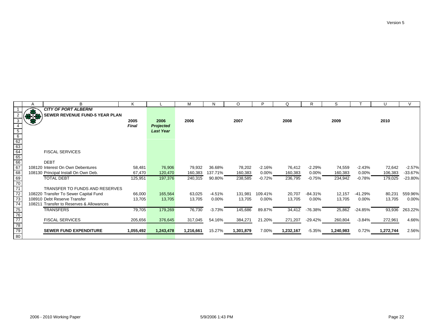|                                                    | A   | B                                        | K            |                  | М         | N        | O         |          | Q         |           | S         |           | U         |           |
|----------------------------------------------------|-----|------------------------------------------|--------------|------------------|-----------|----------|-----------|----------|-----------|-----------|-----------|-----------|-----------|-----------|
|                                                    |     | <b>CITY OF PORT ALBERNI</b>              |              |                  |           |          |           |          |           |           |           |           |           |           |
|                                                    | 878 | <b>SEWER REVENUE FUND-5 YEAR PLAN</b>    |              |                  |           |          |           |          |           |           |           |           |           |           |
|                                                    | æ   |                                          | 2005         | 2006             | 2006      |          | 2007      |          | 2008      |           | 2009      |           | 2010      |           |
|                                                    |     |                                          | <b>Final</b> | <b>Projected</b> |           |          |           |          |           |           |           |           |           |           |
|                                                    |     |                                          |              | <b>Last Year</b> |           |          |           |          |           |           |           |           |           |           |
| $\begin{array}{r} 6 \\ 62 \\ 63 \\ 64 \end{array}$ |     |                                          |              |                  |           |          |           |          |           |           |           |           |           |           |
|                                                    |     |                                          |              |                  |           |          |           |          |           |           |           |           |           |           |
|                                                    |     |                                          |              |                  |           |          |           |          |           |           |           |           |           |           |
|                                                    |     | <b>FISCAL SERVICES</b>                   |              |                  |           |          |           |          |           |           |           |           |           |           |
| $\frac{65}{66}$                                    |     |                                          |              |                  |           |          |           |          |           |           |           |           |           |           |
|                                                    |     | <b>DEBT</b>                              |              |                  |           |          |           |          |           |           |           |           |           |           |
| $\frac{1}{67}$                                     |     | 108120 Interest On Own Debentures        | 58,481       | 76,906           | 79,932    | 36.68%   | 78,202    | $-2.16%$ | 76,412    | $-2.29%$  | 74,559    | $-2.43%$  | 72,642    | $-2.57%$  |
| 68                                                 |     | 108130 Principal Install On Own Deb.     | 67,470       | 120,470          | 160,383   | 137.71%  | 160,383   | $0.00\%$ | 160,383   | $0.00\%$  | 160,383   | 0.00%     | 106,383   | $-33.67%$ |
|                                                    |     | <b>TOTAL DEBT</b>                        | 125,951      | 197,376          | 240,315   | 90.80%   | 238,585   | $-0.72%$ | 236,795   | $-0.75%$  | 234,942   | $-0.78%$  | 179,025   | -23.80%   |
| 69<br>70                                           |     |                                          |              |                  |           |          |           |          |           |           |           |           |           |           |
| $\overline{71}$                                    |     | <b>TRANSFER TO FUNDS AND RESERVES</b>    |              |                  |           |          |           |          |           |           |           |           |           |           |
| $\overline{72}$                                    |     | 108220 Transfer To Sewer Capital Fund    | 66,000       | 165,564          | 63,025    | $-4.51%$ | 131,981   | 109.41%  | 20,707    | $-84.31%$ | 12,157    | $-41.29%$ | 80,231    | 559.96%   |
| $\overline{73}$                                    |     | 108910 Debt Reserve Transfer             | 13,705       | 13,705           | 13,705    | 0.00%    | 13,705    | 0.00%    | 13,705    | $0.00\%$  | 13,705    | 0.00%     | 13,705    | 0.00%     |
| $\overline{74}$                                    |     | 108211 Transfer to Reserves & Allowances |              |                  |           |          |           |          |           |           |           |           |           |           |
| 75<br>76                                           |     | <b>TRANSFERS</b>                         | 79,705       | 179,269          | 76,730    | $-3.73%$ | 145,686   | 89.87%   | 34,412    | -76.38%   | 25,862    | $-24.85%$ | 93,936    | 263.22%   |
|                                                    |     |                                          |              |                  |           |          |           |          |           |           |           |           |           |           |
| $\frac{1}{77}$                                     |     | <b>FISCAL SERVICES</b>                   | 205,656      | 376,645          | 317,045   | 54.16%   | 384,271   | 21.20%   | 271,207   | -29.42%   | 260,804   | $-3.84%$  | 272,961   | 4.66%     |
| 78<br>79                                           |     |                                          |              |                  |           |          |           |          |           |           |           |           |           |           |
|                                                    |     | <b>SEWER FUND EXPENDITURE</b>            | 1,055,492    | 1,243,478        | 1,216,661 | 15.27%   | 1,301,879 | 7.00%    | 1,232,167 | -5.35%    | 1,240,983 | 0.72%     | 1,272,744 | 2.56%     |
| $\overline{80}$                                    |     |                                          |              |                  |           |          |           |          |           |           |           |           |           |           |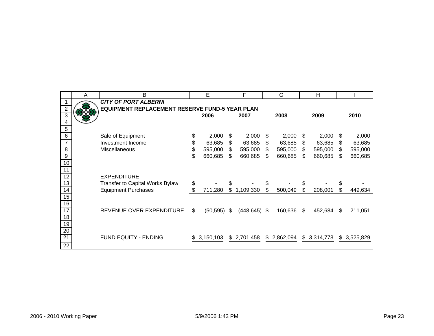|                                               | Α | Β                                                     |          | E                      |     | F                         | G                          |     | H                      |    |           |
|-----------------------------------------------|---|-------------------------------------------------------|----------|------------------------|-----|---------------------------|----------------------------|-----|------------------------|----|-----------|
|                                               |   | <b>CITY OF PORT ALBERNI</b>                           |          |                        |     |                           |                            |     |                        |    |           |
| $\overline{2}$                                |   | <b>EQUIPMENT REPLACEMENT RESERVE FUND-5 YEAR PLAN</b> |          |                        |     |                           |                            |     |                        |    |           |
| 3                                             |   |                                                       |          | 2006                   |     | 2007                      | 2008                       |     | 2009                   |    | 2010      |
| 4                                             |   |                                                       |          |                        |     |                           |                            |     |                        |    |           |
| 5                                             |   |                                                       |          |                        |     |                           |                            |     |                        |    |           |
| 6                                             |   | Sale of Equipment                                     | \$       | 2,000                  | S   | 2,000                     | \$<br>2,000                | \$  | 2,000                  | \$ | 2,000     |
| $\overline{7}$                                |   | Investment Income                                     | \$       | 63,685                 | \$  | 63,685                    | \$<br>63,685               | \$  | 63,685                 | \$ | 63,685    |
| 8                                             |   | Miscellaneous                                         | \$       | 595,000                | \$. | 595,000                   | \$<br>595,000              | \$  | 595,000                | S. | 595,000   |
| 9                                             |   |                                                       | \$       | 660,685                | \$  | 660,685                   | \$<br>660,685              | \$  | 660,685                | \$ | 660,685   |
| 10                                            |   |                                                       |          |                        |     |                           |                            |     |                        |    |           |
| 11                                            |   |                                                       |          |                        |     |                           |                            |     |                        |    |           |
| 12                                            |   | <b>EXPENDITURE</b>                                    |          |                        |     |                           |                            |     |                        |    |           |
| 13                                            |   | <b>Transfer to Capital Works Bylaw</b>                | \$       |                        | \$  |                           | \$                         | \$  |                        | \$ |           |
| 14                                            |   | <b>Equipment Purchases</b>                            | \$       | 711,280                | \$  | 1,109,330                 | \$<br>500,049              | \$  | 208,001                | \$ | 449,634   |
| 15                                            |   |                                                       |          |                        |     |                           |                            |     |                        |    |           |
| 16                                            |   |                                                       |          |                        |     |                           |                            |     |                        |    |           |
|                                               |   |                                                       |          |                        | -S  |                           | \$                         | \$. |                        | S  | 211,051   |
|                                               |   |                                                       |          |                        |     |                           |                            |     |                        |    |           |
|                                               |   |                                                       |          |                        |     |                           |                            |     |                        |    |           |
|                                               |   |                                                       |          |                        |     |                           |                            |     |                        |    |           |
|                                               |   |                                                       |          |                        |     |                           |                            |     |                        |    | 3,525,829 |
|                                               |   |                                                       |          |                        |     |                           |                            |     |                        |    |           |
| 17<br>$\overline{18}$<br>19<br>20<br>21<br>22 |   | REVENUE OVER EXPENDITURE<br>FUND EQUITY - ENDING      | \$<br>S. | (50, 595)<br>3,150,103 |     | (448, 645)<br>\$2,701,458 | \$<br>160,636<br>2,862,094 |     | 452,684<br>\$3,314,778 | \$ |           |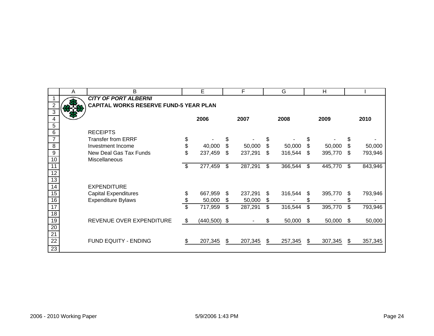|                 | A | B                                      |                          | E              |     | F       |     | G       |     | H       |     |         |
|-----------------|---|----------------------------------------|--------------------------|----------------|-----|---------|-----|---------|-----|---------|-----|---------|
|                 |   | <b>CITY OF PORT ALBERNI</b>            |                          |                |     |         |     |         |     |         |     |         |
|                 |   | CAPITAL WORKS RESERVE FUND-5 YEAR PLAN |                          |                |     |         |     |         |     |         |     |         |
| $\overline{3}$  |   |                                        |                          |                |     |         |     |         |     |         |     |         |
| 4               |   |                                        |                          | 2006           |     | 2007    |     | 2008    |     | 2009    |     | 2010    |
| $\overline{5}$  |   |                                        |                          |                |     |         |     |         |     |         |     |         |
| $\overline{6}$  |   | <b>RECEIPTS</b>                        |                          |                |     |         |     |         |     |         |     |         |
| $\overline{7}$  |   | <b>Transfer from ERRF</b>              | \$                       |                |     |         |     |         |     |         |     |         |
| $\overline{8}$  |   | Investment Income                      | \$                       | 40,000         | \$  | 50,000  | \$  | 50,000  | \$  | 50,000  | \$  | 50,000  |
| $\overline{9}$  |   | New Deal Gas Tax Funds                 | \$                       | 237,459        | \$  | 237,291 | \$  | 316,544 | \$  | 395,770 | \$  | 793,946 |
| 10              |   | Miscellaneous                          |                          |                |     |         |     |         |     |         |     |         |
| $\overline{11}$ |   |                                        | \$                       | 277,459        | \$  | 287,291 | \$  | 366,544 | \$  | 445,770 | \$  | 843,946 |
| $\overline{12}$ |   |                                        |                          |                |     |         |     |         |     |         |     |         |
| 13              |   |                                        |                          |                |     |         |     |         |     |         |     |         |
| 14              |   | <b>EXPENDITURE</b>                     |                          |                |     |         |     |         |     |         |     |         |
| 15              |   | <b>Capital Expenditures</b>            | \$                       | 667,959        | \$  | 237,291 | \$  | 316,544 | \$  | 395,770 | S   | 793,946 |
| 16              |   | <b>Expenditure Bylaws</b>              | \$                       | 50,000         | \$  | 50,000  | \$  |         |     |         |     |         |
| 17              |   |                                        | $\overline{\mathcal{E}}$ | 717,959        | \$  | 287,291 | \$  | 316,544 | \$  | 395,770 | \$  | 793,946 |
| 18              |   |                                        |                          |                |     |         |     |         |     |         |     |         |
| 19              |   | REVENUE OVER EXPENDITURE               | \$                       | $(440,500)$ \$ |     |         | \$. | 50,000  | \$. | 50,000  | -\$ | 50,000  |
| 20              |   |                                        |                          |                |     |         |     |         |     |         |     |         |
| $\overline{21}$ |   |                                        |                          |                |     |         |     |         |     |         |     |         |
| $\overline{22}$ |   | <b>FUND EQUITY - ENDING</b>            | \$.                      | 207,345        | \$. | 207,345 | S   | 257,345 | \$. | 307,345 | -S  | 357,345 |
| 23              |   |                                        |                          |                |     |         |     |         |     |         |     |         |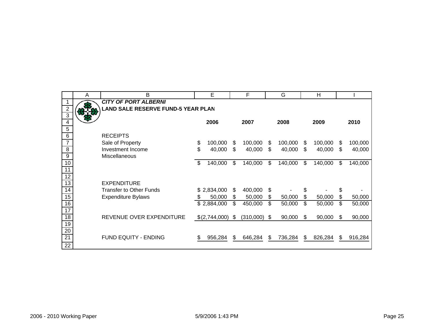|                                       | A | Β                                                                        |    | E             |      | F         | G             |     | H       |    |         |
|---------------------------------------|---|--------------------------------------------------------------------------|----|---------------|------|-----------|---------------|-----|---------|----|---------|
| $\overline{c}$                        |   | <b>CITY OF PORT ALBERNI</b><br><b>LAND SALE RESERVE FUND-5 YEAR PLAN</b> |    |               |      |           |               |     |         |    |         |
| $\overline{3}$<br>$\overline{4}$<br>5 |   |                                                                          |    | 2006          |      | 2007      | 2008          |     | 2009    |    | 2010    |
| $\,6$                                 |   | <b>RECEIPTS</b>                                                          |    |               |      |           |               |     |         |    |         |
| 7                                     |   | Sale of Property                                                         | \$ | 100,000       | S    | 100,000   | \$<br>100,000 | \$. | 100,000 | S  | 100,000 |
| 8                                     |   | Investment Income                                                        | \$ | 40,000        | \$   | 40,000    | \$<br>40,000  | \$  | 40,000  | \$ | 40,000  |
| 9                                     |   | Miscellaneous                                                            |    |               |      |           |               |     |         |    |         |
| 10                                    |   |                                                                          | \$ | 140,000       | \$   | 140,000   | \$<br>140,000 | \$  | 140,000 | \$ | 140,000 |
| 11                                    |   |                                                                          |    |               |      |           |               |     |         |    |         |
| $\overline{12}$<br>13                 |   | <b>EXPENDITURE</b>                                                       |    |               |      |           |               |     |         |    |         |
| 14                                    |   | <b>Transfer to Other Funds</b>                                           |    | \$2,834,000   | \$   | 400,000   | \$            | \$  |         | \$ |         |
| 15                                    |   | <b>Expenditure Bylaws</b>                                                | S  | 50,000        | \$   | 50,000    | \$<br>50,000  | \$  | 50,000  | \$ | 50,000  |
| 16                                    |   |                                                                          |    | \$2,884,000   | \$   | 450,000   | \$<br>50,000  | \$  | 50,000  | \$ | 50,000  |
| 17                                    |   |                                                                          |    |               |      |           |               |     |         |    |         |
| $\overline{18}$                       |   | REVENUE OVER EXPENDITURE                                                 |    | \$(2,744,000) | - \$ | (310,000) | \$<br>90,000  | S   | 90,000  | S  | 90,000  |
| 19                                    |   |                                                                          |    |               |      |           |               |     |         |    |         |
| $\overline{20}$                       |   |                                                                          |    |               |      |           |               |     |         |    |         |
| $\overline{21}$                       |   | <b>FUND EQUITY - ENDING</b>                                              | S  | 956,284       | S    | 646,284   | \$<br>736,284 | S   | 826,284 | \$ | 916,284 |
| 22                                    |   |                                                                          |    |               |      |           |               |     |         |    |         |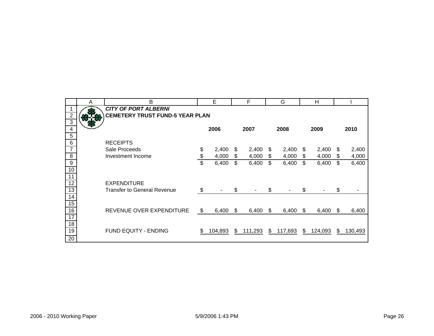|                  | A | B                                      | E           |     | F       |    | G       |    | Н       |     |         |
|------------------|---|----------------------------------------|-------------|-----|---------|----|---------|----|---------|-----|---------|
|                  |   | <b>CITY OF PORT ALBERNI</b>            |             |     |         |    |         |    |         |     |         |
| $\overline{c}$   |   | <b>CEMETERY TRUST FUND-5 YEAR PLAN</b> |             |     |         |    |         |    |         |     |         |
| 3                |   |                                        |             |     |         |    |         |    |         |     |         |
| 4                |   |                                        | 2006        |     | 2007    |    | 2008    |    | 2009    |     | 2010    |
| 5                |   |                                        |             |     |         |    |         |    |         |     |         |
| $\,6$            |   | <b>RECEIPTS</b>                        |             |     |         |    |         |    |         |     |         |
| $\overline{7}$   |   | Sale Proceeds                          | \$<br>2,400 | \$  | 2,400   | \$ | 2,400   | S  | 2,400   | S   | 2,400   |
| 8                |   | Investment Income                      | \$<br>4,000 | \$  | 4,000   | \$ | 4,000   | S  | 4,000   | \$  | 4,000   |
| $\boldsymbol{9}$ |   |                                        | \$<br>6,400 | \$  | 6,400   | \$ | 6,400   | \$ | 6,400   | \$  | 6,400   |
| 10               |   |                                        |             |     |         |    |         |    |         |     |         |
| 11               |   |                                        |             |     |         |    |         |    |         |     |         |
| $\overline{12}$  |   | <b>EXPENDITURE</b>                     |             |     |         |    |         |    |         |     |         |
| $\overline{13}$  |   | <b>Transfer to General Revenue</b>     | \$          | \$  |         | \$ |         | \$ |         | \$  |         |
| 14               |   |                                        |             |     |         |    |         |    |         |     |         |
| 15               |   |                                        |             |     |         |    |         |    |         |     |         |
| 16               |   | REVENUE OVER EXPENDITURE               | \$<br>6,400 | \$. | 6,400   | S  | 6,400   | S  | 6,400   | \$. | 6,400   |
| 17               |   |                                        |             |     |         |    |         |    |         |     |         |
| 18               |   |                                        |             |     |         |    |         |    |         |     |         |
| 19               |   | FUND EQUITY - ENDING                   | 104,893     | \$  | 111,293 | \$ | 117,693 | \$ | 124,093 | S   | 130,493 |
| 20               |   |                                        |             |     |         |    |         |    |         |     |         |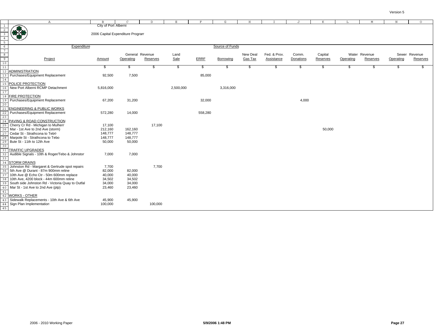|                                                 | $\mathbb{A}$                                                              | B                                | $\mathcal{C}$   | D        | $\mathbf E$ | F           | G               | H              |                   | J         | K        | L         | M             | $_{\rm N}$ | $\circ$       |
|-------------------------------------------------|---------------------------------------------------------------------------|----------------------------------|-----------------|----------|-------------|-------------|-----------------|----------------|-------------------|-----------|----------|-----------|---------------|------------|---------------|
|                                                 |                                                                           | City of Port Alberni             |                 |          |             |             |                 |                |                   |           |          |           |               |            |               |
|                                                 |                                                                           |                                  |                 |          |             |             |                 |                |                   |           |          |           |               |            |               |
|                                                 | ₩.                                                                        | 2006 Capital Expenditure Program |                 |          |             |             |                 |                |                   |           |          |           |               |            |               |
|                                                 |                                                                           |                                  |                 |          |             |             |                 |                |                   |           |          |           |               |            |               |
| 5                                               |                                                                           |                                  |                 |          |             |             |                 |                |                   |           |          |           |               |            |               |
| $\begin{array}{c} 6 \\ 7 \\ 8 \\ 9 \end{array}$ | Expenditure                                                               |                                  |                 |          |             |             | Source of Funds |                |                   |           |          |           |               |            |               |
|                                                 |                                                                           |                                  |                 |          |             |             |                 |                |                   |           |          |           |               |            |               |
|                                                 |                                                                           |                                  | General Revenue |          | Land        |             |                 | New Deal       | Fed. & Prov.      | Comm.     | Capital  |           | Water Revenue |            | Sewer Revenue |
|                                                 | Project                                                                   | Amount                           | Operating       | Reserves | Sale        | <b>ERRF</b> | Borrowing       | <b>Gas Tax</b> | <b>Assistance</b> | Donations | Reserves | Operating | Reserves      | Operating  | Reserves      |
| $\overline{10}$                                 |                                                                           |                                  |                 |          |             |             |                 |                |                   |           |          |           |               |            |               |
|                                                 | <b>ADMINISTRATION</b>                                                     | \$                               | S.              | \$       | \$          | \$          | \$.             | \$             | \$                | -S        | \$       | Ŝ,        | -S            | - \$       | S.            |
|                                                 | Purchases/Equipment Replacement                                           | 92,500                           | 7,500           |          |             | 85,000      |                 |                |                   |           |          |           |               |            |               |
|                                                 |                                                                           |                                  |                 |          |             |             |                 |                |                   |           |          |           |               |            |               |
|                                                 | POLICE PROTECTION                                                         |                                  |                 |          |             |             |                 |                |                   |           |          |           |               |            |               |
|                                                 | New Port Alberni RCMP Detachment                                          | 5,816,000                        |                 |          | 2,500,000   |             | 3,316,000       |                |                   |           |          |           |               |            |               |
|                                                 |                                                                           |                                  |                 |          |             |             |                 |                |                   |           |          |           |               |            |               |
|                                                 | <b>FIRE PROTECTION</b>                                                    |                                  |                 |          |             |             |                 |                |                   |           |          |           |               |            |               |
|                                                 | Purchases/Equipment Replacement                                           | 67,200                           | 31,200          |          |             | 32,000      |                 |                |                   | 4,000     |          |           |               |            |               |
|                                                 |                                                                           |                                  |                 |          |             |             |                 |                |                   |           |          |           |               |            |               |
|                                                 | <b>ENGINEERING &amp; PUBLIC WORKS</b>                                     |                                  |                 |          |             |             |                 |                |                   |           |          |           |               |            |               |
|                                                 | Purchases/Equipment Replacement                                           | 572,280                          | 14,000          |          |             | 558,280     |                 |                |                   |           |          |           |               |            |               |
| 23                                              |                                                                           |                                  |                 |          |             |             |                 |                |                   |           |          |           |               |            |               |
|                                                 | PAVING & ROAD CONSTRUCTION                                                |                                  |                 |          |             |             |                 |                |                   |           |          |           |               |            |               |
|                                                 | Cherry Cr Rd - Michigan to Mulherr                                        | 17,100                           |                 | 17,100   |             |             |                 |                |                   |           |          |           |               |            |               |
|                                                 | Mar - 1st Ave to 2nd Ave (storm)                                          | 212,160                          | 162,160         |          |             |             |                 |                |                   |           | 50,000   |           |               |            |               |
|                                                 | Cedar St - Strathcona to Tebo                                             | 148,777                          | 148,777         |          |             |             |                 |                |                   |           |          |           |               |            |               |
|                                                 | Marpole St - Strathcona to Tebo                                           | 148,777                          | 148,777         |          |             |             |                 |                |                   |           |          |           |               |            |               |
|                                                 | Bute St - 11th to 12th Ave                                                | 50,000                           | 50,000          |          |             |             |                 |                |                   |           |          |           |               |            |               |
|                                                 |                                                                           |                                  |                 |          |             |             |                 |                |                   |           |          |           |               |            |               |
|                                                 | <b>TRAFFIC UPGRADES</b><br>Audible Signals - 10th & Roger/Tebo & Johnstor | 7,000                            | 7,000           |          |             |             |                 |                |                   |           |          |           |               |            |               |
|                                                 |                                                                           |                                  |                 |          |             |             |                 |                |                   |           |          |           |               |            |               |
|                                                 | <b>STORM DRAINS</b>                                                       |                                  |                 |          |             |             |                 |                |                   |           |          |           |               |            |               |
|                                                 | Johnston Rd - Margaret & Gertrude spot repairs                            | 7,700                            |                 | 7,700    |             |             |                 |                |                   |           |          |           |               |            |               |
|                                                 | 5th Ave @ Durant - 87m 900mm reline                                       | 82,000                           | 82,000          |          |             |             |                 |                |                   |           |          |           |               |            |               |
|                                                 | 10th Ave @ Echo Ctr - 50m 600mm replace                                   | 40,000                           | 40,000          |          |             |             |                 |                |                   |           |          |           |               |            |               |
|                                                 | 10th Ave, 4200 block - 44m 600mm reline                                   | 34,502                           | 34,502          |          |             |             |                 |                |                   |           |          |           |               |            |               |
|                                                 | South side Johnston Rd - Victoria Quay to Outfal                          | 34,000                           | 34,000          |          |             |             |                 |                |                   |           |          |           |               |            |               |
| 40                                              | Mar St - 1st Ave to 2nd Ave (ptp)                                         | 23,460                           | 23,460          |          |             |             |                 |                |                   |           |          |           |               |            |               |
|                                                 |                                                                           |                                  |                 |          |             |             |                 |                |                   |           |          |           |               |            |               |
|                                                 | <b>WORKS - OTHER</b>                                                      |                                  |                 |          |             |             |                 |                |                   |           |          |           |               |            |               |
|                                                 | Sidewalk Replacements - 10th Ave & 6th Ave                                | 45,900                           | 45,900          |          |             |             |                 |                |                   |           |          |           |               |            |               |
|                                                 | Sign Plan Implementation                                                  | 100,000                          |                 | 100,000  |             |             |                 |                |                   |           |          |           |               |            |               |
| 45                                              |                                                                           |                                  |                 |          |             |             |                 |                |                   |           |          |           |               |            |               |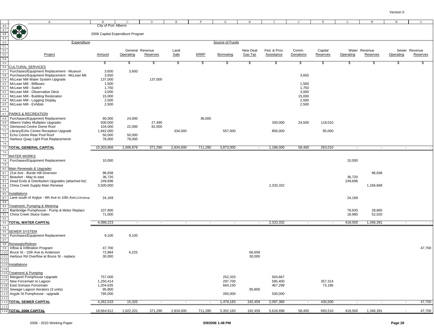|                                                     | Α                                                                                                                                                             | B                                | C                            | D        | Ε                         | F           | G               | Н                   | I.                         | J                  | K                          | L         | M                         | N         | $\circ$                   |
|-----------------------------------------------------|---------------------------------------------------------------------------------------------------------------------------------------------------------------|----------------------------------|------------------------------|----------|---------------------------|-------------|-----------------|---------------------|----------------------------|--------------------|----------------------------|-----------|---------------------------|-----------|---------------------------|
|                                                     |                                                                                                                                                               | City of Port Alberni             |                              |          |                           |             |                 |                     |                            |                    |                            |           |                           |           |                           |
| $\begin{array}{r} 46 \\ 47 \\ 48 \\ 49 \end{array}$ |                                                                                                                                                               | 2006 Capital Expenditure Program |                              |          |                           |             |                 |                     |                            |                    |                            |           |                           |           |                           |
|                                                     | Expenditure                                                                                                                                                   |                                  |                              |          |                           |             | Source of Funds |                     |                            |                    |                            |           |                           |           |                           |
|                                                     | $\frac{49}{50}$<br>$\frac{52}{52}$<br>$\frac{53}{54}$<br>$\frac{54}{55}$<br>$\frac{55}{55}$ CULTURAL SERVICES<br>$\frac{55}{55}$ CULTURAL SERVICES<br>Project | Amount                           | General Revenue<br>Operating | Reserves | Land<br>Sale              | <b>ERRF</b> | Borrowing       | New Deal<br>Gas Tax | Fed. & Prov.<br>Assistance | Comm.<br>Donations | Capital<br><b>Reserves</b> | Operating | Water Revenue<br>Reserves | Operating | Sewer Revenue<br>Reserves |
|                                                     |                                                                                                                                                               | \$                               | \$                           | \$       | $\boldsymbol{\mathsf{s}}$ | \$          | \$              | \$                  | \$                         | \$                 | \$                         | \$        | \$                        | \$        | Ŝ.                        |
|                                                     |                                                                                                                                                               |                                  |                              |          |                           |             |                 |                     |                            |                    |                            |           |                           |           |                           |
| 57                                                  | Purchases/Equipment Replacement - Museum                                                                                                                      | 3,600                            | 3,600                        |          |                           |             |                 |                     |                            |                    |                            |           |                           |           |                           |
| 58                                                  | Purchases/Equipment Replacement - McLean Mil                                                                                                                  | 3,650                            |                              |          |                           |             |                 |                     |                            | 3,650              |                            |           |                           |           |                           |
| 59<br>60                                            | McLean Mill Water System Upgrade<br>McLean Mill - Billboard                                                                                                   | 137,000<br>1,500                 |                              | 137,000  |                           |             |                 |                     |                            | 1,500              |                            |           |                           |           |                           |
| 61                                                  | McLean Mill - Switch                                                                                                                                          | 1,750                            |                              |          |                           |             |                 |                     |                            | 1,750              |                            |           |                           |           |                           |
| 62                                                  | McLean Mill - Observation Deck                                                                                                                                | 3,000                            |                              |          |                           |             |                 |                     |                            | 3,000              |                            |           |                           |           |                           |
| 63                                                  | McLean Mill - Building Restoration                                                                                                                            | 15,000                           |                              |          |                           |             |                 |                     |                            | 15,000             |                            |           |                           |           |                           |
| 64                                                  | McLean Mill - Logging Display                                                                                                                                 | 2,500                            |                              |          |                           |             |                 |                     |                            | 2,500              |                            |           |                           |           |                           |
| 65                                                  | McLean Mill - Exhibits                                                                                                                                        | 2,500                            |                              |          |                           |             |                 |                     |                            | 2,500              |                            |           |                           |           |                           |
| 66<br>67                                            | PARKS & RECREATION                                                                                                                                            |                                  |                              |          |                           |             |                 |                     |                            |                    |                            |           |                           |           |                           |
| 68                                                  | Purchases/Equipment Replacement                                                                                                                               | 60,000                           | 24,000                       |          |                           | 36,000      |                 |                     |                            |                    |                            |           |                           |           |                           |
| 69                                                  | Alberni Valley Multiplex Upgrades                                                                                                                             | 500,000                          |                              | 27,490   |                           |             |                 |                     | 330,000                    | 24,500             | 118,010                    |           |                           |           |                           |
| 70                                                  | Glenwood Centre Dome Roof                                                                                                                                     | 104,000                          | 22,000                       | 82,000   |                           |             |                 |                     |                            |                    |                            |           |                           |           |                           |
| 71                                                  | Library/Echo Centre Reception Upgrade                                                                                                                         | 1,842,000                        |                              |          | 334,000                   |             | 557,000         |                     | 856,000                    |                    | 95,000                     |           |                           |           |                           |
| 72                                                  | Echo Centre Rear Pool Roof                                                                                                                                    | 50,000                           | 50,000                       |          |                           |             |                 |                     |                            |                    |                            |           |                           |           |                           |
| 73<br>74                                            | Harbour Quay Light Post Replacements                                                                                                                          | 78,000                           | 78,000                       |          |                           |             |                 |                     |                            |                    |                            |           |                           |           |                           |
| 75                                                  | <b>TOTAL GENERAL CAPITAL</b>                                                                                                                                  | 10,303,856                       | 1,006,876                    | 371,290  | 2,834,000                 | 711,280     | 3,873,000       | $\sim$              | 1,186,000                  | 58,400             | 263,010                    | $\sim$    | $\sim$                    | $\sim$    |                           |
| 76                                                  |                                                                                                                                                               |                                  |                              |          |                           |             |                 |                     |                            |                    |                            |           |                           |           |                           |
| 77                                                  | <b>WATER WORKS</b>                                                                                                                                            |                                  |                              |          |                           |             |                 |                     |                            |                    |                            |           |                           |           |                           |
| 78<br>79                                            | Purchases/Equipment Replacement                                                                                                                               | 10,000                           |                              |          |                           |             |                 |                     |                            |                    |                            | 10,000    |                           |           |                           |
| 80                                                  | Main Renewals & Upgrades                                                                                                                                      |                                  |                              |          |                           |             |                 |                     |                            |                    |                            |           |                           |           |                           |
| 81                                                  | 21st Ave - Burde Hill Diversion                                                                                                                               | 98,838                           |                              |          |                           |             |                 |                     |                            |                    |                            |           | 98,838                    |           |                           |
| 82                                                  | Beaufort - May to east                                                                                                                                        | 36,720                           |                              |          |                           |             |                 |                     |                            |                    |                            | 36,720    |                           |           |                           |
| 83                                                  | Dead Ends & Distribution Upgrades (attached list)                                                                                                             | 249,696                          |                              |          |                           |             |                 |                     |                            |                    |                            | 249,696   |                           |           |                           |
| 84<br>85                                            | China Creek Supply Main Renewa                                                                                                                                | 3,500,000                        |                              |          |                           |             |                 |                     | 2,333,332                  |                    |                            |           | 1,166,668                 |           |                           |
| 86                                                  | nstallations                                                                                                                                                  |                                  |                              |          |                           |             |                 |                     |                            |                    |                            |           |                           |           |                           |
| 87                                                  | Lane south of Arglye - 9th Ave to 10th Ave (115m)loop                                                                                                         | 24,169                           |                              |          |                           |             |                 |                     |                            |                    |                            | 24,169    |                           |           |                           |
| 88                                                  |                                                                                                                                                               |                                  |                              |          |                           |             |                 |                     |                            |                    |                            |           |                           |           |                           |
| 89<br>90                                            | Treatment, Pumping & Metering<br>Bainbridge Pumphouse - Pump & Motor Replace                                                                                  | 107,800                          |                              |          |                           |             |                 |                     |                            |                    |                            | 78,935    | 28,865                    |           |                           |
| 91                                                  | China Creek Sluice Gates                                                                                                                                      | 71,000                           |                              |          |                           |             |                 |                     |                            |                    |                            | 18,980    | 52,020                    |           |                           |
| 92                                                  |                                                                                                                                                               |                                  |                              |          |                           |             |                 |                     |                            |                    |                            |           |                           |           |                           |
| 93                                                  | TOTAL WATER CAPITAL                                                                                                                                           | 4,098,223                        | $\sim$                       | $\sim$   | $\sim$                    | $\sim$      | $\sim$          | $\sim$              | 2,333,332                  | $\sim$             | $\sim$                     | 418,500   | 1,346,391                 | $\sim$    |                           |
| 94<br>95                                            | SEWER SYSTEM                                                                                                                                                  |                                  |                              |          |                           |             |                 |                     |                            |                    |                            |           |                           |           |                           |
| 96                                                  | Purchases/Equipment Replacement                                                                                                                               | 9,100                            | 9,100                        |          |                           |             |                 |                     |                            |                    |                            |           |                           |           |                           |
| 97                                                  |                                                                                                                                                               |                                  |                              |          |                           |             |                 |                     |                            |                    |                            |           |                           |           |                           |
| 98                                                  | Renewals/Relines                                                                                                                                              |                                  |                              |          |                           |             |                 |                     |                            |                    |                            |           |                           |           |                           |
| 99<br>100                                           | Inflow & Infiltration Program<br>Bruce St - 15th Ave to Anderson                                                                                              | 47,700<br>72,884                 | 6,225                        |          |                           |             |                 | 66,659              |                            |                    |                            |           |                           |           | 47,700                    |
|                                                     | Harbour Rd Overflow at Bruce St - replace                                                                                                                     | 30,000                           |                              |          |                           |             |                 | 30,000              |                            |                    |                            |           |                           |           |                           |
| 102                                                 |                                                                                                                                                               |                                  |                              |          |                           |             |                 |                     |                            |                    |                            |           |                           |           |                           |
|                                                     | 103 Installations                                                                                                                                             |                                  |                              |          |                           |             |                 |                     |                            |                    |                            |           |                           |           |                           |
| 104                                                 |                                                                                                                                                               |                                  |                              |          |                           |             |                 |                     |                            |                    |                            |           |                           |           |                           |
| 106                                                 | 105 Treatment & Pumping<br>Margaret Pumphouse Upgrade                                                                                                         | 757,000                          |                              |          |                           |             | 252,333         |                     | 504,667                    |                    |                            |           |                           |           |                           |
| 107                                                 | New Forcemain to Lagoon                                                                                                                                       | 1,250,414                        |                              |          |                           |             | 297,700         |                     | 595,400                    |                    | 357,314                    |           |                           |           |                           |
| 108                                                 | East Somass Forcemain                                                                                                                                         | 1,204,635                        |                              |          |                           |             | 664,150         |                     | 467,299                    |                    | 73,186                     |           |                           |           |                           |
| 109                                                 | Sewage Lagoon Aerators (3 units)                                                                                                                              | 95,800                           |                              |          |                           |             |                 | 95,800              |                            |                    |                            |           |                           |           |                           |
| 110<br>111                                          | Argyle St Pumphouse - upgrade                                                                                                                                 | 795,000                          |                              |          |                           |             | 265,000         |                     | 530,000                    |                    |                            |           |                           |           |                           |
|                                                     | 112 TOTAL SEWER CAPITAL                                                                                                                                       | 4,262,533                        | 15,325                       | $\sim$   | $\sim$                    | $\sim$      | 1,479,183       | 192,459             | 2,097,366                  | $\sim$             | 430,500                    | $\sim$    | $\sim$                    | $\sim$    | 47,700                    |
|                                                     | 113<br>114 <mark>TOTAL 2006 CAPITAL</mark>                                                                                                                    |                                  |                              |          |                           |             |                 |                     |                            |                    |                            |           |                           |           |                           |
|                                                     |                                                                                                                                                               | 18,664,612                       | 1,022,201                    | 371,290  | 2,834,000                 | 711,280     | 5,352,183       | 192,459             | 5,616,698                  | 58,400             | 693,510                    | 418,500   | 1,346,391                 | $\sim$    | 47,700                    |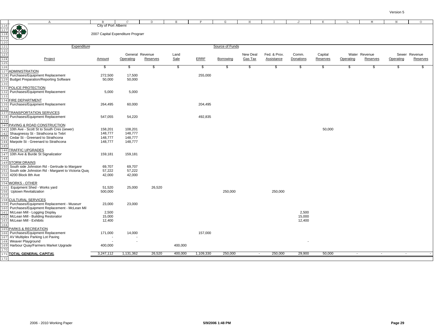|                                                                     | $\mathbb{A}$                                       | B                                |                 | D        | E       | F           | G               | Н        |              | J         | К        |           | М             | $\mathbb N$ | $\circ$       |
|---------------------------------------------------------------------|----------------------------------------------------|----------------------------------|-----------------|----------|---------|-------------|-----------------|----------|--------------|-----------|----------|-----------|---------------|-------------|---------------|
|                                                                     |                                                    | City of Port Alberni             |                 |          |         |             |                 |          |              |           |          |           |               |             |               |
| 116<br>117<br>118<br>1120<br>121<br>122<br>123<br>124<br>125<br>126 |                                                    |                                  |                 |          |         |             |                 |          |              |           |          |           |               |             |               |
|                                                                     |                                                    | 2007 Capital Expenditure Program |                 |          |         |             |                 |          |              |           |          |           |               |             |               |
|                                                                     |                                                    |                                  |                 |          |         |             |                 |          |              |           |          |           |               |             |               |
|                                                                     |                                                    |                                  |                 |          |         |             |                 |          |              |           |          |           |               |             |               |
|                                                                     | Expenditure                                        |                                  |                 |          |         |             | Source of Funds |          |              |           |          |           |               |             |               |
|                                                                     |                                                    |                                  |                 |          |         |             |                 |          |              |           |          |           |               |             |               |
|                                                                     |                                                    |                                  | General Revenue |          | Land    |             |                 | New Deal | Fed. & Prov. | Comm.     | Capital  |           | Water Revenue |             | Sewer Revenue |
|                                                                     | Project                                            | Amount                           | Operating       | Reserves | Sale    | <b>ERRF</b> | Borrowing       | Gas Tax  | Assistance   | Donations | Reserves | Operating | Reserves      | Operating   | Reserves      |
|                                                                     |                                                    |                                  |                 |          |         |             |                 |          |              |           |          |           |               |             |               |
|                                                                     |                                                    | \$                               | \$              | \$       | \$      | \$          | \$              | s        | \$           | \$        | \$       | \$        | $\frac{1}{2}$ | - 35        | - 35          |
| 127                                                                 | <b>ADMINISTRATION</b>                              |                                  |                 |          |         |             |                 |          |              |           |          |           |               |             |               |
| 128                                                                 | Purchases/Equipment Replacement                    | 272,500                          | 17,500          |          |         | 255,000     |                 |          |              |           |          |           |               |             |               |
|                                                                     | <b>Budget Preparation/Reporting Software</b>       | 50,000                           | 50,000          |          |         |             |                 |          |              |           |          |           |               |             |               |
| 130                                                                 |                                                    |                                  |                 |          |         |             |                 |          |              |           |          |           |               |             |               |
| 131                                                                 | POLICE PROTECTION                                  |                                  |                 |          |         |             |                 |          |              |           |          |           |               |             |               |
| 132                                                                 | Purchases/Equipment Replacement                    | 5,000                            | 5,000           |          |         |             |                 |          |              |           |          |           |               |             |               |
| 133                                                                 |                                                    |                                  |                 |          |         |             |                 |          |              |           |          |           |               |             |               |
|                                                                     | 134 FIRE DEPARTMENT                                |                                  |                 |          |         |             |                 |          |              |           |          |           |               |             |               |
|                                                                     | Purchases/Equipment Replacement                    | 264,495                          | 60,000          |          |         | 204,495     |                 |          |              |           |          |           |               |             |               |
| 136                                                                 |                                                    |                                  |                 |          |         |             |                 |          |              |           |          |           |               |             |               |
| 137                                                                 | TRANSPORTATION SERVICES                            |                                  |                 |          |         |             |                 |          |              |           |          |           |               |             |               |
| 138                                                                 | Purchases/Equipment Replacement                    | 547,055                          | 54,220          |          |         | 492,835     |                 |          |              |           |          |           |               |             |               |
| 139                                                                 |                                                    |                                  |                 |          |         |             |                 |          |              |           |          |           |               |             |               |
|                                                                     | 140 PAVING & ROAD CONSTRUCTION                     |                                  |                 |          |         |             |                 |          |              |           |          |           |               |             |               |
| 141                                                                 | 10th Ave - Scott St to South Cres (sewer)          | 158,201                          | 108,201         |          |         |             |                 |          |              |           | 50,000   |           |               |             |               |
|                                                                     | Shaugnessy St - Strathcona to Tebo                 | 148,777                          | 148,777         |          |         |             |                 |          |              |           |          |           |               |             |               |
|                                                                     | Cedar St - Greenard to Strathcona                  | 148,777                          | 148,777         |          |         |             |                 |          |              |           |          |           |               |             |               |
|                                                                     | Marpole St - Greenard to Strathcona                | 148,777                          | 148,777         |          |         |             |                 |          |              |           |          |           |               |             |               |
| 145                                                                 |                                                    |                                  |                 |          |         |             |                 |          |              |           |          |           |               |             |               |
| 146                                                                 | <b>TRAFFIC UPGRADES</b>                            |                                  |                 |          |         |             |                 |          |              |           |          |           |               |             |               |
| 147                                                                 | 10th Ave & Burde St Signalization                  | 159,181                          | 159,181         |          |         |             |                 |          |              |           |          |           |               |             |               |
| 148                                                                 |                                                    |                                  |                 |          |         |             |                 |          |              |           |          |           |               |             |               |
| 149                                                                 | <b>STORM DRAINS</b>                                |                                  |                 |          |         |             |                 |          |              |           |          |           |               |             |               |
|                                                                     | South side Johnston Rd - Gertrude to Margaret      | 69,707                           | 69,707          |          |         |             |                 |          |              |           |          |           |               |             |               |
| 151                                                                 | South side Johnston Rd - Margaret to Victoria Quay | 57,222                           | 57,222          |          |         |             |                 |          |              |           |          |           |               |             |               |
| 152                                                                 | 4200 Block 8th Ave                                 | 42,000                           | 42,000          |          |         |             |                 |          |              |           |          |           |               |             |               |
| 153                                                                 |                                                    |                                  |                 |          |         |             |                 |          |              |           |          |           |               |             |               |
| 154                                                                 | <b>WORKS - OTHER</b>                               |                                  |                 |          |         |             |                 |          |              |           |          |           |               |             |               |
|                                                                     | Equipment Shed - Works yard                        | 51,520                           | 25,000          | 26,520   |         |             |                 |          |              |           |          |           |               |             |               |
| 156                                                                 | <b>Uptown Revitalization</b>                       | 500,000                          |                 |          |         |             | 250,000         |          | 250,000      |           |          |           |               |             |               |
| 157                                                                 |                                                    |                                  |                 |          |         |             |                 |          |              |           |          |           |               |             |               |
|                                                                     | <b>158 CULTURAL SERVICES</b>                       |                                  |                 |          |         |             |                 |          |              |           |          |           |               |             |               |
| 159                                                                 | Purchases/Equipment Replacement - Museum           | 23,000                           | 23,000          |          |         |             |                 |          |              |           |          |           |               |             |               |
| 160                                                                 | Purchases/Equipment Replacement - McLean Mil       |                                  |                 |          |         |             |                 |          |              |           |          |           |               |             |               |
|                                                                     | McLean Mill - Logging Display                      | 2,500                            |                 |          |         |             |                 |          |              | 2,500     |          |           |               |             |               |
| 162                                                                 | McLean Mill - Building Restoration                 | 15,000                           |                 |          |         |             |                 |          |              | 15,000    |          |           |               |             |               |
| 163                                                                 | McLean Mill - Exhibits                             | 12,400                           |                 |          |         |             |                 |          |              | 12,400    |          |           |               |             |               |
| 164                                                                 |                                                    |                                  |                 |          |         |             |                 |          |              |           |          |           |               |             |               |
| 165                                                                 | PARKS & RECREATION                                 |                                  |                 |          |         |             |                 |          |              |           |          |           |               |             |               |
| 166                                                                 | Purchases/Equipment Replacement                    | 171,000                          | 14,000          |          |         | 157,000     |                 |          |              |           |          |           |               |             |               |
| 167                                                                 | AV Multiplex Parking Lot Paving                    |                                  |                 |          |         |             |                 |          |              |           |          |           |               |             |               |
|                                                                     | Weaver Playground                                  |                                  |                 |          |         |             |                 |          |              |           |          |           |               |             |               |
| 169                                                                 | Harbour Quay/Farmers Market Upgrade                | 400,000                          |                 |          | 400,000 |             |                 |          |              |           |          |           |               |             |               |
| 170                                                                 |                                                    |                                  |                 |          |         |             |                 |          |              |           |          |           |               |             |               |
|                                                                     | 171 TOTAL GENERAL CAPITAL                          | 3,247,112                        | 1,131,362       | 26,520   | 400,000 | 1,109,330   | 250,000         | $\sim$   | 250,000      | 29,900    | 50,000   | $\sim$    | $\sim$        | $\sim$      |               |
|                                                                     |                                                    |                                  |                 |          |         |             |                 |          |              |           |          |           |               |             |               |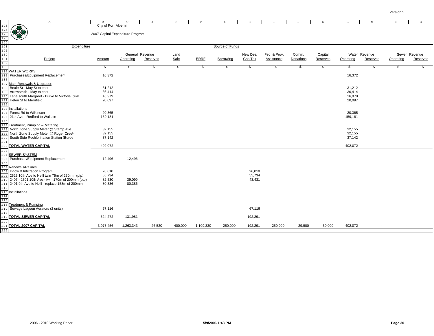| $\mathbb{A}$<br>$\mathbf E$<br>$\rm F$<br>G<br>$\,$ H<br>K<br>$\mathbb M$<br>$\, {\rm N}$<br>$\circ$<br>$\mathbf{B}$<br>$\mathcal{C}$<br>D<br>J<br>L<br>$\begin{array}{r}\n 173 \\  \hline\n 174 \\  \hline\n 175 \\  \hline\n 176 \\  \hline\n 177 \\  \hline\n 178 \\  \hline\n 180 \\  \hline\n 181 \\  \hline\n 182 \\  \hline\n 183 \\  \hline\n 194 \\  \hline\n \end{array}\n \begin{array}{r}\n 173 \\  \hline\n 176 \\  \hline\n 177 \\  \hline\n 188 \\  \hline\n 184 \\  \hline\n 195 \\  \hline\n 196 \\  \hline\n 197 \\  \hline\n 198 \\  \hline\n 198 \\  \hline\n 199 \\  \hline\n$<br>City of Port Alberni<br>2007 Capital Expenditure Program<br>Source of Funds<br>Expenditure<br>General Revenue<br>Fed. & Prov.<br>Comm.<br>Capital<br>Sewer Revenue<br>Land<br>New Deal<br>Water Revenue<br>Project<br>Sale<br><b>ERRF</b><br><b>Gas Tax</b><br><b>Assistance</b><br>Donations<br>Reserves<br>Reserves<br>Amount<br>Operating<br>Reserves<br>Borrowing<br>Operating<br>Reserves<br>Operating<br>$\mathbb{S}$<br>\$<br>\$<br>\$<br>\$<br>\$<br>\$<br>\$<br>\$<br>\$<br>\$<br>\$<br>\$.<br>S.<br>Purchases/Equipment Replacement<br>16,372<br>16,372<br>185<br>186<br>187 Main Renewals & Upgrades<br>Beale St - May St to east<br>31,212<br>31,212<br>Arrowsmith - May to east<br>36,414<br>36,414<br>Lane south Margaret - Burke to Victoria Quay<br>16,979<br>16,979<br>190<br>Helen St to Merrifield<br>20,097<br>20,097<br>191<br>192<br>193<br>Installations<br>Forest Rd to Wilkinson<br>20,365<br>20,365<br>194<br>21st Ave - Redford to Wallace<br>159,181<br>159,181<br>195<br>196<br>197<br>Treatment, Pumping & Metering<br>North Zone Supply Meter @ Stamp Ave<br>32,155<br>32,155<br>198<br>North Zone Supply Meter @ Roger Creek<br>32,155<br>32,155<br>199<br>South Side Rechlorination Station (Burde<br>37,142<br>37,142<br>TOTAL WATER CAPITAL<br>402,072<br>402,072<br>$\sim$<br>$\overline{a}$<br>$\sim$<br>$\sim$<br>$\sim$<br>$\sim$<br>$\overline{a}$<br>$\sim$<br>$\sim$<br>$\sim$<br>$\overline{\phantom{a}}$<br>203<br><b>SEWER SYSTEM</b><br>204<br>205<br>Purchases/Equipment Replacement<br>12,496<br>12,496<br>206<br>207 Renewals/Relines<br>208 Inflow & Infiltration Program<br>26,010<br>26,010<br>209 2525 10th Ave to Neill twin 75m of 250mm (ptp)<br>55,734<br>55,734<br>2407 - 2501 10th Ave - twin 170m of 200mm (ptp)<br>82,530<br>39,099<br>43,431<br>210<br>211 2401 9th Ave to Neill - replace 158m of 200mm<br>80,386<br>80,386<br>212<br>213 Installations<br>214<br>215<br>216<br><b>Treatment &amp; Pumping</b><br>Sewage Lagoon Aerators (2 units)<br>67,116<br>67,116<br>217<br>324,272<br>219 TOTAL SEWER CAPITAL<br>131,981<br>192,291<br>$\sim$<br>$\sim$<br>$\sim$<br>$\sim$<br>$\sim$<br>$\sim$<br>$\sim$<br>$\sim$<br>$\sim$<br>$\sim$<br>221 TOTAL 2007 CAPITAL<br>3,973,456<br>1,263,343<br>26,520<br>400,000<br>1,109,330<br>250,000<br>192,291<br>250,000<br>29,900<br>50,000<br>402,072<br>222 |  |  |  |  |  |  |  |  |
|----------------------------------------------------------------------------------------------------------------------------------------------------------------------------------------------------------------------------------------------------------------------------------------------------------------------------------------------------------------------------------------------------------------------------------------------------------------------------------------------------------------------------------------------------------------------------------------------------------------------------------------------------------------------------------------------------------------------------------------------------------------------------------------------------------------------------------------------------------------------------------------------------------------------------------------------------------------------------------------------------------------------------------------------------------------------------------------------------------------------------------------------------------------------------------------------------------------------------------------------------------------------------------------------------------------------------------------------------------------------------------------------------------------------------------------------------------------------------------------------------------------------------------------------------------------------------------------------------------------------------------------------------------------------------------------------------------------------------------------------------------------------------------------------------------------------------------------------------------------------------------------------------------------------------------------------------------------------------------------------------------------------------------------------------------------------------------------------------------------------------------------------------------------------------------------------------------------------------------------------------------------------------------------------------------------------------------------------------------------------------------------------------------------------------------------------------------------------------------------------------------------------------------------------------------------------------------------------------------------------------------------------------------------------------------------------------------------------------------------------------------------------------------------------------------------------------------------------------------------------------------------------------------------------------------------------------------------------------------|--|--|--|--|--|--|--|--|
|                                                                                                                                                                                                                                                                                                                                                                                                                                                                                                                                                                                                                                                                                                                                                                                                                                                                                                                                                                                                                                                                                                                                                                                                                                                                                                                                                                                                                                                                                                                                                                                                                                                                                                                                                                                                                                                                                                                                                                                                                                                                                                                                                                                                                                                                                                                                                                                                                                                                                                                                                                                                                                                                                                                                                                                                                                                                                                                                                                                  |  |  |  |  |  |  |  |  |
|                                                                                                                                                                                                                                                                                                                                                                                                                                                                                                                                                                                                                                                                                                                                                                                                                                                                                                                                                                                                                                                                                                                                                                                                                                                                                                                                                                                                                                                                                                                                                                                                                                                                                                                                                                                                                                                                                                                                                                                                                                                                                                                                                                                                                                                                                                                                                                                                                                                                                                                                                                                                                                                                                                                                                                                                                                                                                                                                                                                  |  |  |  |  |  |  |  |  |
|                                                                                                                                                                                                                                                                                                                                                                                                                                                                                                                                                                                                                                                                                                                                                                                                                                                                                                                                                                                                                                                                                                                                                                                                                                                                                                                                                                                                                                                                                                                                                                                                                                                                                                                                                                                                                                                                                                                                                                                                                                                                                                                                                                                                                                                                                                                                                                                                                                                                                                                                                                                                                                                                                                                                                                                                                                                                                                                                                                                  |  |  |  |  |  |  |  |  |
|                                                                                                                                                                                                                                                                                                                                                                                                                                                                                                                                                                                                                                                                                                                                                                                                                                                                                                                                                                                                                                                                                                                                                                                                                                                                                                                                                                                                                                                                                                                                                                                                                                                                                                                                                                                                                                                                                                                                                                                                                                                                                                                                                                                                                                                                                                                                                                                                                                                                                                                                                                                                                                                                                                                                                                                                                                                                                                                                                                                  |  |  |  |  |  |  |  |  |
|                                                                                                                                                                                                                                                                                                                                                                                                                                                                                                                                                                                                                                                                                                                                                                                                                                                                                                                                                                                                                                                                                                                                                                                                                                                                                                                                                                                                                                                                                                                                                                                                                                                                                                                                                                                                                                                                                                                                                                                                                                                                                                                                                                                                                                                                                                                                                                                                                                                                                                                                                                                                                                                                                                                                                                                                                                                                                                                                                                                  |  |  |  |  |  |  |  |  |
|                                                                                                                                                                                                                                                                                                                                                                                                                                                                                                                                                                                                                                                                                                                                                                                                                                                                                                                                                                                                                                                                                                                                                                                                                                                                                                                                                                                                                                                                                                                                                                                                                                                                                                                                                                                                                                                                                                                                                                                                                                                                                                                                                                                                                                                                                                                                                                                                                                                                                                                                                                                                                                                                                                                                                                                                                                                                                                                                                                                  |  |  |  |  |  |  |  |  |
|                                                                                                                                                                                                                                                                                                                                                                                                                                                                                                                                                                                                                                                                                                                                                                                                                                                                                                                                                                                                                                                                                                                                                                                                                                                                                                                                                                                                                                                                                                                                                                                                                                                                                                                                                                                                                                                                                                                                                                                                                                                                                                                                                                                                                                                                                                                                                                                                                                                                                                                                                                                                                                                                                                                                                                                                                                                                                                                                                                                  |  |  |  |  |  |  |  |  |
|                                                                                                                                                                                                                                                                                                                                                                                                                                                                                                                                                                                                                                                                                                                                                                                                                                                                                                                                                                                                                                                                                                                                                                                                                                                                                                                                                                                                                                                                                                                                                                                                                                                                                                                                                                                                                                                                                                                                                                                                                                                                                                                                                                                                                                                                                                                                                                                                                                                                                                                                                                                                                                                                                                                                                                                                                                                                                                                                                                                  |  |  |  |  |  |  |  |  |
|                                                                                                                                                                                                                                                                                                                                                                                                                                                                                                                                                                                                                                                                                                                                                                                                                                                                                                                                                                                                                                                                                                                                                                                                                                                                                                                                                                                                                                                                                                                                                                                                                                                                                                                                                                                                                                                                                                                                                                                                                                                                                                                                                                                                                                                                                                                                                                                                                                                                                                                                                                                                                                                                                                                                                                                                                                                                                                                                                                                  |  |  |  |  |  |  |  |  |
|                                                                                                                                                                                                                                                                                                                                                                                                                                                                                                                                                                                                                                                                                                                                                                                                                                                                                                                                                                                                                                                                                                                                                                                                                                                                                                                                                                                                                                                                                                                                                                                                                                                                                                                                                                                                                                                                                                                                                                                                                                                                                                                                                                                                                                                                                                                                                                                                                                                                                                                                                                                                                                                                                                                                                                                                                                                                                                                                                                                  |  |  |  |  |  |  |  |  |
|                                                                                                                                                                                                                                                                                                                                                                                                                                                                                                                                                                                                                                                                                                                                                                                                                                                                                                                                                                                                                                                                                                                                                                                                                                                                                                                                                                                                                                                                                                                                                                                                                                                                                                                                                                                                                                                                                                                                                                                                                                                                                                                                                                                                                                                                                                                                                                                                                                                                                                                                                                                                                                                                                                                                                                                                                                                                                                                                                                                  |  |  |  |  |  |  |  |  |
|                                                                                                                                                                                                                                                                                                                                                                                                                                                                                                                                                                                                                                                                                                                                                                                                                                                                                                                                                                                                                                                                                                                                                                                                                                                                                                                                                                                                                                                                                                                                                                                                                                                                                                                                                                                                                                                                                                                                                                                                                                                                                                                                                                                                                                                                                                                                                                                                                                                                                                                                                                                                                                                                                                                                                                                                                                                                                                                                                                                  |  |  |  |  |  |  |  |  |
|                                                                                                                                                                                                                                                                                                                                                                                                                                                                                                                                                                                                                                                                                                                                                                                                                                                                                                                                                                                                                                                                                                                                                                                                                                                                                                                                                                                                                                                                                                                                                                                                                                                                                                                                                                                                                                                                                                                                                                                                                                                                                                                                                                                                                                                                                                                                                                                                                                                                                                                                                                                                                                                                                                                                                                                                                                                                                                                                                                                  |  |  |  |  |  |  |  |  |
|                                                                                                                                                                                                                                                                                                                                                                                                                                                                                                                                                                                                                                                                                                                                                                                                                                                                                                                                                                                                                                                                                                                                                                                                                                                                                                                                                                                                                                                                                                                                                                                                                                                                                                                                                                                                                                                                                                                                                                                                                                                                                                                                                                                                                                                                                                                                                                                                                                                                                                                                                                                                                                                                                                                                                                                                                                                                                                                                                                                  |  |  |  |  |  |  |  |  |
|                                                                                                                                                                                                                                                                                                                                                                                                                                                                                                                                                                                                                                                                                                                                                                                                                                                                                                                                                                                                                                                                                                                                                                                                                                                                                                                                                                                                                                                                                                                                                                                                                                                                                                                                                                                                                                                                                                                                                                                                                                                                                                                                                                                                                                                                                                                                                                                                                                                                                                                                                                                                                                                                                                                                                                                                                                                                                                                                                                                  |  |  |  |  |  |  |  |  |
|                                                                                                                                                                                                                                                                                                                                                                                                                                                                                                                                                                                                                                                                                                                                                                                                                                                                                                                                                                                                                                                                                                                                                                                                                                                                                                                                                                                                                                                                                                                                                                                                                                                                                                                                                                                                                                                                                                                                                                                                                                                                                                                                                                                                                                                                                                                                                                                                                                                                                                                                                                                                                                                                                                                                                                                                                                                                                                                                                                                  |  |  |  |  |  |  |  |  |
|                                                                                                                                                                                                                                                                                                                                                                                                                                                                                                                                                                                                                                                                                                                                                                                                                                                                                                                                                                                                                                                                                                                                                                                                                                                                                                                                                                                                                                                                                                                                                                                                                                                                                                                                                                                                                                                                                                                                                                                                                                                                                                                                                                                                                                                                                                                                                                                                                                                                                                                                                                                                                                                                                                                                                                                                                                                                                                                                                                                  |  |  |  |  |  |  |  |  |
|                                                                                                                                                                                                                                                                                                                                                                                                                                                                                                                                                                                                                                                                                                                                                                                                                                                                                                                                                                                                                                                                                                                                                                                                                                                                                                                                                                                                                                                                                                                                                                                                                                                                                                                                                                                                                                                                                                                                                                                                                                                                                                                                                                                                                                                                                                                                                                                                                                                                                                                                                                                                                                                                                                                                                                                                                                                                                                                                                                                  |  |  |  |  |  |  |  |  |
|                                                                                                                                                                                                                                                                                                                                                                                                                                                                                                                                                                                                                                                                                                                                                                                                                                                                                                                                                                                                                                                                                                                                                                                                                                                                                                                                                                                                                                                                                                                                                                                                                                                                                                                                                                                                                                                                                                                                                                                                                                                                                                                                                                                                                                                                                                                                                                                                                                                                                                                                                                                                                                                                                                                                                                                                                                                                                                                                                                                  |  |  |  |  |  |  |  |  |
|                                                                                                                                                                                                                                                                                                                                                                                                                                                                                                                                                                                                                                                                                                                                                                                                                                                                                                                                                                                                                                                                                                                                                                                                                                                                                                                                                                                                                                                                                                                                                                                                                                                                                                                                                                                                                                                                                                                                                                                                                                                                                                                                                                                                                                                                                                                                                                                                                                                                                                                                                                                                                                                                                                                                                                                                                                                                                                                                                                                  |  |  |  |  |  |  |  |  |
|                                                                                                                                                                                                                                                                                                                                                                                                                                                                                                                                                                                                                                                                                                                                                                                                                                                                                                                                                                                                                                                                                                                                                                                                                                                                                                                                                                                                                                                                                                                                                                                                                                                                                                                                                                                                                                                                                                                                                                                                                                                                                                                                                                                                                                                                                                                                                                                                                                                                                                                                                                                                                                                                                                                                                                                                                                                                                                                                                                                  |  |  |  |  |  |  |  |  |
|                                                                                                                                                                                                                                                                                                                                                                                                                                                                                                                                                                                                                                                                                                                                                                                                                                                                                                                                                                                                                                                                                                                                                                                                                                                                                                                                                                                                                                                                                                                                                                                                                                                                                                                                                                                                                                                                                                                                                                                                                                                                                                                                                                                                                                                                                                                                                                                                                                                                                                                                                                                                                                                                                                                                                                                                                                                                                                                                                                                  |  |  |  |  |  |  |  |  |
|                                                                                                                                                                                                                                                                                                                                                                                                                                                                                                                                                                                                                                                                                                                                                                                                                                                                                                                                                                                                                                                                                                                                                                                                                                                                                                                                                                                                                                                                                                                                                                                                                                                                                                                                                                                                                                                                                                                                                                                                                                                                                                                                                                                                                                                                                                                                                                                                                                                                                                                                                                                                                                                                                                                                                                                                                                                                                                                                                                                  |  |  |  |  |  |  |  |  |
|                                                                                                                                                                                                                                                                                                                                                                                                                                                                                                                                                                                                                                                                                                                                                                                                                                                                                                                                                                                                                                                                                                                                                                                                                                                                                                                                                                                                                                                                                                                                                                                                                                                                                                                                                                                                                                                                                                                                                                                                                                                                                                                                                                                                                                                                                                                                                                                                                                                                                                                                                                                                                                                                                                                                                                                                                                                                                                                                                                                  |  |  |  |  |  |  |  |  |
|                                                                                                                                                                                                                                                                                                                                                                                                                                                                                                                                                                                                                                                                                                                                                                                                                                                                                                                                                                                                                                                                                                                                                                                                                                                                                                                                                                                                                                                                                                                                                                                                                                                                                                                                                                                                                                                                                                                                                                                                                                                                                                                                                                                                                                                                                                                                                                                                                                                                                                                                                                                                                                                                                                                                                                                                                                                                                                                                                                                  |  |  |  |  |  |  |  |  |
|                                                                                                                                                                                                                                                                                                                                                                                                                                                                                                                                                                                                                                                                                                                                                                                                                                                                                                                                                                                                                                                                                                                                                                                                                                                                                                                                                                                                                                                                                                                                                                                                                                                                                                                                                                                                                                                                                                                                                                                                                                                                                                                                                                                                                                                                                                                                                                                                                                                                                                                                                                                                                                                                                                                                                                                                                                                                                                                                                                                  |  |  |  |  |  |  |  |  |
|                                                                                                                                                                                                                                                                                                                                                                                                                                                                                                                                                                                                                                                                                                                                                                                                                                                                                                                                                                                                                                                                                                                                                                                                                                                                                                                                                                                                                                                                                                                                                                                                                                                                                                                                                                                                                                                                                                                                                                                                                                                                                                                                                                                                                                                                                                                                                                                                                                                                                                                                                                                                                                                                                                                                                                                                                                                                                                                                                                                  |  |  |  |  |  |  |  |  |
|                                                                                                                                                                                                                                                                                                                                                                                                                                                                                                                                                                                                                                                                                                                                                                                                                                                                                                                                                                                                                                                                                                                                                                                                                                                                                                                                                                                                                                                                                                                                                                                                                                                                                                                                                                                                                                                                                                                                                                                                                                                                                                                                                                                                                                                                                                                                                                                                                                                                                                                                                                                                                                                                                                                                                                                                                                                                                                                                                                                  |  |  |  |  |  |  |  |  |
|                                                                                                                                                                                                                                                                                                                                                                                                                                                                                                                                                                                                                                                                                                                                                                                                                                                                                                                                                                                                                                                                                                                                                                                                                                                                                                                                                                                                                                                                                                                                                                                                                                                                                                                                                                                                                                                                                                                                                                                                                                                                                                                                                                                                                                                                                                                                                                                                                                                                                                                                                                                                                                                                                                                                                                                                                                                                                                                                                                                  |  |  |  |  |  |  |  |  |
|                                                                                                                                                                                                                                                                                                                                                                                                                                                                                                                                                                                                                                                                                                                                                                                                                                                                                                                                                                                                                                                                                                                                                                                                                                                                                                                                                                                                                                                                                                                                                                                                                                                                                                                                                                                                                                                                                                                                                                                                                                                                                                                                                                                                                                                                                                                                                                                                                                                                                                                                                                                                                                                                                                                                                                                                                                                                                                                                                                                  |  |  |  |  |  |  |  |  |
|                                                                                                                                                                                                                                                                                                                                                                                                                                                                                                                                                                                                                                                                                                                                                                                                                                                                                                                                                                                                                                                                                                                                                                                                                                                                                                                                                                                                                                                                                                                                                                                                                                                                                                                                                                                                                                                                                                                                                                                                                                                                                                                                                                                                                                                                                                                                                                                                                                                                                                                                                                                                                                                                                                                                                                                                                                                                                                                                                                                  |  |  |  |  |  |  |  |  |
|                                                                                                                                                                                                                                                                                                                                                                                                                                                                                                                                                                                                                                                                                                                                                                                                                                                                                                                                                                                                                                                                                                                                                                                                                                                                                                                                                                                                                                                                                                                                                                                                                                                                                                                                                                                                                                                                                                                                                                                                                                                                                                                                                                                                                                                                                                                                                                                                                                                                                                                                                                                                                                                                                                                                                                                                                                                                                                                                                                                  |  |  |  |  |  |  |  |  |
|                                                                                                                                                                                                                                                                                                                                                                                                                                                                                                                                                                                                                                                                                                                                                                                                                                                                                                                                                                                                                                                                                                                                                                                                                                                                                                                                                                                                                                                                                                                                                                                                                                                                                                                                                                                                                                                                                                                                                                                                                                                                                                                                                                                                                                                                                                                                                                                                                                                                                                                                                                                                                                                                                                                                                                                                                                                                                                                                                                                  |  |  |  |  |  |  |  |  |
|                                                                                                                                                                                                                                                                                                                                                                                                                                                                                                                                                                                                                                                                                                                                                                                                                                                                                                                                                                                                                                                                                                                                                                                                                                                                                                                                                                                                                                                                                                                                                                                                                                                                                                                                                                                                                                                                                                                                                                                                                                                                                                                                                                                                                                                                                                                                                                                                                                                                                                                                                                                                                                                                                                                                                                                                                                                                                                                                                                                  |  |  |  |  |  |  |  |  |
|                                                                                                                                                                                                                                                                                                                                                                                                                                                                                                                                                                                                                                                                                                                                                                                                                                                                                                                                                                                                                                                                                                                                                                                                                                                                                                                                                                                                                                                                                                                                                                                                                                                                                                                                                                                                                                                                                                                                                                                                                                                                                                                                                                                                                                                                                                                                                                                                                                                                                                                                                                                                                                                                                                                                                                                                                                                                                                                                                                                  |  |  |  |  |  |  |  |  |
|                                                                                                                                                                                                                                                                                                                                                                                                                                                                                                                                                                                                                                                                                                                                                                                                                                                                                                                                                                                                                                                                                                                                                                                                                                                                                                                                                                                                                                                                                                                                                                                                                                                                                                                                                                                                                                                                                                                                                                                                                                                                                                                                                                                                                                                                                                                                                                                                                                                                                                                                                                                                                                                                                                                                                                                                                                                                                                                                                                                  |  |  |  |  |  |  |  |  |
|                                                                                                                                                                                                                                                                                                                                                                                                                                                                                                                                                                                                                                                                                                                                                                                                                                                                                                                                                                                                                                                                                                                                                                                                                                                                                                                                                                                                                                                                                                                                                                                                                                                                                                                                                                                                                                                                                                                                                                                                                                                                                                                                                                                                                                                                                                                                                                                                                                                                                                                                                                                                                                                                                                                                                                                                                                                                                                                                                                                  |  |  |  |  |  |  |  |  |
|                                                                                                                                                                                                                                                                                                                                                                                                                                                                                                                                                                                                                                                                                                                                                                                                                                                                                                                                                                                                                                                                                                                                                                                                                                                                                                                                                                                                                                                                                                                                                                                                                                                                                                                                                                                                                                                                                                                                                                                                                                                                                                                                                                                                                                                                                                                                                                                                                                                                                                                                                                                                                                                                                                                                                                                                                                                                                                                                                                                  |  |  |  |  |  |  |  |  |
|                                                                                                                                                                                                                                                                                                                                                                                                                                                                                                                                                                                                                                                                                                                                                                                                                                                                                                                                                                                                                                                                                                                                                                                                                                                                                                                                                                                                                                                                                                                                                                                                                                                                                                                                                                                                                                                                                                                                                                                                                                                                                                                                                                                                                                                                                                                                                                                                                                                                                                                                                                                                                                                                                                                                                                                                                                                                                                                                                                                  |  |  |  |  |  |  |  |  |
|                                                                                                                                                                                                                                                                                                                                                                                                                                                                                                                                                                                                                                                                                                                                                                                                                                                                                                                                                                                                                                                                                                                                                                                                                                                                                                                                                                                                                                                                                                                                                                                                                                                                                                                                                                                                                                                                                                                                                                                                                                                                                                                                                                                                                                                                                                                                                                                                                                                                                                                                                                                                                                                                                                                                                                                                                                                                                                                                                                                  |  |  |  |  |  |  |  |  |
|                                                                                                                                                                                                                                                                                                                                                                                                                                                                                                                                                                                                                                                                                                                                                                                                                                                                                                                                                                                                                                                                                                                                                                                                                                                                                                                                                                                                                                                                                                                                                                                                                                                                                                                                                                                                                                                                                                                                                                                                                                                                                                                                                                                                                                                                                                                                                                                                                                                                                                                                                                                                                                                                                                                                                                                                                                                                                                                                                                                  |  |  |  |  |  |  |  |  |
|                                                                                                                                                                                                                                                                                                                                                                                                                                                                                                                                                                                                                                                                                                                                                                                                                                                                                                                                                                                                                                                                                                                                                                                                                                                                                                                                                                                                                                                                                                                                                                                                                                                                                                                                                                                                                                                                                                                                                                                                                                                                                                                                                                                                                                                                                                                                                                                                                                                                                                                                                                                                                                                                                                                                                                                                                                                                                                                                                                                  |  |  |  |  |  |  |  |  |
|                                                                                                                                                                                                                                                                                                                                                                                                                                                                                                                                                                                                                                                                                                                                                                                                                                                                                                                                                                                                                                                                                                                                                                                                                                                                                                                                                                                                                                                                                                                                                                                                                                                                                                                                                                                                                                                                                                                                                                                                                                                                                                                                                                                                                                                                                                                                                                                                                                                                                                                                                                                                                                                                                                                                                                                                                                                                                                                                                                                  |  |  |  |  |  |  |  |  |
|                                                                                                                                                                                                                                                                                                                                                                                                                                                                                                                                                                                                                                                                                                                                                                                                                                                                                                                                                                                                                                                                                                                                                                                                                                                                                                                                                                                                                                                                                                                                                                                                                                                                                                                                                                                                                                                                                                                                                                                                                                                                                                                                                                                                                                                                                                                                                                                                                                                                                                                                                                                                                                                                                                                                                                                                                                                                                                                                                                                  |  |  |  |  |  |  |  |  |
|                                                                                                                                                                                                                                                                                                                                                                                                                                                                                                                                                                                                                                                                                                                                                                                                                                                                                                                                                                                                                                                                                                                                                                                                                                                                                                                                                                                                                                                                                                                                                                                                                                                                                                                                                                                                                                                                                                                                                                                                                                                                                                                                                                                                                                                                                                                                                                                                                                                                                                                                                                                                                                                                                                                                                                                                                                                                                                                                                                                  |  |  |  |  |  |  |  |  |
|                                                                                                                                                                                                                                                                                                                                                                                                                                                                                                                                                                                                                                                                                                                                                                                                                                                                                                                                                                                                                                                                                                                                                                                                                                                                                                                                                                                                                                                                                                                                                                                                                                                                                                                                                                                                                                                                                                                                                                                                                                                                                                                                                                                                                                                                                                                                                                                                                                                                                                                                                                                                                                                                                                                                                                                                                                                                                                                                                                                  |  |  |  |  |  |  |  |  |
|                                                                                                                                                                                                                                                                                                                                                                                                                                                                                                                                                                                                                                                                                                                                                                                                                                                                                                                                                                                                                                                                                                                                                                                                                                                                                                                                                                                                                                                                                                                                                                                                                                                                                                                                                                                                                                                                                                                                                                                                                                                                                                                                                                                                                                                                                                                                                                                                                                                                                                                                                                                                                                                                                                                                                                                                                                                                                                                                                                                  |  |  |  |  |  |  |  |  |
|                                                                                                                                                                                                                                                                                                                                                                                                                                                                                                                                                                                                                                                                                                                                                                                                                                                                                                                                                                                                                                                                                                                                                                                                                                                                                                                                                                                                                                                                                                                                                                                                                                                                                                                                                                                                                                                                                                                                                                                                                                                                                                                                                                                                                                                                                                                                                                                                                                                                                                                                                                                                                                                                                                                                                                                                                                                                                                                                                                                  |  |  |  |  |  |  |  |  |
|                                                                                                                                                                                                                                                                                                                                                                                                                                                                                                                                                                                                                                                                                                                                                                                                                                                                                                                                                                                                                                                                                                                                                                                                                                                                                                                                                                                                                                                                                                                                                                                                                                                                                                                                                                                                                                                                                                                                                                                                                                                                                                                                                                                                                                                                                                                                                                                                                                                                                                                                                                                                                                                                                                                                                                                                                                                                                                                                                                                  |  |  |  |  |  |  |  |  |
|                                                                                                                                                                                                                                                                                                                                                                                                                                                                                                                                                                                                                                                                                                                                                                                                                                                                                                                                                                                                                                                                                                                                                                                                                                                                                                                                                                                                                                                                                                                                                                                                                                                                                                                                                                                                                                                                                                                                                                                                                                                                                                                                                                                                                                                                                                                                                                                                                                                                                                                                                                                                                                                                                                                                                                                                                                                                                                                                                                                  |  |  |  |  |  |  |  |  |
|                                                                                                                                                                                                                                                                                                                                                                                                                                                                                                                                                                                                                                                                                                                                                                                                                                                                                                                                                                                                                                                                                                                                                                                                                                                                                                                                                                                                                                                                                                                                                                                                                                                                                                                                                                                                                                                                                                                                                                                                                                                                                                                                                                                                                                                                                                                                                                                                                                                                                                                                                                                                                                                                                                                                                                                                                                                                                                                                                                                  |  |  |  |  |  |  |  |  |
|                                                                                                                                                                                                                                                                                                                                                                                                                                                                                                                                                                                                                                                                                                                                                                                                                                                                                                                                                                                                                                                                                                                                                                                                                                                                                                                                                                                                                                                                                                                                                                                                                                                                                                                                                                                                                                                                                                                                                                                                                                                                                                                                                                                                                                                                                                                                                                                                                                                                                                                                                                                                                                                                                                                                                                                                                                                                                                                                                                                  |  |  |  |  |  |  |  |  |
|                                                                                                                                                                                                                                                                                                                                                                                                                                                                                                                                                                                                                                                                                                                                                                                                                                                                                                                                                                                                                                                                                                                                                                                                                                                                                                                                                                                                                                                                                                                                                                                                                                                                                                                                                                                                                                                                                                                                                                                                                                                                                                                                                                                                                                                                                                                                                                                                                                                                                                                                                                                                                                                                                                                                                                                                                                                                                                                                                                                  |  |  |  |  |  |  |  |  |
|                                                                                                                                                                                                                                                                                                                                                                                                                                                                                                                                                                                                                                                                                                                                                                                                                                                                                                                                                                                                                                                                                                                                                                                                                                                                                                                                                                                                                                                                                                                                                                                                                                                                                                                                                                                                                                                                                                                                                                                                                                                                                                                                                                                                                                                                                                                                                                                                                                                                                                                                                                                                                                                                                                                                                                                                                                                                                                                                                                                  |  |  |  |  |  |  |  |  |
|                                                                                                                                                                                                                                                                                                                                                                                                                                                                                                                                                                                                                                                                                                                                                                                                                                                                                                                                                                                                                                                                                                                                                                                                                                                                                                                                                                                                                                                                                                                                                                                                                                                                                                                                                                                                                                                                                                                                                                                                                                                                                                                                                                                                                                                                                                                                                                                                                                                                                                                                                                                                                                                                                                                                                                                                                                                                                                                                                                                  |  |  |  |  |  |  |  |  |
|                                                                                                                                                                                                                                                                                                                                                                                                                                                                                                                                                                                                                                                                                                                                                                                                                                                                                                                                                                                                                                                                                                                                                                                                                                                                                                                                                                                                                                                                                                                                                                                                                                                                                                                                                                                                                                                                                                                                                                                                                                                                                                                                                                                                                                                                                                                                                                                                                                                                                                                                                                                                                                                                                                                                                                                                                                                                                                                                                                                  |  |  |  |  |  |  |  |  |
|                                                                                                                                                                                                                                                                                                                                                                                                                                                                                                                                                                                                                                                                                                                                                                                                                                                                                                                                                                                                                                                                                                                                                                                                                                                                                                                                                                                                                                                                                                                                                                                                                                                                                                                                                                                                                                                                                                                                                                                                                                                                                                                                                                                                                                                                                                                                                                                                                                                                                                                                                                                                                                                                                                                                                                                                                                                                                                                                                                                  |  |  |  |  |  |  |  |  |
|                                                                                                                                                                                                                                                                                                                                                                                                                                                                                                                                                                                                                                                                                                                                                                                                                                                                                                                                                                                                                                                                                                                                                                                                                                                                                                                                                                                                                                                                                                                                                                                                                                                                                                                                                                                                                                                                                                                                                                                                                                                                                                                                                                                                                                                                                                                                                                                                                                                                                                                                                                                                                                                                                                                                                                                                                                                                                                                                                                                  |  |  |  |  |  |  |  |  |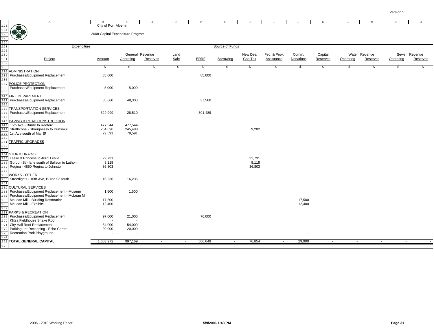|                                                                                  | $\mathbb{A}$                                                                       | $\mathbf{B}$                     | $\Gamma$                 | $\mathbb D$        | $\mathbf E$ | $\mathbf F$ | G               | $\,$ H         | T            | J                | K        | L         | M             | $\mathbb N$ | $\circ$       |
|----------------------------------------------------------------------------------|------------------------------------------------------------------------------------|----------------------------------|--------------------------|--------------------|-------------|-------------|-----------------|----------------|--------------|------------------|----------|-----------|---------------|-------------|---------------|
|                                                                                  |                                                                                    | City of Port Alberni             |                          |                    |             |             |                 |                |              |                  |          |           |               |             |               |
| 223<br>224<br>225<br>226<br>227<br>228<br>229<br>230<br>231<br>232<br>233<br>233 | 佛佛                                                                                 |                                  |                          |                    |             |             |                 |                |              |                  |          |           |               |             |               |
|                                                                                  |                                                                                    | 2008 Capital Expenditure Program |                          |                    |             |             |                 |                |              |                  |          |           |               |             |               |
|                                                                                  |                                                                                    |                                  |                          |                    |             |             |                 |                |              |                  |          |           |               |             |               |
|                                                                                  |                                                                                    |                                  |                          |                    |             |             |                 |                |              |                  |          |           |               |             |               |
|                                                                                  | Expenditure                                                                        |                                  |                          |                    |             |             | Source of Funds |                |              |                  |          |           |               |             |               |
|                                                                                  |                                                                                    |                                  |                          |                    |             |             |                 |                |              |                  |          |           |               |             |               |
|                                                                                  |                                                                                    |                                  |                          | General Revenue    | Land        |             |                 | New Deal       | Fed. & Prov. | Comm.            | Capital  |           | Water Revenue |             | Sewer Revenue |
|                                                                                  | Project                                                                            | Amount                           | Operating                | Reserves           | Sale        | <b>ERRF</b> | Borrowing       | <b>Gas Tax</b> | Assistance   | Donations        | Reserves | Operating | Reserves      | Operating   | Reserves      |
|                                                                                  |                                                                                    |                                  |                          |                    |             |             |                 |                |              |                  |          |           |               |             |               |
|                                                                                  |                                                                                    | \$                               | \$                       | $\mathbf{\hat{z}}$ | \$          | s,          | \$              | \$             | \$           | \$               | \$       | \$        | \$            | S           | s.            |
|                                                                                  | <b>ADMINISTRATION</b><br>Purchases/Equipment Replacement                           | 85,000                           |                          |                    |             | 85,000      |                 |                |              |                  |          |           |               |             |               |
| 235                                                                              |                                                                                    |                                  |                          |                    |             |             |                 |                |              |                  |          |           |               |             |               |
|                                                                                  | 237 POLICE PROTECTION                                                              |                                  |                          |                    |             |             |                 |                |              |                  |          |           |               |             |               |
|                                                                                  | Purchases/Equipment Replacement                                                    | 5,000                            | 5,000                    |                    |             |             |                 |                |              |                  |          |           |               |             |               |
| 238                                                                              |                                                                                    |                                  |                          |                    |             |             |                 |                |              |                  |          |           |               |             |               |
| 239                                                                              | 240 FIRE DEPARTMENT                                                                |                                  |                          |                    |             |             |                 |                |              |                  |          |           |               |             |               |
| 241                                                                              | Purchases/Equipment Replacement                                                    | 85,860                           | 48,300                   |                    |             | 37,560      |                 |                |              |                  |          |           |               |             |               |
|                                                                                  |                                                                                    |                                  |                          |                    |             |             |                 |                |              |                  |          |           |               |             |               |
| 242                                                                              | 243 TRANSPORTATION SERVICES                                                        |                                  |                          |                    |             |             |                 |                |              |                  |          |           |               |             |               |
| 244                                                                              | Purchases/Equipment Replacement                                                    | 329,999                          | 28,510                   |                    |             | 301,489     |                 |                |              |                  |          |           |               |             |               |
|                                                                                  |                                                                                    |                                  |                          |                    |             |             |                 |                |              |                  |          |           |               |             |               |
|                                                                                  | 246 PAVING & ROAD CONSTRUCTION                                                     |                                  |                          |                    |             |             |                 |                |              |                  |          |           |               |             |               |
| 247                                                                              | 15th Ave - Burde to Redford                                                        | 477,544                          | 477,544                  |                    |             |             |                 |                |              |                  |          |           |               |             |               |
| 248                                                                              | Strathcona - Shaugnessy to Dunsmuir                                                | 254,690                          | 245,488                  |                    |             |             |                 | 9,202          |              |                  |          |           |               |             |               |
| 249                                                                              | 1st Ave south of Mar St                                                            | 79,591                           | 79,591                   |                    |             |             |                 |                |              |                  |          |           |               |             |               |
| 250                                                                              |                                                                                    |                                  |                          |                    |             |             |                 |                |              |                  |          |           |               |             |               |
| 251                                                                              | <b>TRAFFIC UPGRADES</b>                                                            |                                  |                          |                    |             |             |                 |                |              |                  |          |           |               |             |               |
|                                                                                  |                                                                                    |                                  |                          |                    |             |             |                 |                |              |                  |          |           |               |             |               |
| 252<br>253                                                                       |                                                                                    |                                  |                          |                    |             |             |                 |                |              |                  |          |           |               |             |               |
| 254                                                                              | <b>STORM DRAINS</b>                                                                |                                  |                          |                    |             |             |                 |                |              |                  |          |           |               |             |               |
|                                                                                  | Leslie & Princess to 4861 Leslie                                                   | 22,731                           |                          |                    |             |             |                 | 22,731         |              |                  |          |           |               |             |               |
|                                                                                  | Gordon St - lane south of Ballson to Lathom                                        | 8,118                            |                          |                    |             |             |                 | 8,118          |              |                  |          |           |               |             |               |
|                                                                                  | Regina - 4850 Regina to Johnston                                                   | 36,803                           |                          |                    |             |             |                 | 36,803         |              |                  |          |           |               |             |               |
|                                                                                  | 258<br>259 <mark>WORKS - OTHER</mark>                                              |                                  |                          |                    |             |             |                 |                |              |                  |          |           |               |             |               |
|                                                                                  |                                                                                    |                                  |                          |                    |             |             |                 |                |              |                  |          |           |               |             |               |
| 260                                                                              | Streetlights - 16th Ave, Burde St south                                            | 16,236                           | 16,236                   |                    |             |             |                 |                |              |                  |          |           |               |             |               |
| 261                                                                              |                                                                                    |                                  |                          |                    |             |             |                 |                |              |                  |          |           |               |             |               |
| 262                                                                              | <b>CULTURAL SERVICES</b>                                                           |                                  |                          |                    |             |             |                 |                |              |                  |          |           |               |             |               |
| 263                                                                              | Purchases/Equipment Replacement - Museum                                           | 1,500                            | 1,500                    |                    |             |             |                 |                |              |                  |          |           |               |             |               |
|                                                                                  | Purchases/Equipment Replacement - McLean Mil<br>McLean Mill - Building Restoration |                                  |                          |                    |             |             |                 |                |              |                  |          |           |               |             |               |
| 265<br>266                                                                       | McLean Mill - Exhibits                                                             | 17,500<br>12,400                 |                          |                    |             |             |                 |                |              | 17,500<br>12,400 |          |           |               |             |               |
|                                                                                  |                                                                                    |                                  |                          |                    |             |             |                 |                |              |                  |          |           |               |             |               |
| 267<br>268                                                                       | PARKS & RECREATION                                                                 |                                  |                          |                    |             |             |                 |                |              |                  |          |           |               |             |               |
| 269                                                                              | Purchases/Equipment Replacement                                                    | 97,000                           | 21,000                   |                    |             | 76,000      |                 |                |              |                  |          |           |               |             |               |
|                                                                                  | Klitsa Fieldhouse Shake Rool                                                       | $\overline{\phantom{a}}$         |                          |                    |             |             |                 |                |              |                  |          |           |               |             |               |
| 271                                                                              | City Hall Roof Replacement                                                         | 54,000                           | 54,000                   |                    |             |             |                 |                |              |                  |          |           |               |             |               |
| 272                                                                              | Parking Lot Recapping - Echo Centre                                                | 20,000                           | 20,000                   |                    |             |             |                 |                |              |                  |          |           |               |             |               |
|                                                                                  | Recreation Park Playground                                                         | $\blacksquare$                   | $\overline{\phantom{a}}$ |                    |             |             |                 |                |              |                  |          |           |               |             |               |
|                                                                                  |                                                                                    |                                  |                          |                    |             |             |                 |                |              |                  |          |           |               |             |               |
|                                                                                  | 275 TOTAL GENERAL CAPITAL                                                          | 1,603,972                        | 997,169                  | $\sim$             | $\sim$      | 500,049     | $\sim$          | 76,854         | $\sim$       | 29,900           | $\sim$   | $\sim$    | $\sim$        | $\sim$      |               |
| 276                                                                              |                                                                                    |                                  |                          |                    |             |             |                 |                |              |                  |          |           |               |             |               |
|                                                                                  |                                                                                    |                                  |                          |                    |             |             |                 |                |              |                  |          |           |               |             |               |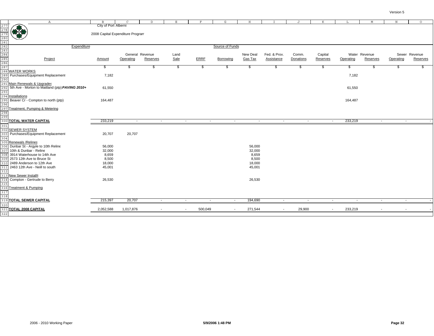|                                                                    | $\mathbb{A}$                                                                                                        | $\mathbf{B}$                                             | $\mathcal{C}$ | <sup>D</sup>                | E.           | F           | G               |                     |                            |                    | K                   |           | M                         | $\, {\rm N}$             | $\circ$                   |
|--------------------------------------------------------------------|---------------------------------------------------------------------------------------------------------------------|----------------------------------------------------------|---------------|-----------------------------|--------------|-------------|-----------------|---------------------|----------------------------|--------------------|---------------------|-----------|---------------------------|--------------------------|---------------------------|
| 277<br>278<br>279<br>280<br>281<br>282<br>283<br>284<br>285<br>285 | 佛教                                                                                                                  | City of Port Alberni<br>2008 Capital Expenditure Program |               |                             |              |             |                 |                     |                            |                    |                     |           |                           |                          |                           |
|                                                                    | Expenditure                                                                                                         |                                                          |               |                             |              |             | Source of Funds |                     |                            |                    |                     |           |                           |                          |                           |
|                                                                    |                                                                                                                     |                                                          |               |                             |              |             |                 |                     |                            |                    |                     |           |                           |                          |                           |
|                                                                    | Project                                                                                                             | Amount                                                   | Operating     | General Revenue<br>Reserves | Land<br>Sale | <b>ERRF</b> | Borrowing       | New Deal<br>Gas Tax | Fed. & Prov.<br>Assistance | Comm.<br>Donations | Capital<br>Reserves | Operating | Water Revenue<br>Reserves | Operating                | Sewer Revenue<br>Reserves |
|                                                                    |                                                                                                                     | \$                                                       | \$            | \$                          | \$           | S           | \$              | \$.                 | S                          | \$                 | \$                  | \$        | S                         | £.                       | \$.                       |
| 289<br>290                                                         | 288 WATER WORKS<br>Purchases/Equipment Replacement                                                                  | 7,182                                                    |               |                             |              |             |                 |                     |                            |                    |                     | 7,182     |                           |                          |                           |
|                                                                    | <u>291 <mark>Main Renewals &amp; Upgrades</mark><br/>292</u> 5th Ave - Morton to Maitland (ptp) <b>PAVING 2010+</b> | 61,550                                                   |               |                             |              |             |                 |                     |                            |                    |                     | 61,550    |                           |                          |                           |
| 295                                                                | <mark>293</mark><br>294 <mark>Installations</mark><br>Beaver Cr - Compton to north (ptp)                            | 164,487                                                  |               |                             |              |             |                 |                     |                            |                    |                     | 164,487   |                           |                          |                           |
| 296<br>297                                                         | Treatment, Pumping & Metering                                                                                       |                                                          |               |                             |              |             |                 |                     |                            |                    |                     |           |                           |                          |                           |
| 298<br>299                                                         |                                                                                                                     |                                                          |               |                             |              |             |                 |                     |                            |                    |                     |           |                           |                          |                           |
|                                                                    | <b>300 TOTAL WATER CAPITAL</b>                                                                                      | 233,219                                                  | $\sim$        | $\sim$                      | $\sim$       | $\sim$      | $\sim$          | $\sim$              | $\sim$                     | $\sim$             | $\sim$              | 233,219   | $\sim$                    | $\overline{\phantom{a}}$ |                           |
| 301<br>302<br>304                                                  | <b>SEWER SYSTEM</b><br>303 Purchases/Equipment Replacement                                                          | 20,707                                                   | 20,707        |                             |              |             |                 |                     |                            |                    |                     |           |                           |                          |                           |
|                                                                    | 305 Renewals / Relines                                                                                              |                                                          |               |                             |              |             |                 |                     |                            |                    |                     |           |                           |                          |                           |
|                                                                    | 306 Dunbar St - Argyle to 10th Reline<br>10th & Dunbar - Reline                                                     | 56,000<br>32,000                                         |               |                             |              |             |                 | 56,000<br>32,000    |                            |                    |                     |           |                           |                          |                           |
| 307<br>308                                                         | 3914 Waterhouse to 14th Ave                                                                                         | 8,659                                                    |               |                             |              |             |                 | 8,659               |                            |                    |                     |           |                           |                          |                           |
| 3 O S                                                              | 2573 12th Ave to Bruce St                                                                                           | 8,500                                                    |               |                             |              |             |                 | 8,500               |                            |                    |                     |           |                           |                          |                           |
| 310                                                                | 2489 Anderson to 12th Ave                                                                                           | 18,000                                                   |               |                             |              |             |                 | 18,000              |                            |                    |                     |           |                           |                          |                           |
| 311                                                                | 2463 12th Ave - Neill to south                                                                                      | 45,001                                                   |               |                             |              |             |                 | 45,001              |                            |                    |                     |           |                           |                          |                           |
| 312                                                                | 313 New Sewer Installs                                                                                              |                                                          |               |                             |              |             |                 |                     |                            |                    |                     |           |                           |                          |                           |
| 314<br>315                                                         | Compton - Gertrude to Berry                                                                                         | 26,530                                                   |               |                             |              |             |                 | 26,530              |                            |                    |                     |           |                           |                          |                           |
| 317<br>318                                                         | 316 Treatment & Pumping                                                                                             |                                                          |               |                             |              |             |                 |                     |                            |                    |                     |           |                           |                          |                           |
|                                                                    | <b>319 TOTAL SEWER CAPITAL</b>                                                                                      | 215,397                                                  | 20,707        | $\sim$                      | $\sim$       | $\sim$      | $\sim$          | 194,690             | $\sim$                     | $\sim$             | $\sim$              | $\sim$    | $\sim$                    | $\sim$                   |                           |
| 320                                                                | 321 TOTAL 2008 CAPITAL                                                                                              | 2,052,588                                                | 1,017,876     |                             |              | 500,049     | $\sim$          | 271,544             | $\sim$                     | 29,900             | $\sim$              | 233,219   |                           |                          |                           |
| 322                                                                |                                                                                                                     |                                                          |               |                             |              |             |                 |                     |                            |                    |                     |           |                           |                          |                           |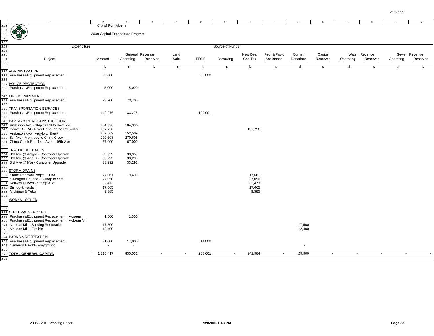|                                                                    | Α                                                                                  | <b>B</b>                         |                          | D.                          |               |             | G               |                            |                            |                    |                     |           |                           |           | $\circ$                   |
|--------------------------------------------------------------------|------------------------------------------------------------------------------------|----------------------------------|--------------------------|-----------------------------|---------------|-------------|-----------------|----------------------------|----------------------------|--------------------|---------------------|-----------|---------------------------|-----------|---------------------------|
|                                                                    | <b>OF BO</b>                                                                       | City of Port Alberni             |                          |                             |               |             |                 |                            |                            |                    |                     |           |                           |           |                           |
| 323<br>324<br>325<br>326<br>327<br>328<br>329<br>332<br>333<br>333 |                                                                                    | 2009 Capital Expenditure Program |                          |                             |               |             |                 |                            |                            |                    |                     |           |                           |           |                           |
|                                                                    |                                                                                    |                                  |                          |                             |               |             |                 |                            |                            |                    |                     |           |                           |           |                           |
|                                                                    | Expenditure                                                                        |                                  |                          |                             |               |             | Source of Funds |                            |                            |                    |                     |           |                           |           |                           |
|                                                                    |                                                                                    |                                  |                          |                             |               |             |                 |                            |                            |                    |                     |           |                           |           |                           |
|                                                                    | Project                                                                            | Amount                           | Operating                | General Revenue<br>Reserves | Land<br>Sale  | <b>ERRF</b> | Borrowing       | New Deal<br><b>Gas Tax</b> | Fed. & Prov.<br>Assistance | Comm.<br>Donations | Capital<br>Reserves | Operating | Water Revenue<br>Reserves | Operating | Sewer Revenue<br>Reserves |
|                                                                    |                                                                                    |                                  |                          |                             |               |             |                 |                            |                            |                    |                     |           |                           |           |                           |
|                                                                    |                                                                                    | \$                               | \$                       | \$                          | $\frac{1}{2}$ | s,          | S               | \$                         | \$                         | \$                 | \$                  | \$        | S.                        | S.        | \$.                       |
| 334                                                                | <b>ADMINISTRATION</b>                                                              |                                  |                          |                             |               |             |                 |                            |                            |                    |                     |           |                           |           |                           |
| 335                                                                | Purchases/Equipment Replacement                                                    | 85,000                           |                          |                             |               | 85,000      |                 |                            |                            |                    |                     |           |                           |           |                           |
|                                                                    | 337 POLICE PROTECTION                                                              |                                  |                          |                             |               |             |                 |                            |                            |                    |                     |           |                           |           |                           |
| 338                                                                | Purchases/Equipment Replacement                                                    | 5,000                            | 5,000                    |                             |               |             |                 |                            |                            |                    |                     |           |                           |           |                           |
| 33 S                                                               |                                                                                    |                                  |                          |                             |               |             |                 |                            |                            |                    |                     |           |                           |           |                           |
| 340                                                                | <b>FIRE DEPARTMENT</b>                                                             |                                  |                          |                             |               |             |                 |                            |                            |                    |                     |           |                           |           |                           |
| 341                                                                | Purchases/Equipment Replacement                                                    | 73,700                           | 73,700                   |                             |               |             |                 |                            |                            |                    |                     |           |                           |           |                           |
| 342                                                                |                                                                                    |                                  |                          |                             |               |             |                 |                            |                            |                    |                     |           |                           |           |                           |
| 343                                                                | <b>TRANSPORTATION SERVICES</b>                                                     |                                  |                          |                             |               |             |                 |                            |                            |                    |                     |           |                           |           |                           |
| 344<br>345                                                         | Purchases/Equipment Replacement                                                    | 142,276                          | 33,275                   |                             |               | 109,001     |                 |                            |                            |                    |                     |           |                           |           |                           |
|                                                                    | 346 PAVING & ROAD CONSTRUCTION                                                     |                                  |                          |                             |               |             |                 |                            |                            |                    |                     |           |                           |           |                           |
| 347                                                                | Anderson Ave - Ship Cr Rd to Ravenhil                                              | 104,996                          | 104,996                  |                             |               |             |                 |                            |                            |                    |                     |           |                           |           |                           |
| 348                                                                | Beaver Cr Rd - River Rd to Pierce Rd (water)                                       | 137,750                          |                          |                             |               |             |                 | 137,750                    |                            |                    |                     |           |                           |           |                           |
| 349                                                                | Anderson Ave - Argyle to Bruce                                                     | 152,509                          | 152,509                  |                             |               |             |                 |                            |                            |                    |                     |           |                           |           |                           |
| 350                                                                | 8th Ave - Montrose to China Creek<br>China Creek Rd - 14th Ave to 16th Ave         | 270,608                          | 270,608                  |                             |               |             |                 |                            |                            |                    |                     |           |                           |           |                           |
| 351<br>352                                                         |                                                                                    | 67,000                           | 67,000                   |                             |               |             |                 |                            |                            |                    |                     |           |                           |           |                           |
| 353                                                                | TRAFFIC UPGRADES                                                                   |                                  |                          |                             |               |             |                 |                            |                            |                    |                     |           |                           |           |                           |
| 354                                                                | 3rd Ave @ Argyle - Controller Upgrade                                              | 33,959                           | 33.959                   |                             |               |             |                 |                            |                            |                    |                     |           |                           |           |                           |
| 355                                                                | 3rd Ave @ Angus - Controller Upgrade                                               | 33,293                           | 33,293                   |                             |               |             |                 |                            |                            |                    |                     |           |                           |           |                           |
| 356                                                                | 3rd Ave @ Mar - Controller Upgrade                                                 | 33,292                           | 33,292                   |                             |               |             |                 |                            |                            |                    |                     |           |                           |           |                           |
| 357<br>358                                                         | <b>STORM DRAINS</b>                                                                |                                  |                          |                             |               |             |                 |                            |                            |                    |                     |           |                           |           |                           |
| 35 S                                                               | Storm Renewal Project - TBA                                                        | 27,061                           | 9,400                    |                             |               |             |                 | 17,661                     |                            |                    |                     |           |                           |           |                           |
| 360                                                                | S Morgan Cr Lane - Bishop to east                                                  | 27,050                           |                          |                             |               |             |                 | 27,050                     |                            |                    |                     |           |                           |           |                           |
| 361                                                                | Railway Culvert - Stamp Ave                                                        | 32,473                           |                          |                             |               |             |                 | 32,473                     |                            |                    |                     |           |                           |           |                           |
| 362                                                                | Bishop & Haslam                                                                    | 17,665                           |                          |                             |               |             |                 | 17,665                     |                            |                    |                     |           |                           |           |                           |
| 363                                                                | Michigan & Tebo                                                                    | 9,385                            |                          |                             |               |             |                 | 9,385                      |                            |                    |                     |           |                           |           |                           |
| 364<br>365                                                         | <b>WORKS - OTHER</b>                                                               |                                  |                          |                             |               |             |                 |                            |                            |                    |                     |           |                           |           |                           |
| 366                                                                |                                                                                    |                                  |                          |                             |               |             |                 |                            |                            |                    |                     |           |                           |           |                           |
| 367                                                                |                                                                                    |                                  |                          |                             |               |             |                 |                            |                            |                    |                     |           |                           |           |                           |
|                                                                    | 368 CULTURAL SERVICES                                                              |                                  |                          |                             |               |             |                 |                            |                            |                    |                     |           |                           |           |                           |
| 369                                                                | Purchases/Equipment Replacement - Museum                                           | 1,500                            | 1,500                    |                             |               |             |                 |                            |                            |                    |                     |           |                           |           |                           |
|                                                                    | Purchases/Equipment Replacement - McLean Mil<br>McLean Mill - Building Restoration |                                  |                          |                             |               |             |                 |                            |                            | 17,500             |                     |           |                           |           |                           |
| 372                                                                | McLean Mill - Exhibits                                                             | 17,500<br>12,400                 |                          |                             |               |             |                 |                            |                            | 12,400             |                     |           |                           |           |                           |
| 373                                                                |                                                                                    |                                  |                          |                             |               |             |                 |                            |                            |                    |                     |           |                           |           |                           |
| 374                                                                | PARKS & RECREATION                                                                 |                                  |                          |                             |               |             |                 |                            |                            |                    |                     |           |                           |           |                           |
|                                                                    | Purchases/Equipment Replacement                                                    | 31,000                           | 17,000                   |                             |               | 14,000      |                 |                            |                            |                    |                     |           |                           |           |                           |
| 376                                                                | Cameron Heights Playground                                                         | $\sim$                           | $\overline{\phantom{a}}$ |                             |               |             |                 |                            |                            |                    |                     |           |                           |           |                           |
| 377                                                                | 378 TOTAL GENERAL CAPITAL                                                          | 1,315,417                        | 835,532                  | $\sim$                      | $\sim$        | 208,001     | $\sim$          | 241,984                    | $\sim$                     | 29,900             | $\sim$              | $\sim$    | $\sim$                    | $\sim$    |                           |
| 379                                                                |                                                                                    |                                  |                          |                             |               |             |                 |                            |                            |                    |                     |           |                           |           |                           |
|                                                                    |                                                                                    |                                  |                          |                             |               |             |                 |                            |                            |                    |                     |           |                           |           |                           |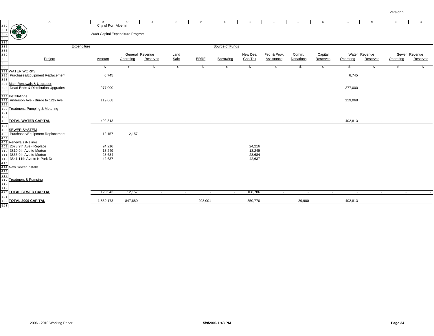|                                                                           | $\mathbb{A}$                                                                                       | $\mathbf{B}$                     | $\mathsf{C}$ | D                        | E      | F           | G               | H              |                          | $\mathbf{J}$ | K        | L         | M                        | $\, {\rm N}$ | $\circ$       |
|---------------------------------------------------------------------------|----------------------------------------------------------------------------------------------------|----------------------------------|--------------|--------------------------|--------|-------------|-----------------|----------------|--------------------------|--------------|----------|-----------|--------------------------|--------------|---------------|
|                                                                           |                                                                                                    | City of Port Alberni             |              |                          |        |             |                 |                |                          |              |          |           |                          |              |               |
| 380<br>381<br>382<br>382<br>384<br>385<br>385<br>385<br>387<br>387<br>387 | ***                                                                                                |                                  |              |                          |        |             |                 |                |                          |              |          |           |                          |              |               |
|                                                                           |                                                                                                    | 2009 Capital Expenditure Program |              |                          |        |             |                 |                |                          |              |          |           |                          |              |               |
|                                                                           |                                                                                                    |                                  |              |                          |        |             |                 |                |                          |              |          |           |                          |              |               |
|                                                                           |                                                                                                    |                                  |              |                          |        |             |                 |                |                          |              |          |           |                          |              |               |
|                                                                           |                                                                                                    | Expenditure                      |              |                          |        |             | Source of Funds |                |                          |              |          |           |                          |              |               |
|                                                                           |                                                                                                    |                                  |              |                          |        |             |                 |                |                          |              |          |           |                          |              |               |
|                                                                           |                                                                                                    |                                  |              | General Revenue          | Land   |             |                 | New Deal       | Fed. & Prov.             | Comm.        | Capital  |           | Water Revenue            |              | Sewer Revenue |
|                                                                           | Project                                                                                            | Amount                           | Operating    | Reserves                 | Sale   | <b>ERRF</b> | Borrowing       | <b>Gas Tax</b> | <b>Assistance</b>        | Donations    | Reserves | Operating | Reserves                 | Operating    | Reserves      |
|                                                                           |                                                                                                    |                                  |              |                          |        |             |                 |                |                          |              |          |           |                          |              |               |
|                                                                           |                                                                                                    | \$                               | \$           | \$                       | \$     | \$          | \$              | \$             | \$                       | \$           | \$       | \$        | \$                       | S.           | S.            |
| 391                                                                       | <b>WATER WORKS</b>                                                                                 |                                  |              |                          |        |             |                 |                |                          |              |          |           |                          |              |               |
| 392                                                                       | Purchases/Equipment Replacement                                                                    | 6,745                            |              |                          |        |             |                 |                |                          |              |          | 6,745     |                          |              |               |
| 393                                                                       |                                                                                                    |                                  |              |                          |        |             |                 |                |                          |              |          |           |                          |              |               |
| 395                                                                       | 394 Main Renewals & Upgrades<br>Dead Ends & Distribution Upgrades                                  | 277,000                          |              |                          |        |             |                 |                |                          |              |          | 277,000   |                          |              |               |
| 396                                                                       |                                                                                                    |                                  |              |                          |        |             |                 |                |                          |              |          |           |                          |              |               |
|                                                                           |                                                                                                    |                                  |              |                          |        |             |                 |                |                          |              |          |           |                          |              |               |
|                                                                           | 397 Installations<br>398 Anderson A<br>Anderson Ave - Burde to 12th Ave                            | 119,068                          |              |                          |        |             |                 |                |                          |              |          | 119,068   |                          |              |               |
| 399                                                                       |                                                                                                    |                                  |              |                          |        |             |                 |                |                          |              |          |           |                          |              |               |
|                                                                           | 400 Treatment, Pumping & Metering                                                                  |                                  |              |                          |        |             |                 |                |                          |              |          |           |                          |              |               |
|                                                                           |                                                                                                    |                                  |              |                          |        |             |                 |                |                          |              |          |           |                          |              |               |
| $\frac{401}{402}$                                                         |                                                                                                    |                                  |              |                          |        |             |                 |                |                          |              |          |           |                          |              |               |
|                                                                           | <b>403 TOTAL WATER CAPITAL</b>                                                                     | 402,813                          | $\sim$       | $\sim$                   | $\sim$ | $\sim$      | $\sim$          | $\sim$         | $\sim$                   | $\sim$       | $\sim$   | 402,813   | $\sim$                   | $\sim$       |               |
| 404                                                                       |                                                                                                    |                                  |              |                          |        |             |                 |                |                          |              |          |           |                          |              |               |
| 405                                                                       | <b>SEWER SYSTEM</b>                                                                                |                                  |              |                          |        |             |                 |                |                          |              |          |           |                          |              |               |
| 406                                                                       | Purchases/Equipment Replacement                                                                    | 12,157                           | 12,157       |                          |        |             |                 |                |                          |              |          |           |                          |              |               |
| 407                                                                       |                                                                                                    |                                  |              |                          |        |             |                 |                |                          |              |          |           |                          |              |               |
|                                                                           | 408 Renewals / Relines                                                                             |                                  |              |                          |        |             |                 |                |                          |              |          |           |                          |              |               |
|                                                                           | 409 2673 9th Ave - Replace                                                                         | 24,216                           |              |                          |        |             |                 | 24,216         |                          |              |          |           |                          |              |               |
| 410                                                                       | 3819 9th Ave to Morton                                                                             | 13,249                           |              |                          |        |             |                 | 13,249         |                          |              |          |           |                          |              |               |
|                                                                           | 411 3855 9th Ave to Morton                                                                         | 28,684                           |              |                          |        |             |                 | 28,684         |                          |              |          |           |                          |              |               |
| 412<br>$\frac{1}{413}$                                                    | 3541 11th Ave to N Park Dr                                                                         | 42,637                           |              |                          |        |             |                 | 42,637         |                          |              |          |           |                          |              |               |
|                                                                           |                                                                                                    |                                  |              |                          |        |             |                 |                |                          |              |          |           |                          |              |               |
|                                                                           |                                                                                                    |                                  |              |                          |        |             |                 |                |                          |              |          |           |                          |              |               |
|                                                                           |                                                                                                    |                                  |              |                          |        |             |                 |                |                          |              |          |           |                          |              |               |
|                                                                           | $\frac{414}{415}$ New Sewer Installs<br>$\frac{415}{416}$<br>$\frac{416}{417}$ Treatment & Pumping |                                  |              |                          |        |             |                 |                |                          |              |          |           |                          |              |               |
|                                                                           |                                                                                                    |                                  |              |                          |        |             |                 |                |                          |              |          |           |                          |              |               |
| 418<br>419                                                                |                                                                                                    |                                  |              |                          |        |             |                 |                |                          |              |          |           |                          |              |               |
|                                                                           | 420 TOTAL SEWER CAPITAL                                                                            | 120,943                          | 12,157       | $\sim$                   | $\sim$ | $\sim$      | $\sim$          | 108,786        | $\sim$                   | $\sim$       | $\sim$   | $\sim$    | $\sim$                   | $\sim$       |               |
| 421                                                                       |                                                                                                    |                                  |              |                          |        |             |                 |                |                          |              |          |           |                          |              |               |
|                                                                           | 422 TOTAL 2009 CAPITAL                                                                             | 1,839,173                        | 847,689      | $\overline{\phantom{a}}$ | $\sim$ | 208,001     | $\sim$          | 350,770        | $\overline{\phantom{a}}$ | 29,900       | $\sim$   | 402,813   | $\overline{\phantom{a}}$ |              |               |
| 423                                                                       |                                                                                                    |                                  |              |                          |        |             |                 |                |                          |              |          |           |                          |              |               |
|                                                                           |                                                                                                    |                                  |              |                          |        |             |                 |                |                          |              |          |           |                          |              |               |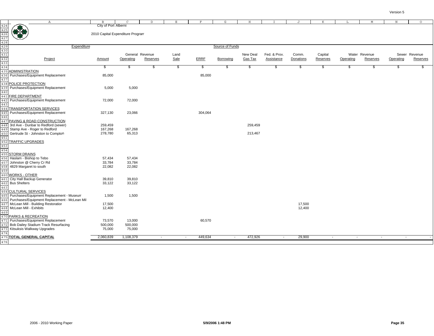|                                                                                                                                                                            | $\mathbb{A}$                                 | $\mathbf{B}$                     | $\mathsf{C}$    | D        | E      | F           | G               | H              |              | J         | K        | L         | M             | N         | $\circ$       |
|----------------------------------------------------------------------------------------------------------------------------------------------------------------------------|----------------------------------------------|----------------------------------|-----------------|----------|--------|-------------|-----------------|----------------|--------------|-----------|----------|-----------|---------------|-----------|---------------|
|                                                                                                                                                                            |                                              | City of Port Alberni             |                 |          |        |             |                 |                |              |           |          |           |               |           |               |
|                                                                                                                                                                            | (1)                                          |                                  |                 |          |        |             |                 |                |              |           |          |           |               |           |               |
|                                                                                                                                                                            |                                              |                                  |                 |          |        |             |                 |                |              |           |          |           |               |           |               |
|                                                                                                                                                                            | æ                                            | 2010 Capital Expenditure Program |                 |          |        |             |                 |                |              |           |          |           |               |           |               |
|                                                                                                                                                                            |                                              |                                  |                 |          |        |             |                 |                |              |           |          |           |               |           |               |
|                                                                                                                                                                            |                                              |                                  |                 |          |        |             |                 |                |              |           |          |           |               |           |               |
|                                                                                                                                                                            | Expenditure                                  |                                  |                 |          |        |             | Source of Funds |                |              |           |          |           |               |           |               |
| $\begin{array}{r} 424 \\ \hline 425 \\ \hline 426 \\ \hline 427 \\ \hline 428 \\ \hline 430 \\ \hline 430 \\ \hline 432 \\ \hline 433 \\ \hline 434 \\ \hline \end{array}$ |                                              |                                  |                 |          |        |             |                 |                |              |           |          |           |               |           |               |
|                                                                                                                                                                            |                                              |                                  | General Revenue |          | Land   |             |                 | New Deal       | Fed. & Prov. | Comm.     | Capital  |           | Water Revenue |           | Sewer Revenue |
|                                                                                                                                                                            | Project                                      | Amount                           | Operating       | Reserves | Sale   | <b>ERRF</b> | Borrowing       | <b>Gas Tax</b> | Assistance   | Donations | Reserves | Operating | Reserves      | Operating | Reserves      |
|                                                                                                                                                                            |                                              |                                  |                 |          |        |             |                 |                |              |           |          |           |               |           |               |
|                                                                                                                                                                            |                                              | \$                               | \$              | \$       | \$     | \$          | S.              | S.             | \$           | \$        | \$       | \$        | \$            | S         | S             |
| 435                                                                                                                                                                        | <b>ADMINISTRATION</b>                        |                                  |                 |          |        |             |                 |                |              |           |          |           |               |           |               |
| 436                                                                                                                                                                        | Purchases/Equipment Replacement              | 85,000                           |                 |          |        | 85,000      |                 |                |              |           |          |           |               |           |               |
| 437                                                                                                                                                                        |                                              |                                  |                 |          |        |             |                 |                |              |           |          |           |               |           |               |
| 438                                                                                                                                                                        | POLICE PROTECTION                            |                                  |                 |          |        |             |                 |                |              |           |          |           |               |           |               |
|                                                                                                                                                                            |                                              |                                  |                 |          |        |             |                 |                |              |           |          |           |               |           |               |
| 439<br>440                                                                                                                                                                 | Purchases/Equipment Replacement              | 5,000                            | 5,000           |          |        |             |                 |                |              |           |          |           |               |           |               |
|                                                                                                                                                                            |                                              |                                  |                 |          |        |             |                 |                |              |           |          |           |               |           |               |
| 441<br>442                                                                                                                                                                 | FIRE DEPARTMENT                              |                                  |                 |          |        |             |                 |                |              |           |          |           |               |           |               |
|                                                                                                                                                                            | Purchases/Equipment Replacement              | 72,000                           | 72,000          |          |        |             |                 |                |              |           |          |           |               |           |               |
| 443                                                                                                                                                                        |                                              |                                  |                 |          |        |             |                 |                |              |           |          |           |               |           |               |
| 444                                                                                                                                                                        | <b>TRANSPORTATION SERVICES</b>               |                                  |                 |          |        |             |                 |                |              |           |          |           |               |           |               |
| 445                                                                                                                                                                        | Purchases/Equipment Replacement              | 327,130                          | 23,066          |          |        | 304,064     |                 |                |              |           |          |           |               |           |               |
| 446                                                                                                                                                                        |                                              |                                  |                 |          |        |             |                 |                |              |           |          |           |               |           |               |
|                                                                                                                                                                            | 447 PAVING & ROAD CONSTRUCTION               |                                  |                 |          |        |             |                 |                |              |           |          |           |               |           |               |
| 448                                                                                                                                                                        | 3rd Ave - Dunbar to Redford (sewer)          | 259,459                          |                 |          |        |             |                 | 259,459        |              |           |          |           |               |           |               |
| 449                                                                                                                                                                        | Stamp Ave - Roger to Redford                 | 167,268                          | 167,268         |          |        |             |                 |                |              |           |          |           |               |           |               |
| 45C                                                                                                                                                                        | Gertrude St - Johnston to Compton            | 278,780                          | 65,313          |          |        |             |                 | 213,467        |              |           |          |           |               |           |               |
| 451                                                                                                                                                                        |                                              |                                  |                 |          |        |             |                 |                |              |           |          |           |               |           |               |
| 452                                                                                                                                                                        | <b>TRAFFIC UPGRADES</b>                      |                                  |                 |          |        |             |                 |                |              |           |          |           |               |           |               |
|                                                                                                                                                                            |                                              |                                  |                 |          |        |             |                 |                |              |           |          |           |               |           |               |
| 453<br>454                                                                                                                                                                 |                                              |                                  |                 |          |        |             |                 |                |              |           |          |           |               |           |               |
|                                                                                                                                                                            |                                              |                                  |                 |          |        |             |                 |                |              |           |          |           |               |           |               |
| 455                                                                                                                                                                        | <b>STORM DRAINS</b>                          |                                  |                 |          |        |             |                 |                |              |           |          |           |               |           |               |
| 456                                                                                                                                                                        | Haslam - Bishop to Tebo                      | 57,434                           | 57,434          |          |        |             |                 |                |              |           |          |           |               |           |               |
| 457                                                                                                                                                                        | Johnston @ Cherry Cr Rd                      | 33,784                           | 33,784          |          |        |             |                 |                |              |           |          |           |               |           |               |
| 458                                                                                                                                                                        | 4829 Margaret to south                       | 22,082                           | 22,082          |          |        |             |                 |                |              |           |          |           |               |           |               |
| 459                                                                                                                                                                        |                                              |                                  |                 |          |        |             |                 |                |              |           |          |           |               |           |               |
| 460                                                                                                                                                                        | <b>WORKS - OTHER</b>                         |                                  |                 |          |        |             |                 |                |              |           |          |           |               |           |               |
| 461                                                                                                                                                                        | City Hall Backup Generator                   | 39,810                           | 39,810          |          |        |             |                 |                |              |           |          |           |               |           |               |
| 462                                                                                                                                                                        | <b>Bus Shelters</b>                          | 33,122                           | 33,122          |          |        |             |                 |                |              |           |          |           |               |           |               |
| 463                                                                                                                                                                        |                                              |                                  |                 |          |        |             |                 |                |              |           |          |           |               |           |               |
|                                                                                                                                                                            | <b>464 CULTURAL SERVICES</b>                 |                                  |                 |          |        |             |                 |                |              |           |          |           |               |           |               |
| 465                                                                                                                                                                        | Purchases/Equipment Replacement - Museum     | 1,500                            | 1,500           |          |        |             |                 |                |              |           |          |           |               |           |               |
| 466                                                                                                                                                                        | Purchases/Equipment Replacement - McLean Mil |                                  |                 |          |        |             |                 |                |              |           |          |           |               |           |               |
| 467                                                                                                                                                                        | McLean Mill - Building Restoration           | 17,500                           |                 |          |        |             |                 |                |              | 17,500    |          |           |               |           |               |
| 468                                                                                                                                                                        | McLean Mill - Exhibits                       | 12,400                           |                 |          |        |             |                 |                |              | 12,400    |          |           |               |           |               |
|                                                                                                                                                                            |                                              |                                  |                 |          |        |             |                 |                |              |           |          |           |               |           |               |
| 469                                                                                                                                                                        |                                              |                                  |                 |          |        |             |                 |                |              |           |          |           |               |           |               |
| 470                                                                                                                                                                        | PARKS & RECREATION                           |                                  |                 |          |        |             |                 |                |              |           |          |           |               |           |               |
| 471                                                                                                                                                                        | Purchases/Equipment Replacement              | 73,570                           | 13,000          |          |        | 60,570      |                 |                |              |           |          |           |               |           |               |
| 472                                                                                                                                                                        | Bob Dailey Stadium Track Resurfacing         | 500,000                          | 500,000         |          |        |             |                 |                |              |           |          |           |               |           |               |
| 473                                                                                                                                                                        | Kitsuksis Walkway Upgrades                   | 75,000                           | 75,000          |          |        |             |                 |                |              |           |          |           |               |           |               |
|                                                                                                                                                                            |                                              |                                  |                 |          |        |             |                 |                |              |           |          |           |               |           |               |
|                                                                                                                                                                            | 475 TOTAL GENERAL CAPITAL                    | 2,060,839                        | 1,108,379       | $\sim$   | $\sim$ | 449,634     | $\sim$          | 472,926        | $\sim$       | 29,900    | $\sim$   | $\sim$    | $\sim$        | $\sim$    |               |
| 476                                                                                                                                                                        |                                              |                                  |                 |          |        |             |                 |                |              |           |          |           |               |           |               |